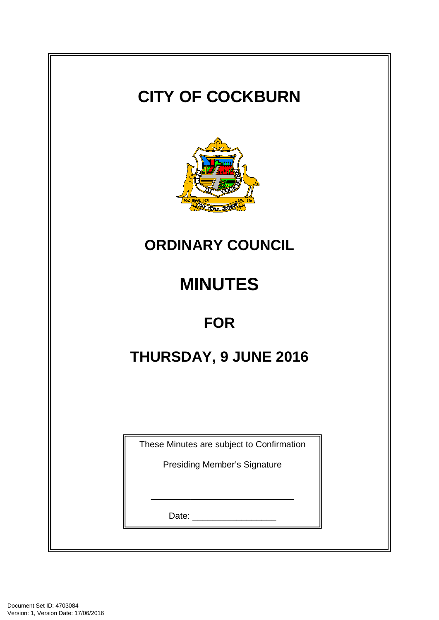| <b>CITY OF COCKBURN</b>                   |  |  |  |  |
|-------------------------------------------|--|--|--|--|
| BOARD 1871 NEWS CUPINUS                   |  |  |  |  |
| <b>ORDINARY COUNCIL</b>                   |  |  |  |  |
| <b>MINUTES</b>                            |  |  |  |  |
| <b>FOR</b>                                |  |  |  |  |
| THURSDAY, 9 JUNE 2016                     |  |  |  |  |
|                                           |  |  |  |  |
| These Minutes are subject to Confirmation |  |  |  |  |
| <b>Presiding Member's Signature</b>       |  |  |  |  |
|                                           |  |  |  |  |
|                                           |  |  |  |  |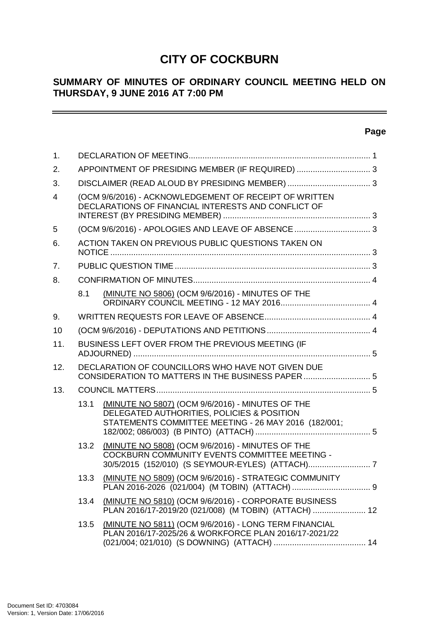# **CITY OF COCKBURN**

## **SUMMARY OF MINUTES OF ORDINARY COUNCIL MEETING HELD ON THURSDAY, 9 JUNE 2016 AT 7:00 PM**

## **Page**

 $\overline{\phantom{0}}$ 

| 1.             |                                                                                                        |                                                                                                                                                        |  |  |  |
|----------------|--------------------------------------------------------------------------------------------------------|--------------------------------------------------------------------------------------------------------------------------------------------------------|--|--|--|
| 2.             |                                                                                                        | APPOINTMENT OF PRESIDING MEMBER (IF REQUIRED)  3                                                                                                       |  |  |  |
| 3.             |                                                                                                        |                                                                                                                                                        |  |  |  |
| $\overline{4}$ |                                                                                                        | (OCM 9/6/2016) - ACKNOWLEDGEMENT OF RECEIPT OF WRITTEN<br>DECLARATIONS OF FINANCIAL INTERESTS AND CONFLICT OF                                          |  |  |  |
| 5              |                                                                                                        |                                                                                                                                                        |  |  |  |
| 6.             |                                                                                                        | ACTION TAKEN ON PREVIOUS PUBLIC QUESTIONS TAKEN ON                                                                                                     |  |  |  |
| 7 <sub>1</sub> |                                                                                                        |                                                                                                                                                        |  |  |  |
| 8.             |                                                                                                        |                                                                                                                                                        |  |  |  |
|                | 8.1                                                                                                    | (MINUTE NO 5806) (OCM 9/6/2016) - MINUTES OF THE                                                                                                       |  |  |  |
| 9.             |                                                                                                        |                                                                                                                                                        |  |  |  |
| 10             |                                                                                                        |                                                                                                                                                        |  |  |  |
| 11.            | BUSINESS LEFT OVER FROM THE PREVIOUS MEETING (IF                                                       |                                                                                                                                                        |  |  |  |
| 12.            | DECLARATION OF COUNCILLORS WHO HAVE NOT GIVEN DUE<br>CONSIDERATION TO MATTERS IN THE BUSINESS PAPER  5 |                                                                                                                                                        |  |  |  |
| 13.            |                                                                                                        |                                                                                                                                                        |  |  |  |
|                | 13.1                                                                                                   | (MINUTE NO 5807) (OCM 9/6/2016) - MINUTES OF THE<br>DELEGATED AUTHORITIES, POLICIES & POSITION<br>STATEMENTS COMMITTEE MEETING - 26 MAY 2016 (182/001; |  |  |  |
|                | 13.2                                                                                                   | (MINUTE NO 5808) (OCM 9/6/2016) - MINUTES OF THE<br><b>COCKBURN COMMUNITY EVENTS COMMITTEE MEETING -</b>                                               |  |  |  |
|                |                                                                                                        | 13.3 (MINUTE NO 5809) (OCM 9/6/2016) - STRATEGIC COMMUNITY                                                                                             |  |  |  |
|                |                                                                                                        | 13.4 (MINUTE NO 5810) (OCM 9/6/2016) - CORPORATE BUSINESS<br>PLAN 2016/17-2019/20 (021/008) (M TOBIN) (ATTACH)  12                                     |  |  |  |
|                | 13.5                                                                                                   | (MINUTE NO 5811) (OCM 9/6/2016) - LONG TERM FINANCIAL<br>PLAN 2016/17-2025/26 & WORKFORCE PLAN 2016/17-2021/22                                         |  |  |  |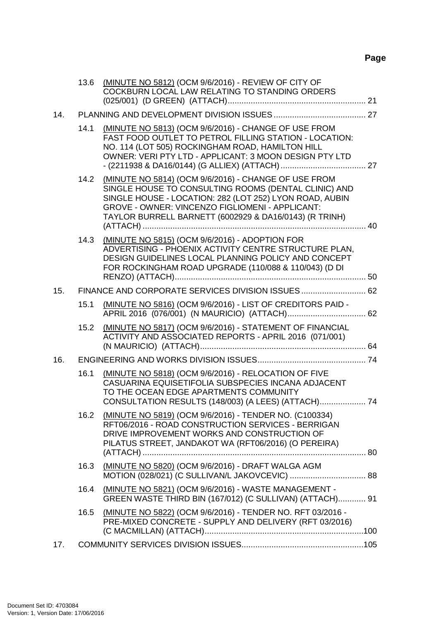## **Page**

|     | 13.6 | (MINUTE NO 5812) (OCM 9/6/2016) - REVIEW OF CITY OF<br>COCKBURN LOCAL LAW RELATING TO STANDING ORDERS                                                                                                                                                                                |  |
|-----|------|--------------------------------------------------------------------------------------------------------------------------------------------------------------------------------------------------------------------------------------------------------------------------------------|--|
| 14. |      |                                                                                                                                                                                                                                                                                      |  |
|     | 14.1 | (MINUTE NO 5813) (OCM 9/6/2016) - CHANGE OF USE FROM<br>FAST FOOD OUTLET TO PETROL FILLING STATION - LOCATION:<br>NO. 114 (LOT 505) ROCKINGHAM ROAD, HAMILTON HILL<br>OWNER: VERI PTY LTD - APPLICANT: 3 MOON DESIGN PTY LTD                                                         |  |
|     | 14.2 | (MINUTE NO 5814) (OCM 9/6/2016) - CHANGE OF USE FROM<br>SINGLE HOUSE TO CONSULTING ROOMS (DENTAL CLINIC) AND<br>SINGLE HOUSE - LOCATION: 282 (LOT 252) LYON ROAD, AUBIN<br>GROVE - OWNER: VINCENZO FIGLIOMENI - APPLICANT:<br>TAYLOR BURRELL BARNETT (6002929 & DA16/0143) (R TRINH) |  |
|     | 14.3 | (MINUTE NO 5815) (OCM 9/6/2016) - ADOPTION FOR<br>ADVERTISING - PHOENIX ACTIVITY CENTRE STRUCTURE PLAN,<br>DESIGN GUIDELINES LOCAL PLANNING POLICY AND CONCEPT<br>FOR ROCKINGHAM ROAD UPGRADE (110/088 & 110/043) (D DI                                                              |  |
| 15. |      | FINANCE AND CORPORATE SERVICES DIVISION ISSUES 62                                                                                                                                                                                                                                    |  |
|     | 15.1 | (MINUTE NO 5816) (OCM 9/6/2016) - LIST OF CREDITORS PAID -                                                                                                                                                                                                                           |  |
|     | 15.2 | (MINUTE NO 5817) (OCM 9/6/2016) - STATEMENT OF FINANCIAL<br>ACTIVITY AND ASSOCIATED REPORTS - APRIL 2016 (071/001)                                                                                                                                                                   |  |
| 16. |      |                                                                                                                                                                                                                                                                                      |  |
|     | 16.1 | (MINUTE NO 5818) (OCM 9/6/2016) - RELOCATION OF FIVE<br>CASUARINA EQUISETIFOLIA SUBSPECIES INCANA ADJACENT<br>TO THE OCEAN EDGE APARTMENTS COMMUNITY<br>CONSULTATION RESULTS (148/003) (A LEES) (ATTACH) 74                                                                          |  |
|     | 16.2 | (MINUTE NO 5819) (OCM 9/6/2016) - TENDER NO. (C100334)<br>RFT06/2016 - ROAD CONSTRUCTION SERVICES - BERRIGAN<br>DRIVE IMPROVEMENT WORKS AND CONSTRUCTION OF<br>PILATUS STREET, JANDAKOT WA (RFT06/2016) (O PEREIRA)                                                                  |  |
|     | 16.3 | (MINUTE NO 5820) (OCM 9/6/2016) - DRAFT WALGA AGM                                                                                                                                                                                                                                    |  |
|     |      |                                                                                                                                                                                                                                                                                      |  |
|     | 16.4 | (MINUTE NO 5821) (OCM 9/6/2016) - WASTE MANAGEMENT -<br>GREEN WASTE THIRD BIN (167/012) (C SULLIVAN) (ATTACH) 91                                                                                                                                                                     |  |
|     | 16.5 | (MINUTE NO 5822) (OCM 9/6/2016) - TENDER NO. RFT 03/2016 -<br>PRE-MIXED CONCRETE - SUPPLY AND DELIVERY (RFT 03/2016)                                                                                                                                                                 |  |
| 17. |      |                                                                                                                                                                                                                                                                                      |  |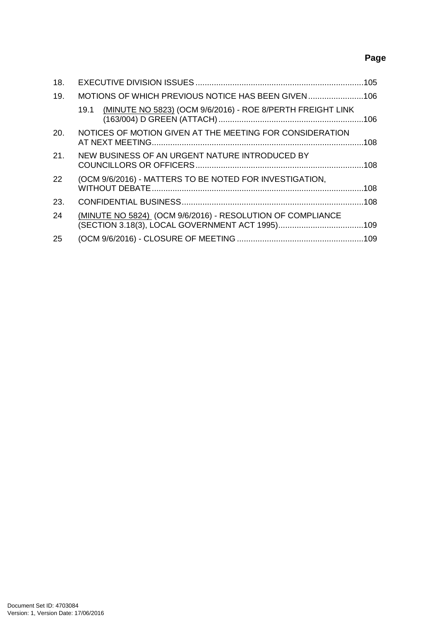## **Page**

| 18. |                                                                    |  |
|-----|--------------------------------------------------------------------|--|
| 19. | MOTIONS OF WHICH PREVIOUS NOTICE HAS BEEN GIVEN                    |  |
|     | (MINUTE NO 5823) (OCM 9/6/2016) - ROE 8/PERTH FREIGHT LINK<br>19.1 |  |
| 20. | NOTICES OF MOTION GIVEN AT THE MEETING FOR CONSIDERATION           |  |
| 21. | NEW BUSINESS OF AN URGENT NATURE INTRODUCED BY                     |  |
| 22  | (OCM 9/6/2016) - MATTERS TO BE NOTED FOR INVESTIGATION,            |  |
| 23. |                                                                    |  |
| 24  | (MINUTE NO 5824) (OCM 9/6/2016) - RESOLUTION OF COMPLIANCE         |  |
| 25  |                                                                    |  |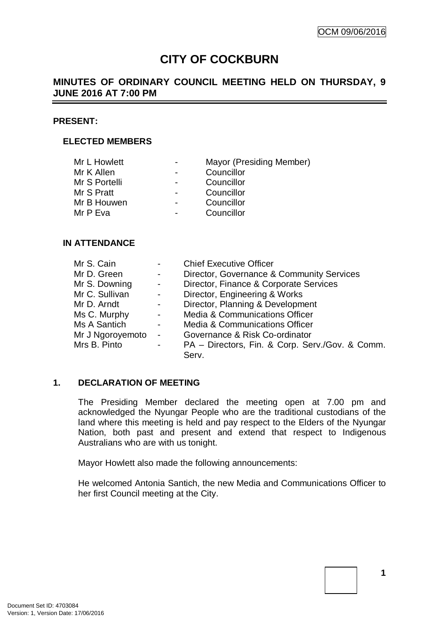# **CITY OF COCKBURN**

## **MINUTES OF ORDINARY COUNCIL MEETING HELD ON THURSDAY, 9 JUNE 2016 AT 7:00 PM**

#### **PRESENT:**

#### **ELECTED MEMBERS**

| Mr L Howlett  | $\overline{\phantom{0}}$ | Mayor (Presiding Member) |
|---------------|--------------------------|--------------------------|
| Mr K Allen    | $\blacksquare$           | Councillor               |
| Mr S Portelli | $\blacksquare$           | Councillor               |
| Mr S Pratt    | $\blacksquare$           | Councillor               |
| Mr B Houwen   | $\blacksquare$           | Councillor               |
| Mr P Eva      | $\overline{\phantom{a}}$ | Councillor               |
|               |                          |                          |

#### **IN ATTENDANCE**

| Mr S. Cain       | $\blacksquare$           | <b>Chief Executive Officer</b>                  |
|------------------|--------------------------|-------------------------------------------------|
| Mr D. Green      | $\blacksquare$           | Director, Governance & Community Services       |
| Mr S. Downing    | $\blacksquare$           | Director, Finance & Corporate Services          |
| Mr C. Sullivan   | $\sim$                   | Director, Engineering & Works                   |
| Mr D. Arndt      | $\overline{\phantom{a}}$ | Director, Planning & Development                |
| Ms C. Murphy     | $\blacksquare$           | <b>Media &amp; Communications Officer</b>       |
| Ms A Santich     | $\overline{\phantom{a}}$ | Media & Communications Officer                  |
| Mr J Ngoroyemoto | $\sim$                   | Governance & Risk Co-ordinator                  |
| Mrs B. Pinto     | $\overline{a}$           | PA - Directors, Fin. & Corp. Serv./Gov. & Comm. |
|                  |                          | Serv.                                           |

#### **1. DECLARATION OF MEETING**

The Presiding Member declared the meeting open at 7.00 pm and acknowledged the Nyungar People who are the traditional custodians of the land where this meeting is held and pay respect to the Elders of the Nyungar Nation, both past and present and extend that respect to Indigenous Australians who are with us tonight.

Mayor Howlett also made the following announcements:

He welcomed Antonia Santich, the new Media and Communications Officer to her first Council meeting at the City.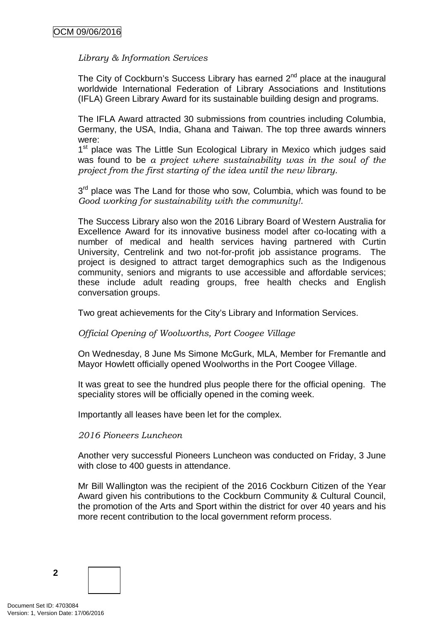## *Library & Information Services*

The City of Cockburn's Success Library has earned  $2<sup>nd</sup>$  place at the inaugural worldwide International Federation of Library Associations and Institutions (IFLA) Green Library Award for its sustainable building design and programs.

The IFLA Award attracted 30 submissions from countries including Columbia, Germany, the USA, India, Ghana and Taiwan. The top three awards winners were:

1<sup>st</sup> place was The Little Sun Ecological Library in Mexico which judges said was found to be *a project where sustainability was in the soul of the project from the first starting of the idea until the new library.*

3<sup>rd</sup> place was The Land for those who sow, Columbia, which was found to be *Good working for sustainability with the community!.*

The Success Library also won the 2016 Library Board of Western Australia for Excellence Award for its innovative business model after co-locating with a number of medical and health services having partnered with Curtin University, Centrelink and two not-for-profit job assistance programs. The project is designed to attract target demographics such as the Indigenous community, seniors and migrants to use accessible and affordable services; these include adult reading groups, free health checks and English conversation groups.

Two great achievements for the City's Library and Information Services.

*Official Opening of Woolworths, Port Coogee Village*

On Wednesday, 8 June Ms Simone McGurk, MLA, Member for Fremantle and Mayor Howlett officially opened Woolworths in the Port Coogee Village.

It was great to see the hundred plus people there for the official opening. The speciality stores will be officially opened in the coming week.

Importantly all leases have been let for the complex.

#### *2016 Pioneers Luncheon*

Another very successful Pioneers Luncheon was conducted on Friday, 3 June with close to 400 guests in attendance.

Mr Bill Wallington was the recipient of the 2016 Cockburn Citizen of the Year Award given his contributions to the Cockburn Community & Cultural Council, the promotion of the Arts and Sport within the district for over 40 years and his more recent contribution to the local government reform process.

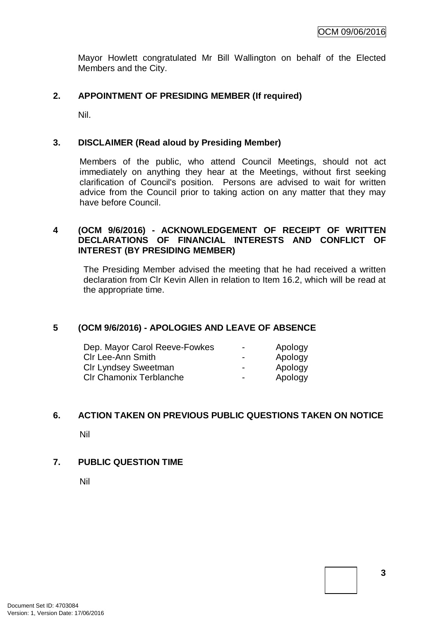Mayor Howlett congratulated Mr Bill Wallington on behalf of the Elected Members and the City.

#### **2. APPOINTMENT OF PRESIDING MEMBER (If required)**

Nil.

#### **3. DISCLAIMER (Read aloud by Presiding Member)**

Members of the public, who attend Council Meetings, should not act immediately on anything they hear at the Meetings, without first seeking clarification of Council's position. Persons are advised to wait for written advice from the Council prior to taking action on any matter that they may have before Council.

#### **4 (OCM 9/6/2016) - ACKNOWLEDGEMENT OF RECEIPT OF WRITTEN DECLARATIONS OF FINANCIAL INTERESTS AND CONFLICT OF INTEREST (BY PRESIDING MEMBER)**

The Presiding Member advised the meeting that he had received a written declaration from Clr Kevin Allen in relation to Item 16.2, which will be read at the appropriate time.

## **5 (OCM 9/6/2016) - APOLOGIES AND LEAVE OF ABSENCE**

| Dep. Mayor Carol Reeve-Fowkes  | ۰                        | Apology |
|--------------------------------|--------------------------|---------|
| <b>CIr Lee-Ann Smith</b>       | $\blacksquare$           | Apology |
| <b>CIr Lyndsey Sweetman</b>    | $\overline{\phantom{0}}$ | Apology |
| <b>CIr Chamonix Terblanche</b> | $\blacksquare$           | Apology |

#### **6. ACTION TAKEN ON PREVIOUS PUBLIC QUESTIONS TAKEN ON NOTICE**

Nil

## **7. PUBLIC QUESTION TIME**

Nil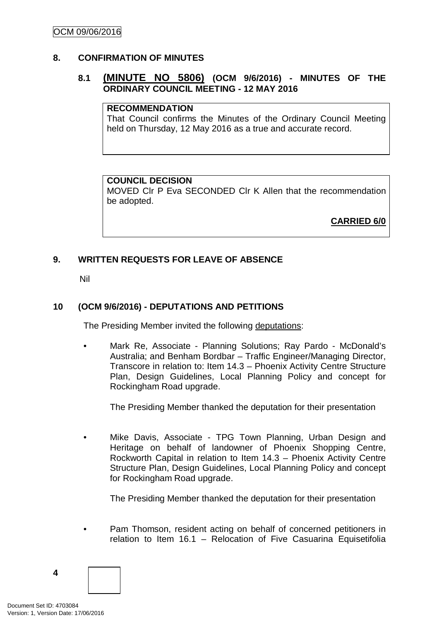#### **8. CONFIRMATION OF MINUTES**

## **8.1 (MINUTE NO 5806) (OCM 9/6/2016) - MINUTES OF THE ORDINARY COUNCIL MEETING - 12 MAY 2016**

#### **RECOMMENDATION**

That Council confirms the Minutes of the Ordinary Council Meeting held on Thursday, 12 May 2016 as a true and accurate record.

#### **COUNCIL DECISION**

MOVED Clr P Eva SECONDED Clr K Allen that the recommendation be adopted.

**CARRIED 6/0**

## **9. WRITTEN REQUESTS FOR LEAVE OF ABSENCE**

Nil

## **10 (OCM 9/6/2016) - DEPUTATIONS AND PETITIONS**

The Presiding Member invited the following deputations:

• Mark Re, Associate - Planning Solutions; Ray Pardo - McDonald's Australia; and Benham Bordbar – Traffic Engineer/Managing Director, Transcore in relation to: Item 14.3 – Phoenix Activity Centre Structure Plan, Design Guidelines, Local Planning Policy and concept for Rockingham Road upgrade.

The Presiding Member thanked the deputation for their presentation

• Mike Davis, Associate - TPG Town Planning, Urban Design and Heritage on behalf of landowner of Phoenix Shopping Centre, Rockworth Capital in relation to Item 14.3 – Phoenix Activity Centre Structure Plan, Design Guidelines, Local Planning Policy and concept for Rockingham Road upgrade.

The Presiding Member thanked the deputation for their presentation

• Pam Thomson, resident acting on behalf of concerned petitioners in relation to Item 16.1 – Relocation of Five Casuarina Equisetifolia

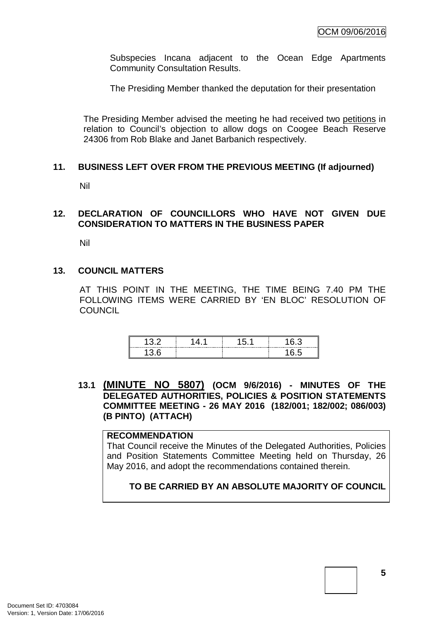Subspecies Incana adjacent to the Ocean Edge Apartments Community Consultation Results.

The Presiding Member thanked the deputation for their presentation

The Presiding Member advised the meeting he had received two petitions in relation to Council's objection to allow dogs on Coogee Beach Reserve 24306 from Rob Blake and Janet Barbanich respectively.

#### **11. BUSINESS LEFT OVER FROM THE PREVIOUS MEETING (If adjourned)**

Nil

#### **12. DECLARATION OF COUNCILLORS WHO HAVE NOT GIVEN DUE CONSIDERATION TO MATTERS IN THE BUSINESS PAPER**

Nil

#### **13. COUNCIL MATTERS**

AT THIS POINT IN THE MEETING, THE TIME BEING 7.40 PM THE FOLLOWING ITEMS WERE CARRIED BY 'EN BLOC' RESOLUTION OF **COUNCIL** 

| <br>------------ | ----------<br> | ⌒<br>---------<br>------ |
|------------------|----------------|--------------------------|
|                  |                |                          |

**13.1 (MINUTE NO 5807) (OCM 9/6/2016) - MINUTES OF THE DELEGATED AUTHORITIES, POLICIES & POSITION STATEMENTS COMMITTEE MEETING - 26 MAY 2016 (182/001; 182/002; 086/003) (B PINTO) (ATTACH)**

#### **RECOMMENDATION**

That Council receive the Minutes of the Delegated Authorities, Policies and Position Statements Committee Meeting held on Thursday, 26 May 2016, and adopt the recommendations contained therein.

#### **TO BE CARRIED BY AN ABSOLUTE MAJORITY OF COUNCIL**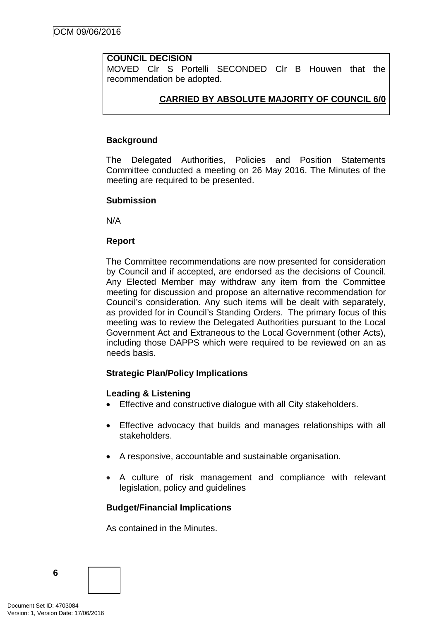### **COUNCIL DECISION**

MOVED Clr S Portelli SECONDED Clr B Houwen that the recommendation be adopted.

## **CARRIED BY ABSOLUTE MAJORITY OF COUNCIL 6/0**

## **Background**

The Delegated Authorities, Policies and Position Statements Committee conducted a meeting on 26 May 2016. The Minutes of the meeting are required to be presented.

#### **Submission**

N/A

#### **Report**

The Committee recommendations are now presented for consideration by Council and if accepted, are endorsed as the decisions of Council. Any Elected Member may withdraw any item from the Committee meeting for discussion and propose an alternative recommendation for Council's consideration. Any such items will be dealt with separately, as provided for in Council's Standing Orders. The primary focus of this meeting was to review the Delegated Authorities pursuant to the Local Government Act and Extraneous to the Local Government (other Acts), including those DAPPS which were required to be reviewed on an as needs basis.

#### **Strategic Plan/Policy Implications**

#### **Leading & Listening**

- Effective and constructive dialogue with all City stakeholders.
- Effective advocacy that builds and manages relationships with all stakeholders.
- A responsive, accountable and sustainable organisation.
- A culture of risk management and compliance with relevant legislation, policy and guidelines

## **Budget/Financial Implications**

As contained in the Minutes.

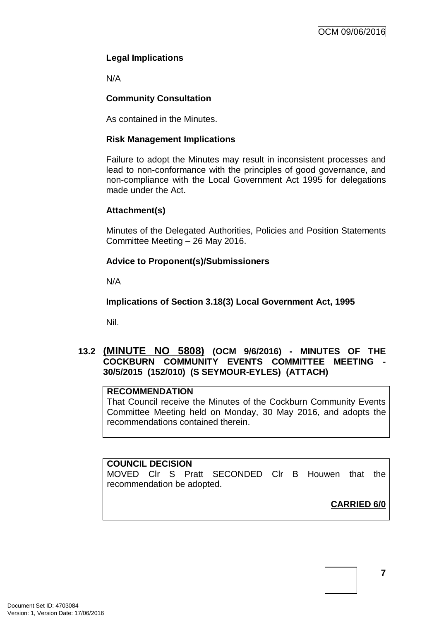## **Legal Implications**

N/A

## **Community Consultation**

As contained in the Minutes.

#### **Risk Management Implications**

Failure to adopt the Minutes may result in inconsistent processes and lead to non-conformance with the principles of good governance, and non-compliance with the Local Government Act 1995 for delegations made under the Act.

#### **Attachment(s)**

Minutes of the Delegated Authorities, Policies and Position Statements Committee Meeting – 26 May 2016.

## **Advice to Proponent(s)/Submissioners**

N/A

**Implications of Section 3.18(3) Local Government Act, 1995**

Nil.

## **13.2 (MINUTE NO 5808) (OCM 9/6/2016) - MINUTES OF THE COCKBURN COMMUNITY EVENTS COMMITTEE MEETING - 30/5/2015 (152/010) (S SEYMOUR-EYLES) (ATTACH)**

#### **RECOMMENDATION**

That Council receive the Minutes of the Cockburn Community Events Committee Meeting held on Monday, 30 May 2016, and adopts the recommendations contained therein.

#### **COUNCIL DECISION**

MOVED Clr S Pratt SECONDED Clr B Houwen that the recommendation be adopted.

**CARRIED 6/0**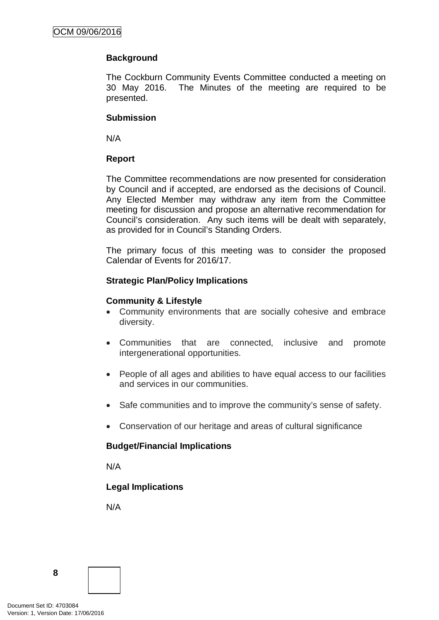## **Background**

The Cockburn Community Events Committee conducted a meeting on 30 May 2016. The Minutes of the meeting are required to be presented.

#### **Submission**

N/A

#### **Report**

The Committee recommendations are now presented for consideration by Council and if accepted, are endorsed as the decisions of Council. Any Elected Member may withdraw any item from the Committee meeting for discussion and propose an alternative recommendation for Council's consideration. Any such items will be dealt with separately, as provided for in Council's Standing Orders.

The primary focus of this meeting was to consider the proposed Calendar of Events for 2016/17.

#### **Strategic Plan/Policy Implications**

#### **Community & Lifestyle**

- Community environments that are socially cohesive and embrace diversity.
- Communities that are connected, inclusive and promote intergenerational opportunities.
- People of all ages and abilities to have equal access to our facilities and services in our communities.
- Safe communities and to improve the community's sense of safety.
- Conservation of our heritage and areas of cultural significance

#### **Budget/Financial Implications**

N/A

#### **Legal Implications**

N/A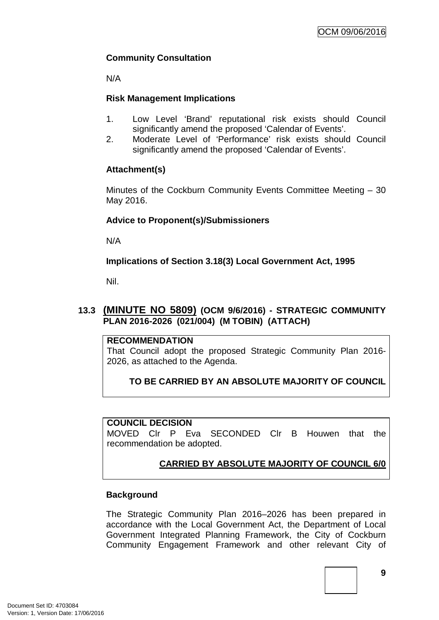## **Community Consultation**

N/A

## **Risk Management Implications**

- 1. Low Level 'Brand' reputational risk exists should Council significantly amend the proposed 'Calendar of Events'.
- 2. Moderate Level of 'Performance' risk exists should Council significantly amend the proposed 'Calendar of Events'.

## **Attachment(s)**

Minutes of the Cockburn Community Events Committee Meeting – 30 May 2016.

#### **Advice to Proponent(s)/Submissioners**

N/A

**Implications of Section 3.18(3) Local Government Act, 1995**

Nil.

## **13.3 (MINUTE NO 5809) (OCM 9/6/2016) - STRATEGIC COMMUNITY PLAN 2016-2026 (021/004) (M TOBIN) (ATTACH)**

#### **RECOMMENDATION**

That Council adopt the proposed Strategic Community Plan 2016- 2026, as attached to the Agenda.

## **TO BE CARRIED BY AN ABSOLUTE MAJORITY OF COUNCIL**

#### **COUNCIL DECISION**

MOVED Clr P Eva SECONDED Clr B Houwen that the recommendation be adopted.

## **CARRIED BY ABSOLUTE MAJORITY OF COUNCIL 6/0**

#### **Background**

The Strategic Community Plan 2016–2026 has been prepared in accordance with the Local Government Act, the Department of Local Government Integrated Planning Framework, the City of Cockburn Community Engagement Framework and other relevant City of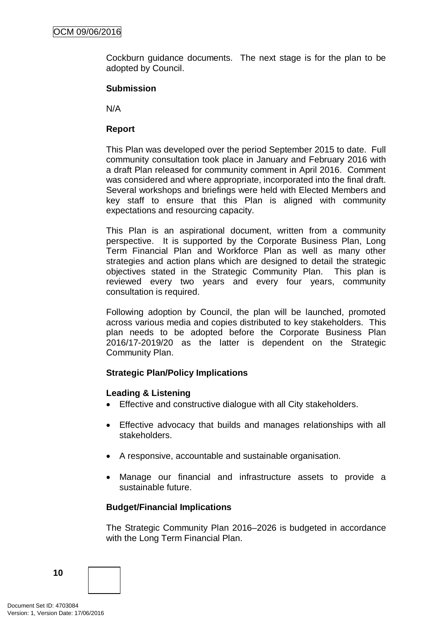Cockburn guidance documents. The next stage is for the plan to be adopted by Council.

#### **Submission**

N/A

### **Report**

This Plan was developed over the period September 2015 to date. Full community consultation took place in January and February 2016 with a draft Plan released for community comment in April 2016. Comment was considered and where appropriate, incorporated into the final draft. Several workshops and briefings were held with Elected Members and key staff to ensure that this Plan is aligned with community expectations and resourcing capacity.

This Plan is an aspirational document, written from a community perspective. It is supported by the Corporate Business Plan, Long Term Financial Plan and Workforce Plan as well as many other strategies and action plans which are designed to detail the strategic objectives stated in the Strategic Community Plan. This plan is reviewed every two years and every four years, community consultation is required.

Following adoption by Council, the plan will be launched, promoted across various media and copies distributed to key stakeholders. This plan needs to be adopted before the Corporate Business Plan 2016/17-2019/20 as the latter is dependent on the Strategic Community Plan.

#### **Strategic Plan/Policy Implications**

#### **Leading & Listening**

- Effective and constructive dialogue with all City stakeholders.
- Effective advocacy that builds and manages relationships with all stakeholders.
- A responsive, accountable and sustainable organisation.
- Manage our financial and infrastructure assets to provide a sustainable future.

#### **Budget/Financial Implications**

The Strategic Community Plan 2016–2026 is budgeted in accordance with the Long Term Financial Plan.

**10**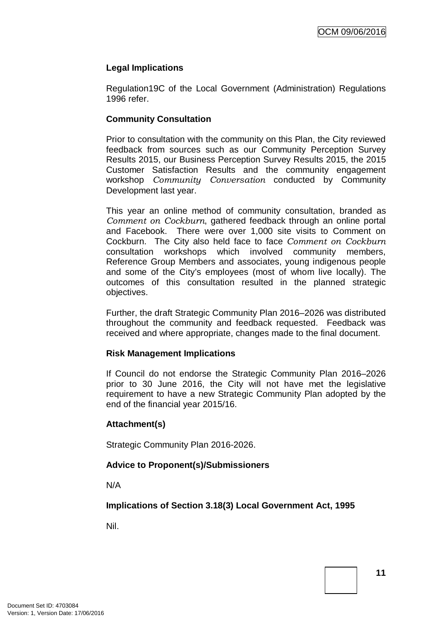## **Legal Implications**

Regulation19C of the Local Government (Administration) Regulations 1996 refer.

### **Community Consultation**

Prior to consultation with the community on this Plan, the City reviewed feedback from sources such as our Community Perception Survey Results 2015, our Business Perception Survey Results 2015, the 2015 Customer Satisfaction Results and the community engagement workshop *Community Conversation* conducted by Community Development last year.

This year an online method of community consultation, branded as *Comment on Cockburn*, gathered feedback through an online portal and Facebook. There were over 1,000 site visits to Comment on Cockburn. The City also held face to face *Comment on Cockburn* consultation workshops which involved community members, Reference Group Members and associates, young indigenous people and some of the City's employees (most of whom live locally). The outcomes of this consultation resulted in the planned strategic objectives.

Further, the draft Strategic Community Plan 2016–2026 was distributed throughout the community and feedback requested. Feedback was received and where appropriate, changes made to the final document.

#### **Risk Management Implications**

If Council do not endorse the Strategic Community Plan 2016–2026 prior to 30 June 2016, the City will not have met the legislative requirement to have a new Strategic Community Plan adopted by the end of the financial year 2015/16.

#### **Attachment(s)**

Strategic Community Plan 2016-2026.

## **Advice to Proponent(s)/Submissioners**

N/A

**Implications of Section 3.18(3) Local Government Act, 1995**

Nil.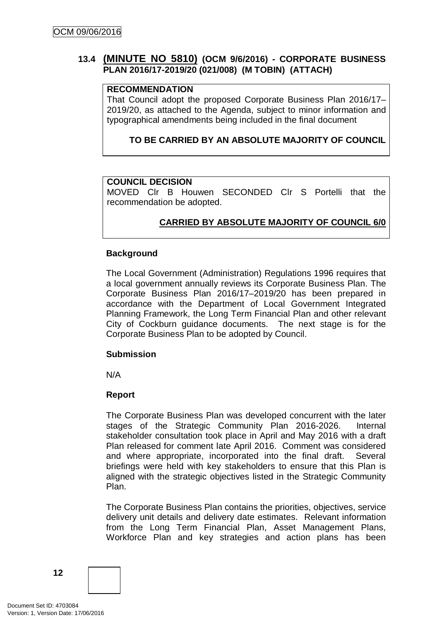## **13.4 (MINUTE NO 5810) (OCM 9/6/2016) - CORPORATE BUSINESS PLAN 2016/17-2019/20 (021/008) (M TOBIN) (ATTACH)**

#### **RECOMMENDATION**

That Council adopt the proposed Corporate Business Plan 2016/17– 2019/20, as attached to the Agenda, subject to minor information and typographical amendments being included in the final document

### **TO BE CARRIED BY AN ABSOLUTE MAJORITY OF COUNCIL**

#### **COUNCIL DECISION**

MOVED Clr B Houwen SECONDED Clr S Portelli that the recommendation be adopted.

## **CARRIED BY ABSOLUTE MAJORITY OF COUNCIL 6/0**

#### **Background**

The Local Government (Administration) Regulations 1996 requires that a local government annually reviews its Corporate Business Plan. The Corporate Business Plan 2016/17–2019/20 has been prepared in accordance with the Department of Local Government Integrated Planning Framework, the Long Term Financial Plan and other relevant City of Cockburn guidance documents. The next stage is for the Corporate Business Plan to be adopted by Council.

#### **Submission**

N/A

#### **Report**

The Corporate Business Plan was developed concurrent with the later stages of the Strategic Community Plan 2016-2026. Internal stakeholder consultation took place in April and May 2016 with a draft Plan released for comment late April 2016. Comment was considered and where appropriate, incorporated into the final draft. Several briefings were held with key stakeholders to ensure that this Plan is aligned with the strategic objectives listed in the Strategic Community Plan.

The Corporate Business Plan contains the priorities, objectives, service delivery unit details and delivery date estimates. Relevant information from the Long Term Financial Plan, Asset Management Plans, Workforce Plan and key strategies and action plans has been

**12**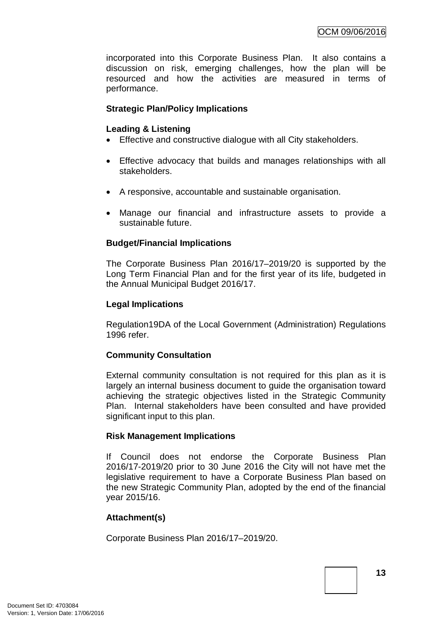incorporated into this Corporate Business Plan. It also contains a discussion on risk, emerging challenges, how the plan will be resourced and how the activities are measured in terms of performance.

### **Strategic Plan/Policy Implications**

#### **Leading & Listening**

- Effective and constructive dialogue with all City stakeholders.
- Effective advocacy that builds and manages relationships with all stakeholders.
- A responsive, accountable and sustainable organisation.
- Manage our financial and infrastructure assets to provide a sustainable future.

#### **Budget/Financial Implications**

The Corporate Business Plan 2016/17–2019/20 is supported by the Long Term Financial Plan and for the first year of its life, budgeted in the Annual Municipal Budget 2016/17.

#### **Legal Implications**

Regulation19DA of the Local Government (Administration) Regulations 1996 refer.

#### **Community Consultation**

External community consultation is not required for this plan as it is largely an internal business document to guide the organisation toward achieving the strategic objectives listed in the Strategic Community Plan. Internal stakeholders have been consulted and have provided significant input to this plan.

#### **Risk Management Implications**

If Council does not endorse the Corporate Business Plan 2016/17-2019/20 prior to 30 June 2016 the City will not have met the legislative requirement to have a Corporate Business Plan based on the new Strategic Community Plan, adopted by the end of the financial year 2015/16.

#### **Attachment(s)**

Corporate Business Plan 2016/17–2019/20.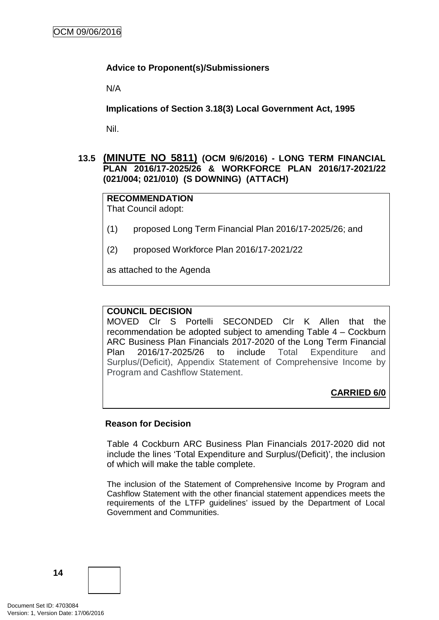#### **Advice to Proponent(s)/Submissioners**

N/A

**Implications of Section 3.18(3) Local Government Act, 1995**

Nil.

## **13.5 (MINUTE NO 5811) (OCM 9/6/2016) - LONG TERM FINANCIAL PLAN 2016/17-2025/26 & WORKFORCE PLAN 2016/17-2021/22 (021/004; 021/010) (S DOWNING) (ATTACH)**

# **RECOMMENDATION**

That Council adopt:

- (1) proposed Long Term Financial Plan 2016/17-2025/26; and
- (2) proposed Workforce Plan 2016/17-2021/22

as attached to the Agenda

#### **COUNCIL DECISION**

MOVED Clr S Portelli SECONDED Clr K Allen that the recommendation be adopted subject to amending Table 4 – Cockburn ARC Business Plan Financials 2017-2020 of the Long Term Financial Plan 2016/17-2025/26 to include Total Expenditure and Surplus/(Deficit), Appendix Statement of Comprehensive Income by Program and Cashflow Statement.

**CARRIED 6/0**

#### **Reason for Decision**

Table 4 Cockburn ARC Business Plan Financials 2017-2020 did not include the lines 'Total Expenditure and Surplus/(Deficit)', the inclusion of which will make the table complete.

The inclusion of the Statement of Comprehensive Income by Program and Cashflow Statement with the other financial statement appendices meets the requirements of the LTFP guidelines' issued by the Department of Local Government and Communities.

**14**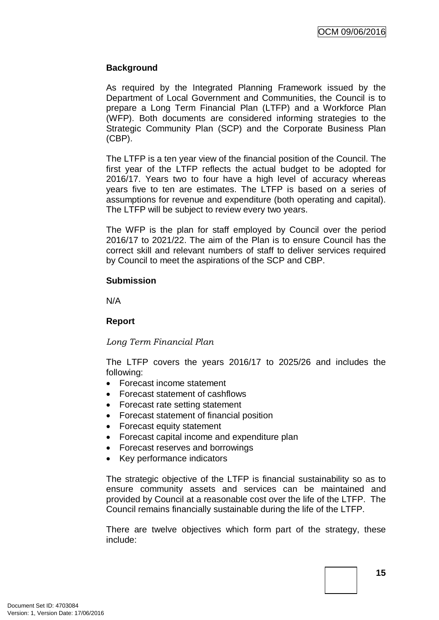### **Background**

As required by the Integrated Planning Framework issued by the Department of Local Government and Communities, the Council is to prepare a Long Term Financial Plan (LTFP) and a Workforce Plan (WFP). Both documents are considered informing strategies to the Strategic Community Plan (SCP) and the Corporate Business Plan (CBP).

The LTFP is a ten year view of the financial position of the Council. The first year of the LTFP reflects the actual budget to be adopted for 2016/17. Years two to four have a high level of accuracy whereas years five to ten are estimates. The LTFP is based on a series of assumptions for revenue and expenditure (both operating and capital). The LTFP will be subject to review every two years.

The WFP is the plan for staff employed by Council over the period 2016/17 to 2021/22. The aim of the Plan is to ensure Council has the correct skill and relevant numbers of staff to deliver services required by Council to meet the aspirations of the SCP and CBP.

#### **Submission**

N/A

#### **Report**

*Long Term Financial Plan*

The LTFP covers the years 2016/17 to 2025/26 and includes the following:

- Forecast income statement
- Forecast statement of cashflows
- Forecast rate setting statement
- Forecast statement of financial position
- Forecast equity statement
- Forecast capital income and expenditure plan
- Forecast reserves and borrowings
- Key performance indicators

The strategic objective of the LTFP is financial sustainability so as to ensure community assets and services can be maintained and provided by Council at a reasonable cost over the life of the LTFP. The Council remains financially sustainable during the life of the LTFP.

There are twelve objectives which form part of the strategy, these include: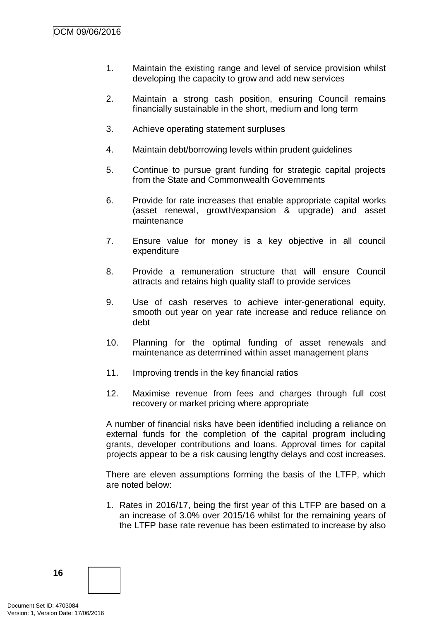- 1. Maintain the existing range and level of service provision whilst developing the capacity to grow and add new services
- 2. Maintain a strong cash position, ensuring Council remains financially sustainable in the short, medium and long term
- 3. Achieve operating statement surpluses
- 4. Maintain debt/borrowing levels within prudent guidelines
- 5. Continue to pursue grant funding for strategic capital projects from the State and Commonwealth Governments
- 6. Provide for rate increases that enable appropriate capital works (asset renewal, growth/expansion & upgrade) and asset maintenance
- 7. Ensure value for money is a key objective in all council expenditure
- 8. Provide a remuneration structure that will ensure Council attracts and retains high quality staff to provide services
- 9. Use of cash reserves to achieve inter-generational equity, smooth out year on year rate increase and reduce reliance on debt
- 10. Planning for the optimal funding of asset renewals and maintenance as determined within asset management plans
- 11. Improving trends in the key financial ratios
- 12. Maximise revenue from fees and charges through full cost recovery or market pricing where appropriate

A number of financial risks have been identified including a reliance on external funds for the completion of the capital program including grants, developer contributions and loans. Approval times for capital projects appear to be a risk causing lengthy delays and cost increases.

There are eleven assumptions forming the basis of the LTFP, which are noted below:

1. Rates in 2016/17, being the first year of this LTFP are based on a an increase of 3.0% over 2015/16 whilst for the remaining years of the LTFP base rate revenue has been estimated to increase by also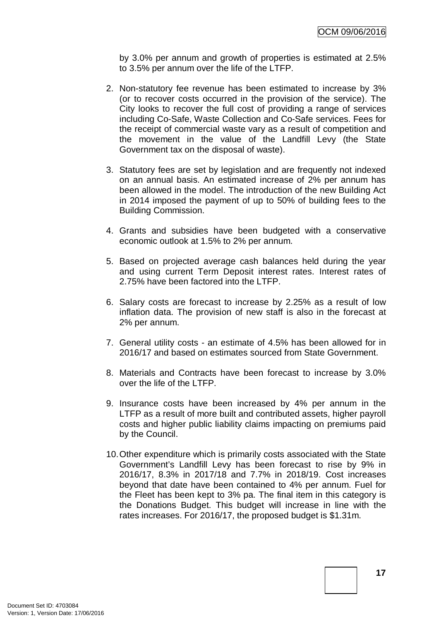by 3.0% per annum and growth of properties is estimated at 2.5% to 3.5% per annum over the life of the LTFP.

- 2. Non-statutory fee revenue has been estimated to increase by 3% (or to recover costs occurred in the provision of the service). The City looks to recover the full cost of providing a range of services including Co-Safe, Waste Collection and Co-Safe services. Fees for the receipt of commercial waste vary as a result of competition and the movement in the value of the Landfill Levy (the State Government tax on the disposal of waste).
- 3. Statutory fees are set by legislation and are frequently not indexed on an annual basis. An estimated increase of 2% per annum has been allowed in the model. The introduction of the new Building Act in 2014 imposed the payment of up to 50% of building fees to the Building Commission.
- 4. Grants and subsidies have been budgeted with a conservative economic outlook at 1.5% to 2% per annum.
- 5. Based on projected average cash balances held during the year and using current Term Deposit interest rates. Interest rates of 2.75% have been factored into the LTFP.
- 6. Salary costs are forecast to increase by 2.25% as a result of low inflation data. The provision of new staff is also in the forecast at 2% per annum.
- 7. General utility costs an estimate of 4.5% has been allowed for in 2016/17 and based on estimates sourced from State Government.
- 8. Materials and Contracts have been forecast to increase by 3.0% over the life of the LTFP.
- 9. Insurance costs have been increased by 4% per annum in the LTFP as a result of more built and contributed assets, higher payroll costs and higher public liability claims impacting on premiums paid by the Council.
- 10.Other expenditure which is primarily costs associated with the State Government's Landfill Levy has been forecast to rise by 9% in 2016/17, 8.3% in 2017/18 and 7.7% in 2018/19. Cost increases beyond that date have been contained to 4% per annum. Fuel for the Fleet has been kept to 3% pa. The final item in this category is the Donations Budget. This budget will increase in line with the rates increases. For 2016/17, the proposed budget is \$1.31m.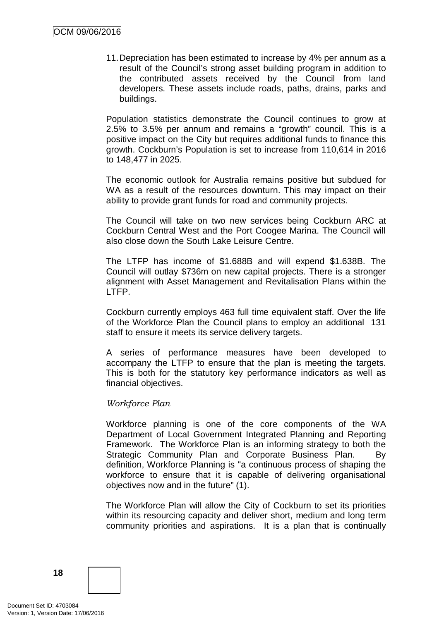11.Depreciation has been estimated to increase by 4% per annum as a result of the Council's strong asset building program in addition to the contributed assets received by the Council from land developers. These assets include roads, paths, drains, parks and buildings.

Population statistics demonstrate the Council continues to grow at 2.5% to 3.5% per annum and remains a "growth" council. This is a positive impact on the City but requires additional funds to finance this growth. Cockburn's Population is set to increase from 110,614 in 2016 to 148,477 in 2025.

The economic outlook for Australia remains positive but subdued for WA as a result of the resources downturn. This may impact on their ability to provide grant funds for road and community projects.

The Council will take on two new services being Cockburn ARC at Cockburn Central West and the Port Coogee Marina. The Council will also close down the South Lake Leisure Centre.

The LTFP has income of \$1.688B and will expend \$1.638B. The Council will outlay \$736m on new capital projects. There is a stronger alignment with Asset Management and Revitalisation Plans within the LTFP.

Cockburn currently employs 463 full time equivalent staff. Over the life of the Workforce Plan the Council plans to employ an additional 131 staff to ensure it meets its service delivery targets.

A series of performance measures have been developed to accompany the LTFP to ensure that the plan is meeting the targets. This is both for the statutory key performance indicators as well as financial objectives.

#### *Workforce Plan*

Workforce planning is one of the core components of the WA Department of Local Government Integrated Planning and Reporting Framework. The Workforce Plan is an informing strategy to both the Strategic Community Plan and Corporate Business Plan. By definition, Workforce Planning is "a continuous process of shaping the workforce to ensure that it is capable of delivering organisational objectives now and in the future" (1).

The Workforce Plan will allow the City of Cockburn to set its priorities within its resourcing capacity and deliver short, medium and long term community priorities and aspirations. It is a plan that is continually

**18**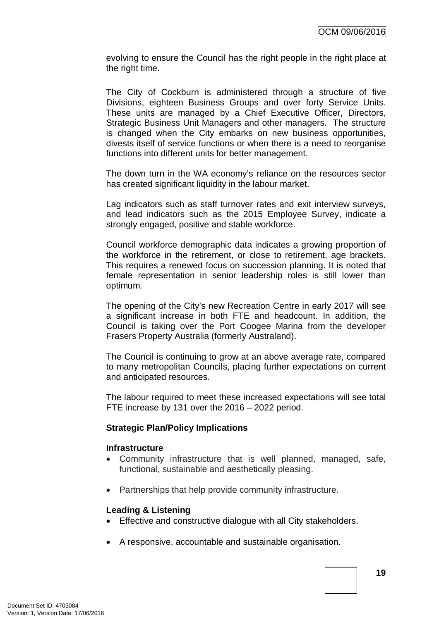evolving to ensure the Council has the right people in the right place at the right time.

The City of Cockburn is administered through a structure of five Divisions, eighteen Business Groups and over forty Service Units. These units are managed by a Chief Executive Officer, Directors, Strategic Business Unit Managers and other managers. The structure is changed when the City embarks on new business opportunities, divests itself of service functions or when there is a need to reorganise functions into different units for better management.

The down turn in the WA economy's reliance on the resources sector has created significant liquidity in the labour market.

Lag indicators such as staff turnover rates and exit interview surveys, and lead indicators such as the 2015 Employee Survey, indicate a strongly engaged, positive and stable workforce.

Council workforce demographic data indicates a growing proportion of the workforce in the retirement, or close to retirement, age brackets. This requires a renewed focus on succession planning. It is noted that female representation in senior leadership roles is still lower than optimum.

The opening of the City's new Recreation Centre in early 2017 will see a significant increase in both FTE and headcount. In addition, the Council is taking over the Port Coogee Marina from the developer Frasers Property Australia (formerly Australand).

The Council is continuing to grow at an above average rate, compared to many metropolitan Councils, placing further expectations on current and anticipated resources.

The labour required to meet these increased expectations will see total FTE increase by 131 over the 2016 – 2022 period.

#### **Strategic Plan/Policy Implications**

#### **Infrastructure**

- Community infrastructure that is well planned, managed, safe, functional, sustainable and aesthetically pleasing.
- Partnerships that help provide community infrastructure.

#### **Leading & Listening**

- Effective and constructive dialogue with all City stakeholders.
- A responsive, accountable and sustainable organisation.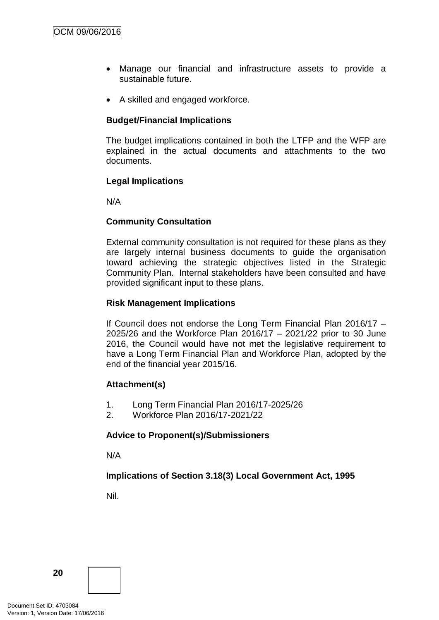- Manage our financial and infrastructure assets to provide a sustainable future.
- A skilled and engaged workforce.

### **Budget/Financial Implications**

The budget implications contained in both the LTFP and the WFP are explained in the actual documents and attachments to the two documents.

#### **Legal Implications**

N/A

#### **Community Consultation**

External community consultation is not required for these plans as they are largely internal business documents to guide the organisation toward achieving the strategic objectives listed in the Strategic Community Plan. Internal stakeholders have been consulted and have provided significant input to these plans.

#### **Risk Management Implications**

If Council does not endorse the Long Term Financial Plan 2016/17 – 2025/26 and the Workforce Plan 2016/17 – 2021/22 prior to 30 June 2016, the Council would have not met the legislative requirement to have a Long Term Financial Plan and Workforce Plan, adopted by the end of the financial year 2015/16.

#### **Attachment(s)**

- 1. Long Term Financial Plan 2016/17-2025/26
- 2. Workforce Plan 2016/17-2021/22

#### **Advice to Proponent(s)/Submissioners**

N/A

#### **Implications of Section 3.18(3) Local Government Act, 1995**

Nil.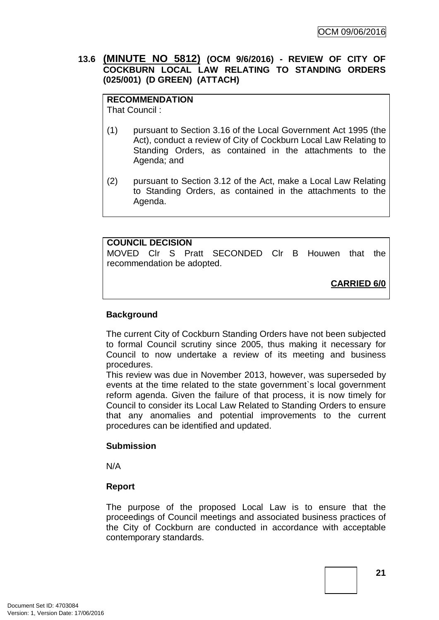## **13.6 (MINUTE NO 5812) (OCM 9/6/2016) - REVIEW OF CITY OF COCKBURN LOCAL LAW RELATING TO STANDING ORDERS (025/001) (D GREEN) (ATTACH)**

## **RECOMMENDATION**

That Council :

- (1) pursuant to Section 3.16 of the Local Government Act 1995 (the Act), conduct a review of City of Cockburn Local Law Relating to Standing Orders, as contained in the attachments to the Agenda; and
- (2) pursuant to Section 3.12 of the Act, make a Local Law Relating to Standing Orders, as contained in the attachments to the Agenda.

#### **COUNCIL DECISION**

MOVED Clr S Pratt SECONDED Clr B Houwen that the recommendation be adopted.

**CARRIED 6/0**

## **Background**

The current City of Cockburn Standing Orders have not been subjected to formal Council scrutiny since 2005, thus making it necessary for Council to now undertake a review of its meeting and business procedures.

This review was due in November 2013, however, was superseded by events at the time related to the state government`s local government reform agenda. Given the failure of that process, it is now timely for Council to consider its Local Law Related to Standing Orders to ensure that any anomalies and potential improvements to the current procedures can be identified and updated.

#### **Submission**

N/A

#### **Report**

The purpose of the proposed Local Law is to ensure that the proceedings of Council meetings and associated business practices of the City of Cockburn are conducted in accordance with acceptable contemporary standards.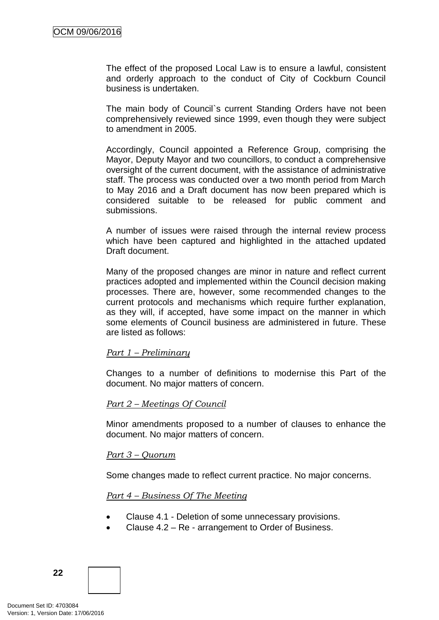The effect of the proposed Local Law is to ensure a lawful, consistent and orderly approach to the conduct of City of Cockburn Council business is undertaken.

The main body of Council`s current Standing Orders have not been comprehensively reviewed since 1999, even though they were subject to amendment in 2005.

Accordingly, Council appointed a Reference Group, comprising the Mayor, Deputy Mayor and two councillors, to conduct a comprehensive oversight of the current document, with the assistance of administrative staff. The process was conducted over a two month period from March to May 2016 and a Draft document has now been prepared which is considered suitable to be released for public comment and submissions.

A number of issues were raised through the internal review process which have been captured and highlighted in the attached updated Draft document.

Many of the proposed changes are minor in nature and reflect current practices adopted and implemented within the Council decision making processes. There are, however, some recommended changes to the current protocols and mechanisms which require further explanation, as they will, if accepted, have some impact on the manner in which some elements of Council business are administered in future. These are listed as follows:

#### *Part 1 – Preliminary*

Changes to a number of definitions to modernise this Part of the document. No major matters of concern.

#### *Part 2 – Meetings Of Council*

Minor amendments proposed to a number of clauses to enhance the document. No major matters of concern.

#### *Part 3 – Quorum*

Some changes made to reflect current practice. No major concerns.

#### *Part 4 – Business Of The Meeting*

- Clause 4.1 Deletion of some unnecessary provisions.
- Clause 4.2 Re arrangement to Order of Business.

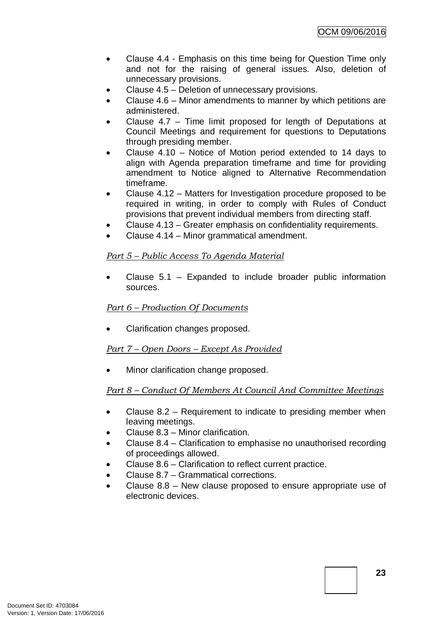- Clause 4.4 Emphasis on this time being for Question Time only and not for the raising of general issues. Also, deletion of unnecessary provisions.
- Clause 4.5 Deletion of unnecessary provisions.
- Clause 4.6 Minor amendments to manner by which petitions are administered.
- Clause 4.7 Time limit proposed for length of Deputations at Council Meetings and requirement for questions to Deputations through presiding member.
- Clause 4.10 Notice of Motion period extended to 14 days to align with Agenda preparation timeframe and time for providing amendment to Notice aligned to Alternative Recommendation timeframe.
- Clause 4.12 Matters for Investigation procedure proposed to be required in writing, in order to comply with Rules of Conduct provisions that prevent individual members from directing staff.
- Clause 4.13 Greater emphasis on confidentiality requirements.
- Clause 4.14 Minor grammatical amendment.

## *Part 5 – Public Access To Agenda Material*

Clause  $5.1$  – Expanded to include broader public information sources.

#### *Part 6 – Production Of Documents*

• Clarification changes proposed.

#### *Part 7 – Open Doors – Except As Provided*

• Minor clarification change proposed.

## *Part 8 – Conduct Of Members At Council And Committee Meetings*

- Clause 8.2 Requirement to indicate to presiding member when leaving meetings.
- Clause 8.3 Minor clarification.
- Clause 8.4 Clarification to emphasise no unauthorised recording of proceedings allowed.
- Clause 8.6 Clarification to reflect current practice.
- Clause 8.7 Grammatical corrections.
- Clause 8.8 New clause proposed to ensure appropriate use of electronic devices.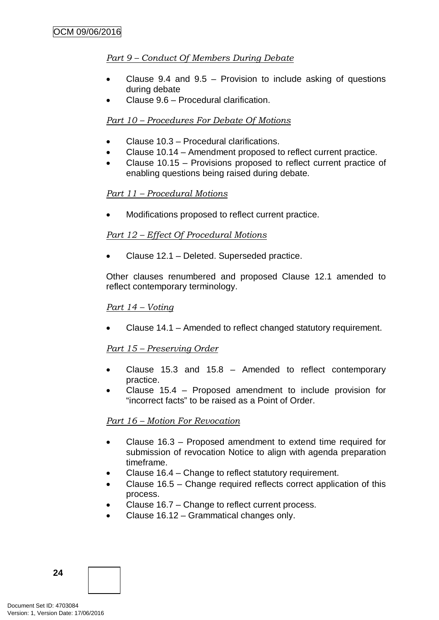## *Part 9 – Conduct Of Members During Debate*

- Clause 9.4 and  $9.5$  Provision to include asking of questions during debate
- Clause 9.6 Procedural clarification.

### *Part 10 – Procedures For Debate Of Motions*

- Clause 10.3 Procedural clarifications.
- Clause 10.14 Amendment proposed to reflect current practice.
- Clause 10.15 Provisions proposed to reflect current practice of enabling questions being raised during debate.

#### *Part 11 – Procedural Motions*

• Modifications proposed to reflect current practice.

## *Part 12 – Effect Of Procedural Motions*

• Clause 12.1 – Deleted. Superseded practice.

Other clauses renumbered and proposed Clause 12.1 amended to reflect contemporary terminology.

#### *Part 14 – Voting*

• Clause 14.1 – Amended to reflect changed statutory requirement.

#### *Part 15 – Preserving Order*

- Clause 15.3 and 15.8 Amended to reflect contemporary practice.
- Clause 15.4 Proposed amendment to include provision for "incorrect facts" to be raised as a Point of Order.

#### *Part 16 – Motion For Revocation*

- Clause 16.3 Proposed amendment to extend time required for submission of revocation Notice to align with agenda preparation timeframe.
- Clause 16.4 Change to reflect statutory requirement.
- Clause 16.5 Change required reflects correct application of this process.
- Clause 16.7 Change to reflect current process.
- Clause 16.12 Grammatical changes only.

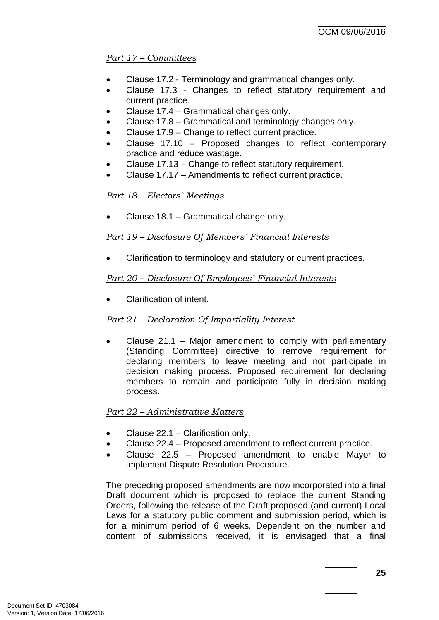## *Part 17 – Committees*

- Clause 17.2 Terminology and grammatical changes only.
- Clause 17.3 Changes to reflect statutory requirement and current practice.
- Clause 17.4 Grammatical changes only.
- Clause 17.8 Grammatical and terminology changes only.
- Clause 17.9 Change to reflect current practice.
- Clause 17.10 Proposed changes to reflect contemporary practice and reduce wastage.
- Clause 17.13 Change to reflect statutory requirement.
- Clause 17.17 Amendments to reflect current practice.

## *Part 18 – Electors` Meetings*

• Clause 18.1 – Grammatical change only.

## *Part 19 – Disclosure Of Members` Financial Interests*

• Clarification to terminology and statutory or current practices.

## *Part 20 – Disclosure Of Employees` Financial Interests*

• Clarification of intent.

## *Part 21 – Declaration Of Impartiality Interest*

Clause  $21.1$  – Major amendment to comply with parliamentary (Standing Committee) directive to remove requirement for declaring members to leave meeting and not participate in decision making process. Proposed requirement for declaring members to remain and participate fully in decision making process.

## *Part 22 – Administrative Matters*

- Clause 22.1 Clarification only.
- Clause 22.4 Proposed amendment to reflect current practice.
- Clause  $22.5$  Proposed amendment to enable Mayor to implement Dispute Resolution Procedure.

The preceding proposed amendments are now incorporated into a final Draft document which is proposed to replace the current Standing Orders, following the release of the Draft proposed (and current) Local Laws for a statutory public comment and submission period, which is for a minimum period of 6 weeks. Dependent on the number and content of submissions received, it is envisaged that a final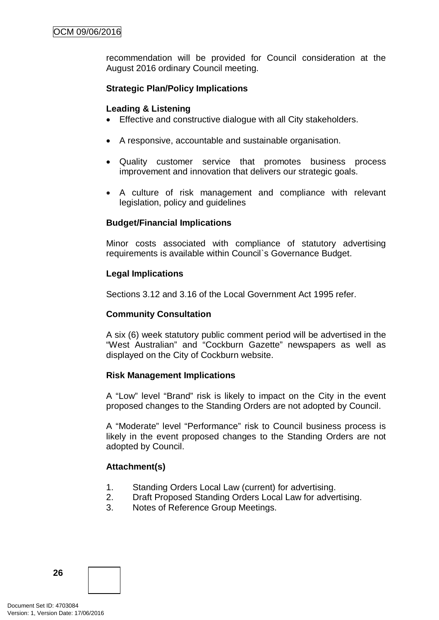recommendation will be provided for Council consideration at the August 2016 ordinary Council meeting.

## **Strategic Plan/Policy Implications**

#### **Leading & Listening**

- Effective and constructive dialogue with all City stakeholders.
- A responsive, accountable and sustainable organisation.
- Quality customer service that promotes business process improvement and innovation that delivers our strategic goals.
- A culture of risk management and compliance with relevant legislation, policy and guidelines

## **Budget/Financial Implications**

Minor costs associated with compliance of statutory advertising requirements is available within Council`s Governance Budget.

#### **Legal Implications**

Sections 3.12 and 3.16 of the Local Government Act 1995 refer.

#### **Community Consultation**

A six (6) week statutory public comment period will be advertised in the "West Australian" and "Cockburn Gazette" newspapers as well as displayed on the City of Cockburn website.

#### **Risk Management Implications**

A "Low" level "Brand" risk is likely to impact on the City in the event proposed changes to the Standing Orders are not adopted by Council.

A "Moderate" level "Performance" risk to Council business process is likely in the event proposed changes to the Standing Orders are not adopted by Council.

#### **Attachment(s)**

- 1. Standing Orders Local Law (current) for advertising.
- 2. Draft Proposed Standing Orders Local Law for advertising.
- 3. Notes of Reference Group Meetings.

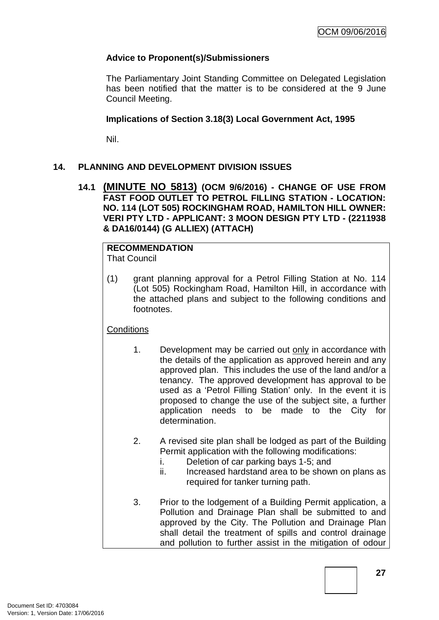## **Advice to Proponent(s)/Submissioners**

The Parliamentary Joint Standing Committee on Delegated Legislation has been notified that the matter is to be considered at the 9 June Council Meeting.

### **Implications of Section 3.18(3) Local Government Act, 1995**

Nil.

## **14. PLANNING AND DEVELOPMENT DIVISION ISSUES**

**14.1 (MINUTE NO 5813) (OCM 9/6/2016) - CHANGE OF USE FROM FAST FOOD OUTLET TO PETROL FILLING STATION - LOCATION: NO. 114 (LOT 505) ROCKINGHAM ROAD, HAMILTON HILL OWNER: VERI PTY LTD - APPLICANT: 3 MOON DESIGN PTY LTD - (2211938 & DA16/0144) (G ALLIEX) (ATTACH)**

#### **RECOMMENDATION** That Council

(1) grant planning approval for a Petrol Filling Station at No. 114 (Lot 505) Rockingham Road, Hamilton Hill, in accordance with the attached plans and subject to the following conditions and footnotes.

## **Conditions**

- 1. Development may be carried out only in accordance with the details of the application as approved herein and any approved plan. This includes the use of the land and/or a tenancy. The approved development has approval to be used as a 'Petrol Filling Station' only. In the event it is proposed to change the use of the subject site, a further application needs to be made to the City for determination.
- 2. A revised site plan shall be lodged as part of the Building Permit application with the following modifications:
	- i. Deletion of car parking bays 1-5; and
	- ii. Increased hardstand area to be shown on plans as required for tanker turning path.
- 3. Prior to the lodgement of a Building Permit application, a Pollution and Drainage Plan shall be submitted to and approved by the City. The Pollution and Drainage Plan shall detail the treatment of spills and control drainage and pollution to further assist in the mitigation of odour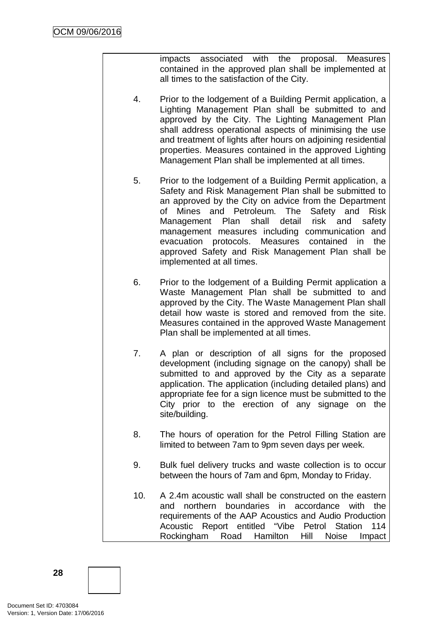impacts associated with the proposal. Measures contained in the approved plan shall be implemented at all times to the satisfaction of the City.

- 4. Prior to the lodgement of a Building Permit application, a Lighting Management Plan shall be submitted to and approved by the City. The Lighting Management Plan shall address operational aspects of minimising the use and treatment of lights after hours on adjoining residential properties. Measures contained in the approved Lighting Management Plan shall be implemented at all times.
- 5. Prior to the lodgement of a Building Permit application, a Safety and Risk Management Plan shall be submitted to an approved by the City on advice from the Department of Mines and Petroleum. The Safety and Risk Management Plan shall detail risk and safety management measures including communication and evacuation protocols. Measures contained in the approved Safety and Risk Management Plan shall be implemented at all times.
- 6. Prior to the lodgement of a Building Permit application a Waste Management Plan shall be submitted to and approved by the City. The Waste Management Plan shall detail how waste is stored and removed from the site. Measures contained in the approved Waste Management Plan shall be implemented at all times.
- 7. A plan or description of all signs for the proposed development (including signage on the canopy) shall be submitted to and approved by the City as a separate application. The application (including detailed plans) and appropriate fee for a sign licence must be submitted to the City prior to the erection of any signage on the site/building.
- 8. The hours of operation for the Petrol Filling Station are limited to between 7am to 9pm seven days per week.
- 9. Bulk fuel delivery trucks and waste collection is to occur between the hours of 7am and 6pm, Monday to Friday.
- 10. A 2.4m acoustic wall shall be constructed on the eastern and northern boundaries in accordance with the requirements of the AAP Acoustics and Audio Production Acoustic Report entitled "Vibe Petrol Station 114 Rockingham Road Hamilton Hill Noise Impact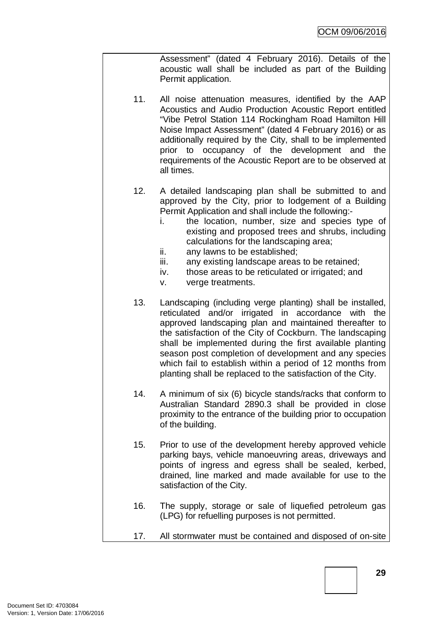Assessment" (dated 4 February 2016). Details of the acoustic wall shall be included as part of the Building Permit application.

- 11. All noise attenuation measures, identified by the AAP Acoustics and Audio Production Acoustic Report entitled "Vibe Petrol Station 114 Rockingham Road Hamilton Hill Noise Impact Assessment" (dated 4 February 2016) or as additionally required by the City, shall to be implemented prior to occupancy of the development and the requirements of the Acoustic Report are to be observed at all times.
- 12. A detailed landscaping plan shall be submitted to and approved by the City, prior to lodgement of a Building Permit Application and shall include the following:
	- i. the location, number, size and species type of existing and proposed trees and shrubs, including calculations for the landscaping area;
	- ii. any lawns to be established;
	- iii. any existing landscape areas to be retained;
	- iv. those areas to be reticulated or irrigated; and
	- v. verge treatments.
- 13. Landscaping (including verge planting) shall be installed, reticulated and/or irrigated in accordance with the approved landscaping plan and maintained thereafter to the satisfaction of the City of Cockburn. The landscaping shall be implemented during the first available planting season post completion of development and any species which fail to establish within a period of 12 months from planting shall be replaced to the satisfaction of the City.
- 14. A minimum of six (6) bicycle stands/racks that conform to Australian Standard 2890.3 shall be provided in close proximity to the entrance of the building prior to occupation of the building.
- 15. Prior to use of the development hereby approved vehicle parking bays, vehicle manoeuvring areas, driveways and points of ingress and egress shall be sealed, kerbed, drained, line marked and made available for use to the satisfaction of the City.
- 16. The supply, storage or sale of liquefied petroleum gas (LPG) for refuelling purposes is not permitted.
- 17. All stormwater must be contained and disposed of on-site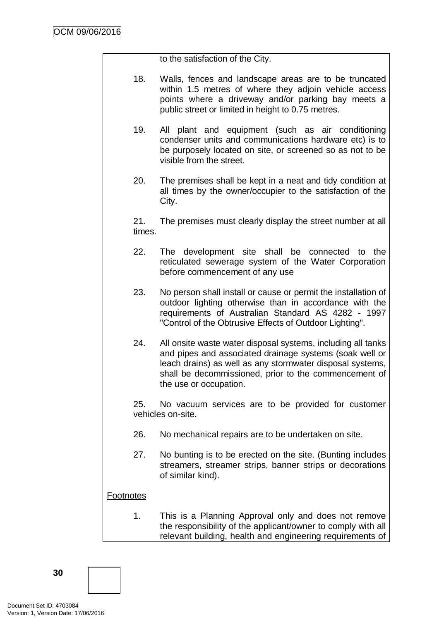to the satisfaction of the City.

- 18. Walls, fences and landscape areas are to be truncated within 1.5 metres of where they adjoin vehicle access points where a driveway and/or parking bay meets a public street or limited in height to 0.75 metres.
- 19. All plant and equipment (such as air conditioning condenser units and communications hardware etc) is to be purposely located on site, or screened so as not to be visible from the street.
- 20. The premises shall be kept in a neat and tidy condition at all times by the owner/occupier to the satisfaction of the City.

21. The premises must clearly display the street number at all times.

- 22. The development site shall be connected to the reticulated sewerage system of the Water Corporation before commencement of any use
- 23. No person shall install or cause or permit the installation of outdoor lighting otherwise than in accordance with the requirements of Australian Standard AS 4282 - 1997 "Control of the Obtrusive Effects of Outdoor Lighting".
- 24. All onsite waste water disposal systems, including all tanks and pipes and associated drainage systems (soak well or leach drains) as well as any stormwater disposal systems, shall be decommissioned, prior to the commencement of the use or occupation.

25. No vacuum services are to be provided for customer vehicles on-site.

- 26. No mechanical repairs are to be undertaken on site.
- 27. No bunting is to be erected on the site. (Bunting includes streamers, streamer strips, banner strips or decorations of similar kind).

#### **Footnotes**

1. This is a Planning Approval only and does not remove the responsibility of the applicant/owner to comply with all relevant building, health and engineering requirements of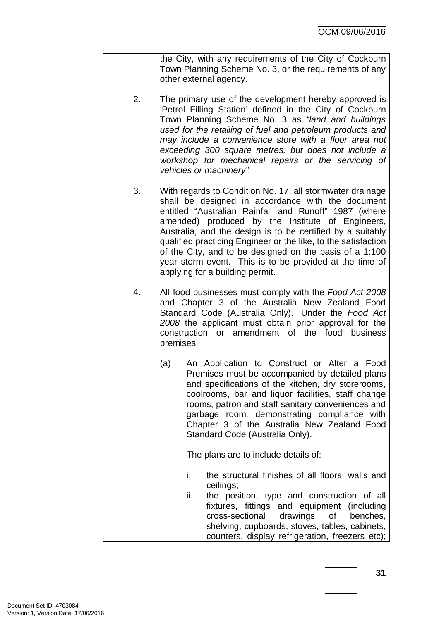the City, with any requirements of the City of Cockburn Town Planning Scheme No. 3, or the requirements of any other external agency.

- 2. The primary use of the development hereby approved is 'Petrol Filling Station' defined in the City of Cockburn Town Planning Scheme No. 3 as *"land and buildings used for the retailing of fuel and petroleum products and may include a convenience store with a floor area not exceeding 300 square metres, but does not include a workshop for mechanical repairs or the servicing of vehicles or machinery".*
- 3. With regards to Condition No. 17, all stormwater drainage shall be designed in accordance with the document entitled "Australian Rainfall and Runoff" 1987 (where amended) produced by the Institute of Engineers, Australia, and the design is to be certified by a suitably qualified practicing Engineer or the like, to the satisfaction of the City, and to be designed on the basis of a 1:100 year storm event. This is to be provided at the time of applying for a building permit.
- 4. All food businesses must comply with the *Food Act 2008*  and Chapter 3 of the Australia New Zealand Food Standard Code (Australia Only). Under the *Food Act 2008* the applicant must obtain prior approval for the construction or amendment of the food business premises.
	- (a) An Application to Construct or Alter a Food Premises must be accompanied by detailed plans and specifications of the kitchen, dry storerooms, coolrooms, bar and liquor facilities, staff change rooms, patron and staff sanitary conveniences and garbage room, demonstrating compliance with Chapter 3 of the Australia New Zealand Food Standard Code (Australia Only).

The plans are to include details of:

- i. the structural finishes of all floors, walls and ceilings;
- ii. the position, type and construction of all fixtures, fittings and equipment (including cross-sectional drawings of benches, shelving, cupboards, stoves, tables, cabinets, counters, display refrigeration, freezers etc);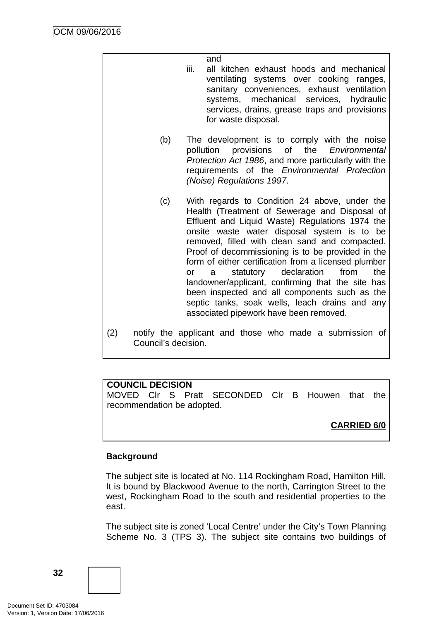and

- iii. all kitchen exhaust hoods and mechanical ventilating systems over cooking ranges, sanitary conveniences, exhaust ventilation systems, mechanical services, hydraulic services, drains, grease traps and provisions for waste disposal.
- (b) The development is to comply with the noise pollution provisions of the *Environmental Protection Act 1986*, and more particularly with the requirements of the *Environmental Protection (Noise) Regulations 1997*.
- (c) With regards to Condition 24 above, under the Health (Treatment of Sewerage and Disposal of Effluent and Liquid Waste) Regulations 1974 the onsite waste water disposal system is to be removed, filled with clean sand and compacted. Proof of decommissioning is to be provided in the form of either certification from a licensed plumber or a statutory declaration from the landowner/applicant, confirming that the site has been inspected and all components such as the septic tanks, soak wells, leach drains and any associated pipework have been removed.
- (2) notify the applicant and those who made a submission of Council's decision.

## **COUNCIL DECISION**

MOVED Clr S Pratt SECONDED Clr B Houwen that the recommendation be adopted.

## **CARRIED 6/0**

## **Background**

The subject site is located at No. 114 Rockingham Road, Hamilton Hill. It is bound by Blackwood Avenue to the north, Carrington Street to the west, Rockingham Road to the south and residential properties to the east.

The subject site is zoned 'Local Centre' under the City's Town Planning Scheme No. 3 (TPS 3). The subject site contains two buildings of

**32**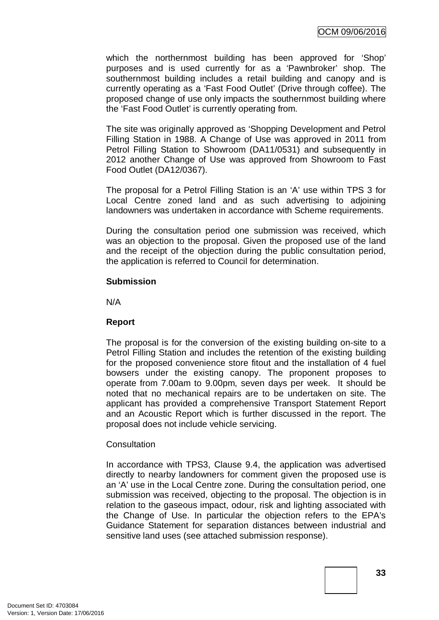which the northernmost building has been approved for 'Shop' purposes and is used currently for as a 'Pawnbroker' shop. The southernmost building includes a retail building and canopy and is currently operating as a 'Fast Food Outlet' (Drive through coffee). The proposed change of use only impacts the southernmost building where the 'Fast Food Outlet' is currently operating from.

The site was originally approved as 'Shopping Development and Petrol Filling Station in 1988. A Change of Use was approved in 2011 from Petrol Filling Station to Showroom (DA11/0531) and subsequently in 2012 another Change of Use was approved from Showroom to Fast Food Outlet (DA12/0367).

The proposal for a Petrol Filling Station is an 'A' use within TPS 3 for Local Centre zoned land and as such advertising to adjoining landowners was undertaken in accordance with Scheme requirements.

During the consultation period one submission was received, which was an objection to the proposal. Given the proposed use of the land and the receipt of the objection during the public consultation period, the application is referred to Council for determination.

## **Submission**

N/A

# **Report**

The proposal is for the conversion of the existing building on-site to a Petrol Filling Station and includes the retention of the existing building for the proposed convenience store fitout and the installation of 4 fuel bowsers under the existing canopy. The proponent proposes to operate from 7.00am to 9.00pm, seven days per week. It should be noted that no mechanical repairs are to be undertaken on site. The applicant has provided a comprehensive Transport Statement Report and an Acoustic Report which is further discussed in the report. The proposal does not include vehicle servicing.

# **Consultation**

In accordance with TPS3, Clause 9.4, the application was advertised directly to nearby landowners for comment given the proposed use is an 'A' use in the Local Centre zone. During the consultation period, one submission was received, objecting to the proposal. The objection is in relation to the gaseous impact, odour, risk and lighting associated with the Change of Use. In particular the objection refers to the EPA's Guidance Statement for separation distances between industrial and sensitive land uses (see attached submission response).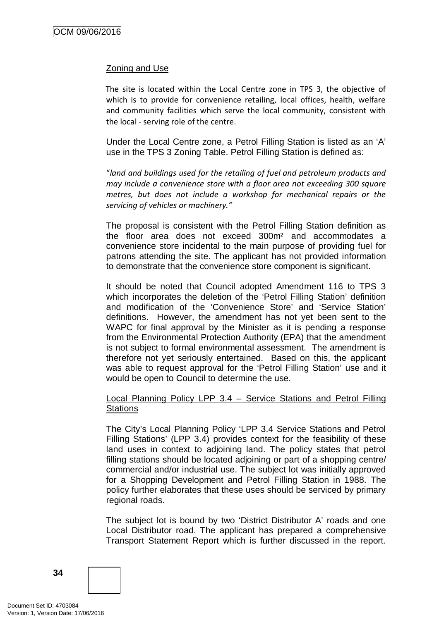## Zoning and Use

The site is located within the Local Centre zone in TPS 3, the objective of which is to provide for convenience retailing, local offices, health, welfare and community facilities which serve the local community, consistent with the local - serving role of the centre.

Under the Local Centre zone, a Petrol Filling Station is listed as an 'A' use in the TPS 3 Zoning Table. Petrol Filling Station is defined as:

"*land and buildings used for the retailing of fuel and petroleum products and may include a convenience store with a floor area not exceeding 300 square metres, but does not include a workshop for mechanical repairs or the servicing of vehicles or machinery."*

The proposal is consistent with the Petrol Filling Station definition as the floor area does not exceed 300m² and accommodates a convenience store incidental to the main purpose of providing fuel for patrons attending the site. The applicant has not provided information to demonstrate that the convenience store component is significant.

It should be noted that Council adopted Amendment 116 to TPS 3 which incorporates the deletion of the 'Petrol Filling Station' definition and modification of the 'Convenience Store' and 'Service Station' definitions. However, the amendment has not yet been sent to the WAPC for final approval by the Minister as it is pending a response from the Environmental Protection Authority (EPA) that the amendment is not subject to formal environmental assessment. The amendment is therefore not yet seriously entertained. Based on this, the applicant was able to request approval for the 'Petrol Filling Station' use and it would be open to Council to determine the use.

## Local Planning Policy LPP 3.4 – Service Stations and Petrol Filling **Stations**

The City's Local Planning Policy 'LPP 3.4 Service Stations and Petrol Filling Stations' (LPP 3.4) provides context for the feasibility of these land uses in context to adjoining land. The policy states that petrol filling stations should be located adjoining or part of a shopping centre/ commercial and/or industrial use. The subject lot was initially approved for a Shopping Development and Petrol Filling Station in 1988. The policy further elaborates that these uses should be serviced by primary regional roads.

The subject lot is bound by two 'District Distributor A' roads and one Local Distributor road. The applicant has prepared a comprehensive Transport Statement Report which is further discussed in the report.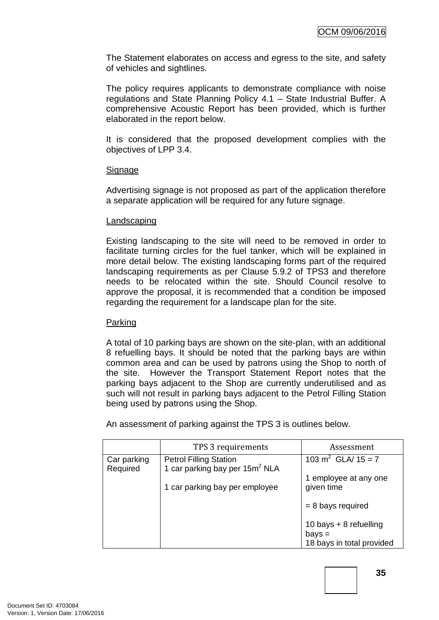The Statement elaborates on access and egress to the site, and safety of vehicles and sightlines.

The policy requires applicants to demonstrate compliance with noise regulations and State Planning Policy 4.1 – State Industrial Buffer. A comprehensive Acoustic Report has been provided, which is further elaborated in the report below.

It is considered that the proposed development complies with the objectives of LPP 3.4.

## **Signage**

Advertising signage is not proposed as part of the application therefore a separate application will be required for any future signage.

#### Landscaping

Existing landscaping to the site will need to be removed in order to facilitate turning circles for the fuel tanker, which will be explained in more detail below. The existing landscaping forms part of the required landscaping requirements as per Clause 5.9.2 of TPS3 and therefore needs to be relocated within the site. Should Council resolve to approve the proposal, it is recommended that a condition be imposed regarding the requirement for a landscape plan for the site.

# Parking

A total of 10 parking bays are shown on the site-plan, with an additional 8 refuelling bays. It should be noted that the parking bays are within common area and can be used by patrons using the Shop to north of the site. However the Transport Statement Report notes that the parking bays adjacent to the Shop are currently underutilised and as such will not result in parking bays adjacent to the Petrol Filling Station being used by patrons using the Shop.

An assessment of parking against the TPS 3 is outlines below.

|                         | TPS 3 requirements                                                          | Assessment                            |
|-------------------------|-----------------------------------------------------------------------------|---------------------------------------|
| Car parking<br>Required | <b>Petrol Filling Station</b><br>1 car parking bay per 15m <sup>2</sup> NLA | 103 m <sup>2</sup> GLA/ $15 = 7$      |
|                         | 1 car parking bay per employee                                              | 1 employee at any one<br>given time   |
|                         |                                                                             | $= 8$ bays required                   |
|                         |                                                                             | 10 bays + 8 refuelling                |
|                         |                                                                             | $bays =$<br>18 bays in total provided |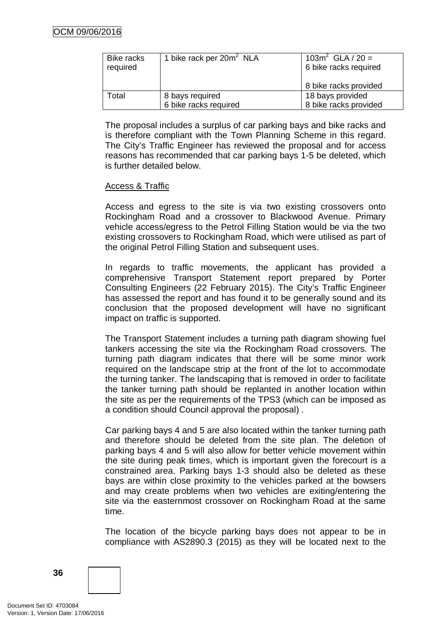| <b>Bike racks</b><br>required | 1 bike rack per 20m <sup>2</sup> NLA | 103 $m^2$ GLA / 20 =<br>6 bike racks required |  |
|-------------------------------|--------------------------------------|-----------------------------------------------|--|
|                               |                                      | 8 bike racks provided                         |  |
| Total                         | 8 bays required                      | 18 bays provided                              |  |
|                               | 6 bike racks required                | 8 bike racks provided                         |  |

The proposal includes a surplus of car parking bays and bike racks and is therefore compliant with the Town Planning Scheme in this regard. The City's Traffic Engineer has reviewed the proposal and for access reasons has recommended that car parking bays 1-5 be deleted, which is further detailed below.

## Access & Traffic

Access and egress to the site is via two existing crossovers onto Rockingham Road and a crossover to Blackwood Avenue. Primary vehicle access/egress to the Petrol Filling Station would be via the two existing crossovers to Rockingham Road, which were utilised as part of the original Petrol Filling Station and subsequent uses.

In regards to traffic movements, the applicant has provided a comprehensive Transport Statement report prepared by Porter Consulting Engineers (22 February 2015). The City's Traffic Engineer has assessed the report and has found it to be generally sound and its conclusion that the proposed development will have no significant impact on traffic is supported.

The Transport Statement includes a turning path diagram showing fuel tankers accessing the site via the Rockingham Road crossovers. The turning path diagram indicates that there will be some minor work required on the landscape strip at the front of the lot to accommodate the turning tanker. The landscaping that is removed in order to facilitate the tanker turning path should be replanted in another location within the site as per the requirements of the TPS3 (which can be imposed as a condition should Council approval the proposal) .

Car parking bays 4 and 5 are also located within the tanker turning path and therefore should be deleted from the site plan. The deletion of parking bays 4 and 5 will also allow for better vehicle movement within the site during peak times, which is important given the forecourt is a constrained area. Parking bays 1-3 should also be deleted as these bays are within close proximity to the vehicles parked at the bowsers and may create problems when two vehicles are exiting/entering the site via the easternmost crossover on Rockingham Road at the same time.

The location of the bicycle parking bays does not appear to be in compliance with AS2890.3 (2015) as they will be located next to the

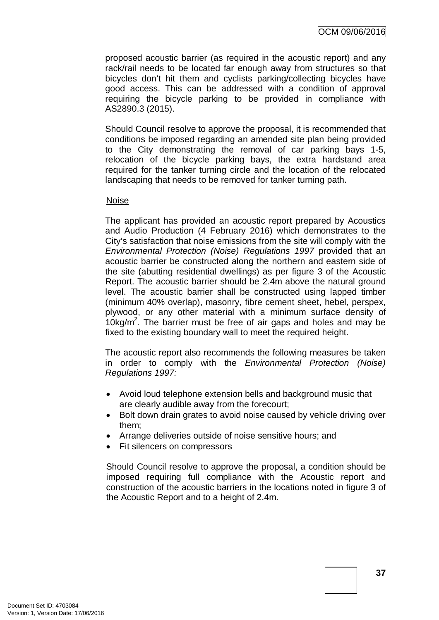proposed acoustic barrier (as required in the acoustic report) and any rack/rail needs to be located far enough away from structures so that bicycles don't hit them and cyclists parking/collecting bicycles have good access. This can be addressed with a condition of approval requiring the bicycle parking to be provided in compliance with AS2890.3 (2015).

Should Council resolve to approve the proposal, it is recommended that conditions be imposed regarding an amended site plan being provided to the City demonstrating the removal of car parking bays 1-5, relocation of the bicycle parking bays, the extra hardstand area required for the tanker turning circle and the location of the relocated landscaping that needs to be removed for tanker turning path.

#### Noise

The applicant has provided an acoustic report prepared by Acoustics and Audio Production (4 February 2016) which demonstrates to the City's satisfaction that noise emissions from the site will comply with the *Environmental Protection (Noise) Regulations 1997* provided that an acoustic barrier be constructed along the northern and eastern side of the site (abutting residential dwellings) as per figure 3 of the Acoustic Report. The acoustic barrier should be 2.4m above the natural ground level. The acoustic barrier shall be constructed using lapped timber (minimum 40% overlap), masonry, fibre cement sheet, hebel, perspex, plywood, or any other material with a minimum surface density of  $10$ kg/m<sup>2</sup>. The barrier must be free of air gaps and holes and may be fixed to the existing boundary wall to meet the required height.

The acoustic report also recommends the following measures be taken in order to comply with the *Environmental Protection (Noise) Regulations 1997:*

- Avoid loud telephone extension bells and background music that are clearly audible away from the forecourt;
- Bolt down drain grates to avoid noise caused by vehicle driving over them;
- Arrange deliveries outside of noise sensitive hours; and
- Fit silencers on compressors

Should Council resolve to approve the proposal, a condition should be imposed requiring full compliance with the Acoustic report and construction of the acoustic barriers in the locations noted in figure 3 of the Acoustic Report and to a height of 2.4m.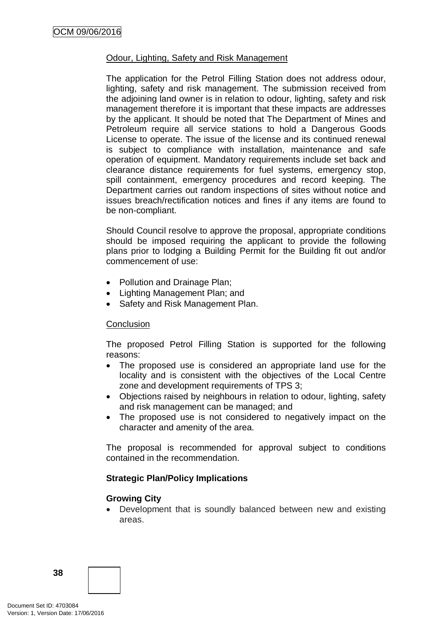## Odour, Lighting, Safety and Risk Management

The application for the Petrol Filling Station does not address odour, lighting, safety and risk management. The submission received from the adjoining land owner is in relation to odour, lighting, safety and risk management therefore it is important that these impacts are addresses by the applicant. It should be noted that The Department of Mines and Petroleum require all service stations to hold a Dangerous Goods License to operate. The issue of the license and its continued renewal is subject to compliance with installation, maintenance and safe operation of equipment. Mandatory requirements include set back and clearance distance requirements for fuel systems, emergency stop, spill containment, emergency procedures and record keeping. The Department carries out random inspections of sites without notice and issues breach/rectification notices and fines if any items are found to be non-compliant.

Should Council resolve to approve the proposal, appropriate conditions should be imposed requiring the applicant to provide the following plans prior to lodging a Building Permit for the Building fit out and/or commencement of use:

- Pollution and Drainage Plan;
- Lighting Management Plan; and
- Safety and Risk Management Plan.

#### **Conclusion**

The proposed Petrol Filling Station is supported for the following reasons:

- The proposed use is considered an appropriate land use for the locality and is consistent with the objectives of the Local Centre zone and development requirements of TPS 3;
- Objections raised by neighbours in relation to odour, lighting, safety and risk management can be managed; and
- The proposed use is not considered to negatively impact on the character and amenity of the area.

The proposal is recommended for approval subject to conditions contained in the recommendation.

#### **Strategic Plan/Policy Implications**

#### **Growing City**

• Development that is soundly balanced between new and existing areas.

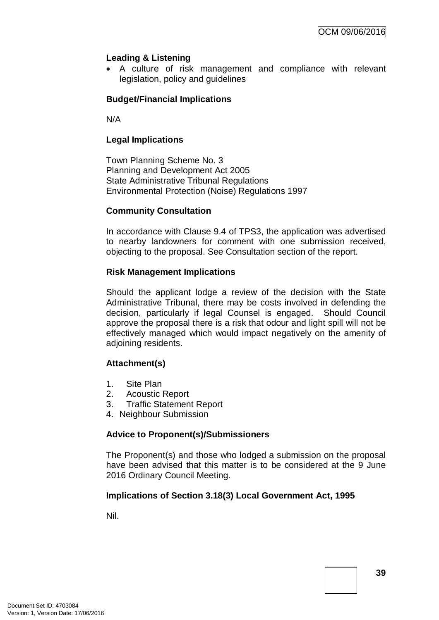# **Leading & Listening**

• A culture of risk management and compliance with relevant legislation, policy and guidelines

# **Budget/Financial Implications**

N/A

# **Legal Implications**

Town Planning Scheme No. 3 Planning and Development Act 2005 State Administrative Tribunal Regulations Environmental Protection (Noise) Regulations 1997

# **Community Consultation**

In accordance with Clause 9.4 of TPS3, the application was advertised to nearby landowners for comment with one submission received, objecting to the proposal. See Consultation section of the report.

# **Risk Management Implications**

Should the applicant lodge a review of the decision with the State Administrative Tribunal, there may be costs involved in defending the decision, particularly if legal Counsel is engaged. Should Council approve the proposal there is a risk that odour and light spill will not be effectively managed which would impact negatively on the amenity of adjoining residents.

# **Attachment(s)**

- 1. Site Plan
- 2. Acoustic Report
- 3. Traffic Statement Report
- 4. Neighbour Submission

# **Advice to Proponent(s)/Submissioners**

The Proponent(s) and those who lodged a submission on the proposal have been advised that this matter is to be considered at the 9 June 2016 Ordinary Council Meeting.

# **Implications of Section 3.18(3) Local Government Act, 1995**

Nil.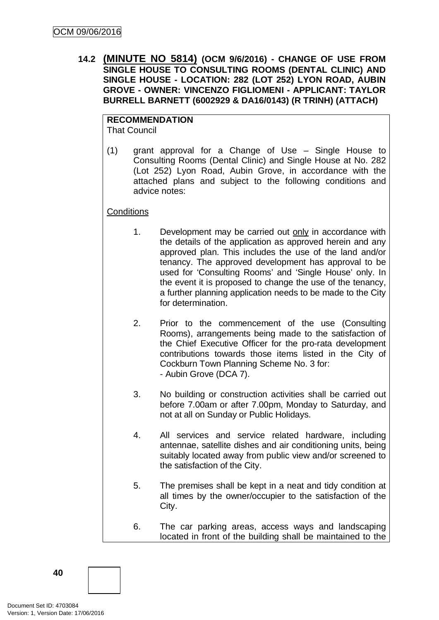**14.2 (MINUTE NO 5814) (OCM 9/6/2016) - CHANGE OF USE FROM SINGLE HOUSE TO CONSULTING ROOMS (DENTAL CLINIC) AND SINGLE HOUSE - LOCATION: 282 (LOT 252) LYON ROAD, AUBIN GROVE - OWNER: VINCENZO FIGLIOMENI - APPLICANT: TAYLOR BURRELL BARNETT (6002929 & DA16/0143) (R TRINH) (ATTACH)**

# **RECOMMENDATION**

That Council

(1) grant approval for a Change of Use – Single House to Consulting Rooms (Dental Clinic) and Single House at No. 282 (Lot 252) Lyon Road, Aubin Grove, in accordance with the attached plans and subject to the following conditions and advice notes:

# **Conditions**

- 1. Development may be carried out only in accordance with the details of the application as approved herein and any approved plan. This includes the use of the land and/or tenancy. The approved development has approval to be used for 'Consulting Rooms' and 'Single House' only. In the event it is proposed to change the use of the tenancy, a further planning application needs to be made to the City for determination.
- 2. Prior to the commencement of the use (Consulting Rooms), arrangements being made to the satisfaction of the Chief Executive Officer for the pro-rata development contributions towards those items listed in the City of Cockburn Town Planning Scheme No. 3 for: - Aubin Grove (DCA 7).
- 3. No building or construction activities shall be carried out before 7.00am or after 7.00pm, Monday to Saturday, and not at all on Sunday or Public Holidays.
- 4. All services and service related hardware, including antennae, satellite dishes and air conditioning units, being suitably located away from public view and/or screened to the satisfaction of the City.
- 5. The premises shall be kept in a neat and tidy condition at all times by the owner/occupier to the satisfaction of the City.
- 6. The car parking areas, access ways and landscaping located in front of the building shall be maintained to the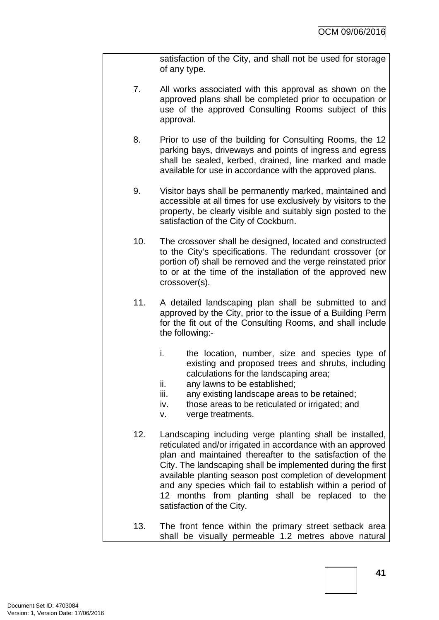satisfaction of the City, and shall not be used for storage of any type.

- 7. All works associated with this approval as shown on the approved plans shall be completed prior to occupation or use of the approved Consulting Rooms subject of this approval.
- 8. Prior to use of the building for Consulting Rooms, the 12 parking bays, driveways and points of ingress and egress shall be sealed, kerbed, drained, line marked and made available for use in accordance with the approved plans.
- 9. Visitor bays shall be permanently marked, maintained and accessible at all times for use exclusively by visitors to the property, be clearly visible and suitably sign posted to the satisfaction of the City of Cockburn.
- 10. The crossover shall be designed, located and constructed to the City's specifications. The redundant crossover (or portion of) shall be removed and the verge reinstated prior to or at the time of the installation of the approved new crossover(s).
- 11. A detailed landscaping plan shall be submitted to and approved by the City, prior to the issue of a Building Perm for the fit out of the Consulting Rooms, and shall include the following:
	- i. the location, number, size and species type of existing and proposed trees and shrubs, including calculations for the landscaping area;
	- ii. any lawns to be established;
	- iii. any existing landscape areas to be retained;
	- iv. those areas to be reticulated or irrigated; and
	- v. verge treatments.
- 12. Landscaping including verge planting shall be installed, reticulated and/or irrigated in accordance with an approved plan and maintained thereafter to the satisfaction of the City. The landscaping shall be implemented during the first available planting season post completion of development and any species which fail to establish within a period of 12 months from planting shall be replaced to the satisfaction of the City.
- 13. The front fence within the primary street setback area shall be visually permeable 1.2 metres above natural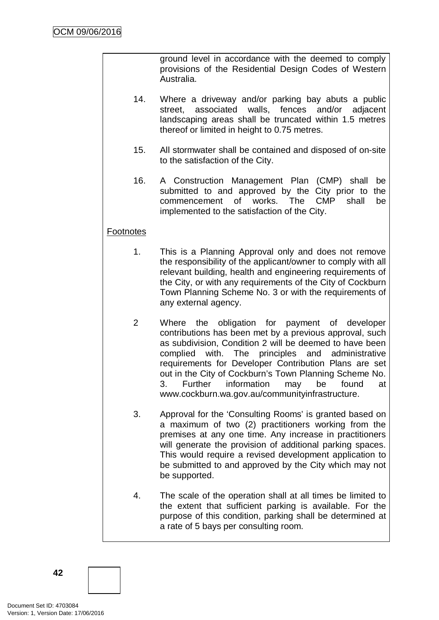ground level in accordance with the deemed to comply provisions of the Residential Design Codes of Western Australia.

- 14. Where a driveway and/or parking bay abuts a public street, associated walls, fences and/or adjacent landscaping areas shall be truncated within 1.5 metres thereof or limited in height to 0.75 metres.
- 15. All stormwater shall be contained and disposed of on-site to the satisfaction of the City.
- 16. A Construction Management Plan (CMP) shall be submitted to and approved by the City prior to the commencement of works. The CMP shall be implemented to the satisfaction of the City.

# **Footnotes**

- 1. This is a Planning Approval only and does not remove the responsibility of the applicant/owner to comply with all relevant building, health and engineering requirements of the City, or with any requirements of the City of Cockburn Town Planning Scheme No. 3 or with the requirements of any external agency.
- 2 Where the obligation for payment of developer contributions has been met by a previous approval, such as subdivision, Condition 2 will be deemed to have been complied with. The principles and administrative requirements for Developer Contribution Plans are set out in the City of Cockburn's Town Planning Scheme No. 3. Further information may be found at www.cockburn.wa.gov.au/communityinfrastructure.
- 3. Approval for the 'Consulting Rooms' is granted based on a maximum of two (2) practitioners working from the premises at any one time. Any increase in practitioners will generate the provision of additional parking spaces. This would require a revised development application to be submitted to and approved by the City which may not be supported.
- 4. The scale of the operation shall at all times be limited to the extent that sufficient parking is available. For the purpose of this condition, parking shall be determined at a rate of 5 bays per consulting room.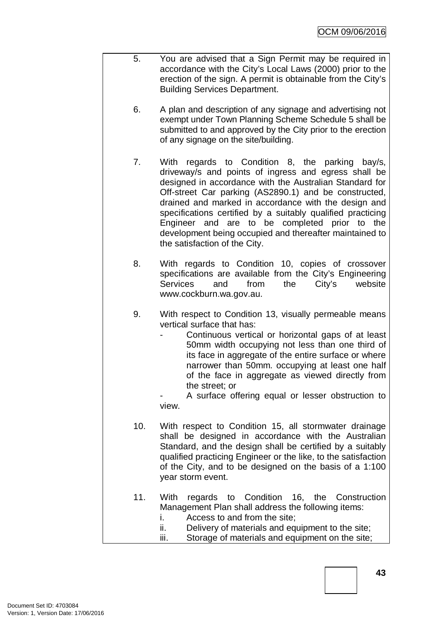- 5. You are advised that a Sign Permit may be required in accordance with the City's Local Laws (2000) prior to the erection of the sign. A permit is obtainable from the City's Building Services Department.
	- 6. A plan and description of any signage and advertising not exempt under Town Planning Scheme Schedule 5 shall be submitted to and approved by the City prior to the erection of any signage on the site/building.
	- 7. With regards to Condition 8, the parking bay/s, driveway/s and points of ingress and egress shall be designed in accordance with the Australian Standard for Off-street Car parking (AS2890.1) and be constructed, drained and marked in accordance with the design and specifications certified by a suitably qualified practicing Engineer and are to be completed prior to the development being occupied and thereafter maintained to the satisfaction of the City.
	- 8. With regards to Condition 10, copies of crossover specifications are available from the City's Engineering Services and from the City's website www.cockburn.wa.gov.au.
	- 9. With respect to Condition 13, visually permeable means vertical surface that has:
		- Continuous vertical or horizontal gaps of at least 50mm width occupying not less than one third of its face in aggregate of the entire surface or where narrower than 50mm. occupying at least one half of the face in aggregate as viewed directly from the street; or

A surface offering equal or lesser obstruction to view.

- 10. With respect to Condition 15, all stormwater drainage shall be designed in accordance with the Australian Standard, and the design shall be certified by a suitably qualified practicing Engineer or the like, to the satisfaction of the City, and to be designed on the basis of a 1:100 year storm event.
- 11. With regards to Condition 16, the Construction Management Plan shall address the following items:
	- i. Access to and from the site;
	- ii. Delivery of materials and equipment to the site;
	- iii. Storage of materials and equipment on the site;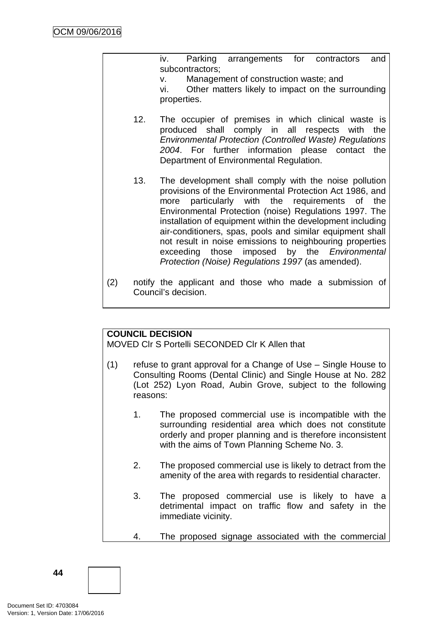iv. Parking arrangements for contractors and subcontractors;

v. Management of construction waste; and

vi. Other matters likely to impact on the surrounding properties.

- 12. The occupier of premises in which clinical waste is produced shall comply in all respects with the *Environmental Protection (Controlled Waste) Regulations 2004*. For further information please contact the Department of Environmental Regulation.
- 13. The development shall comply with the noise pollution provisions of the Environmental Protection Act 1986, and more particularly with the requirements of the Environmental Protection (noise) Regulations 1997. The installation of equipment within the development including air-conditioners, spas, pools and similar equipment shall not result in noise emissions to neighbouring properties exceeding those imposed by the *Environmental Protection (Noise) Regulations 1997* (as amended).
- (2) notify the applicant and those who made a submission of Council's decision.

# **COUNCIL DECISION**

MOVED Clr S Portelli SECONDED Clr K Allen that

- (1) refuse to grant approval for a Change of Use Single House to Consulting Rooms (Dental Clinic) and Single House at No. 282 (Lot 252) Lyon Road, Aubin Grove, subject to the following reasons:
	- 1. The proposed commercial use is incompatible with the surrounding residential area which does not constitute orderly and proper planning and is therefore inconsistent with the aims of Town Planning Scheme No. 3.
	- 2. The proposed commercial use is likely to detract from the amenity of the area with regards to residential character.
	- 3. The proposed commercial use is likely to have a detrimental impact on traffic flow and safety in the immediate vicinity.
	- 4. The proposed signage associated with the commercial

Document Set ID: 4703084<br>Version: 1, Version Date: 17/06/2016

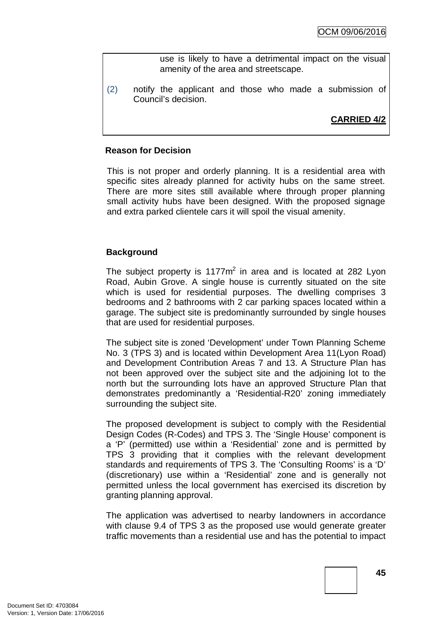use is likely to have a detrimental impact on the visual amenity of the area and streetscape.

(2) notify the applicant and those who made a submission of Council's decision.

# **CARRIED 4/2**

#### **Reason for Decision**

This is not proper and orderly planning. It is a residential area with specific sites already planned for activity hubs on the same street. There are more sites still available where through proper planning small activity hubs have been designed. With the proposed signage and extra parked clientele cars it will spoil the visual amenity.

## **Background**

The subject property is  $1177m^2$  in area and is located at 282 Lyon Road, Aubin Grove. A single house is currently situated on the site which is used for residential purposes. The dwelling comprises 3 bedrooms and 2 bathrooms with 2 car parking spaces located within a garage. The subject site is predominantly surrounded by single houses that are used for residential purposes.

The subject site is zoned 'Development' under Town Planning Scheme No. 3 (TPS 3) and is located within Development Area 11(Lyon Road) and Development Contribution Areas 7 and 13. A Structure Plan has not been approved over the subject site and the adjoining lot to the north but the surrounding lots have an approved Structure Plan that demonstrates predominantly a 'Residential-R20' zoning immediately surrounding the subject site.

The proposed development is subject to comply with the Residential Design Codes (R-Codes) and TPS 3. The 'Single House' component is a 'P' (permitted) use within a 'Residential' zone and is permitted by TPS 3 providing that it complies with the relevant development standards and requirements of TPS 3. The 'Consulting Rooms' is a 'D' (discretionary) use within a 'Residential' zone and is generally not permitted unless the local government has exercised its discretion by granting planning approval.

The application was advertised to nearby landowners in accordance with clause 9.4 of TPS 3 as the proposed use would generate greater traffic movements than a residential use and has the potential to impact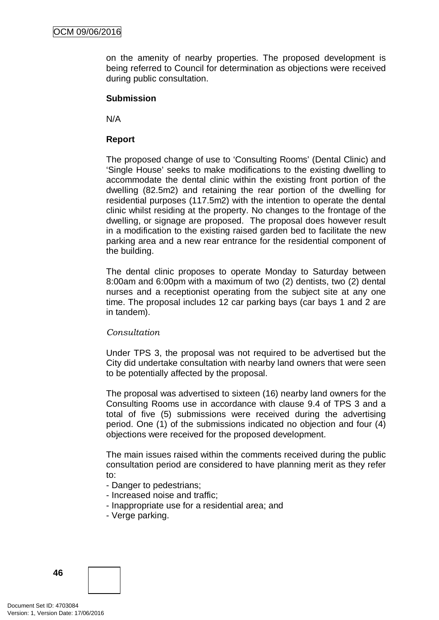on the amenity of nearby properties. The proposed development is being referred to Council for determination as objections were received during public consultation.

#### **Submission**

N/A

# **Report**

The proposed change of use to 'Consulting Rooms' (Dental Clinic) and 'Single House' seeks to make modifications to the existing dwelling to accommodate the dental clinic within the existing front portion of the dwelling (82.5m2) and retaining the rear portion of the dwelling for residential purposes (117.5m2) with the intention to operate the dental clinic whilst residing at the property. No changes to the frontage of the dwelling, or signage are proposed. The proposal does however result in a modification to the existing raised garden bed to facilitate the new parking area and a new rear entrance for the residential component of the building.

The dental clinic proposes to operate Monday to Saturday between 8:00am and 6:00pm with a maximum of two (2) dentists, two (2) dental nurses and a receptionist operating from the subject site at any one time. The proposal includes 12 car parking bays (car bays 1 and 2 are in tandem).

# *Consultation*

Under TPS 3, the proposal was not required to be advertised but the City did undertake consultation with nearby land owners that were seen to be potentially affected by the proposal.

The proposal was advertised to sixteen (16) nearby land owners for the Consulting Rooms use in accordance with clause 9.4 of TPS 3 and a total of five (5) submissions were received during the advertising period. One (1) of the submissions indicated no objection and four (4) objections were received for the proposed development.

The main issues raised within the comments received during the public consultation period are considered to have planning merit as they refer to:

- Danger to pedestrians;
- Increased noise and traffic;
- Inappropriate use for a residential area; and
- Verge parking.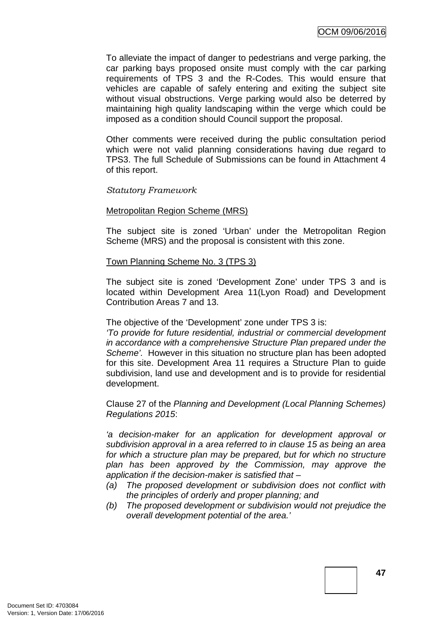To alleviate the impact of danger to pedestrians and verge parking, the car parking bays proposed onsite must comply with the car parking requirements of TPS 3 and the R-Codes. This would ensure that vehicles are capable of safely entering and exiting the subject site without visual obstructions. Verge parking would also be deterred by maintaining high quality landscaping within the verge which could be imposed as a condition should Council support the proposal.

Other comments were received during the public consultation period which were not valid planning considerations having due regard to TPS3. The full Schedule of Submissions can be found in Attachment 4 of this report.

# *Statutory Framework*

## Metropolitan Region Scheme (MRS)

The subject site is zoned 'Urban' under the Metropolitan Region Scheme (MRS) and the proposal is consistent with this zone.

#### Town Planning Scheme No. 3 (TPS 3)

The subject site is zoned 'Development Zone' under TPS 3 and is located within Development Area 11(Lyon Road) and Development Contribution Areas 7 and 13.

#### The objective of the 'Development' zone under TPS 3 is:

*'To provide for future residential, industrial or commercial development in accordance with a comprehensive Structure Plan prepared under the Scheme'.* However in this situation no structure plan has been adopted for this site. Development Area 11 requires a Structure Plan to guide subdivision, land use and development and is to provide for residential development.

Clause 27 of the *Planning and Development (Local Planning Schemes) Regulations 2015*:

*'a decision-maker for an application for development approval or subdivision approval in a area referred to in clause 15 as being an area for which a structure plan may be prepared, but for which no structure plan has been approved by the Commission, may approve the application if the decision-maker is satisfied that –*

- *(a) The proposed development or subdivision does not conflict with the principles of orderly and proper planning; and*
- *(b) The proposed development or subdivision would not prejudice the overall development potential of the area.'*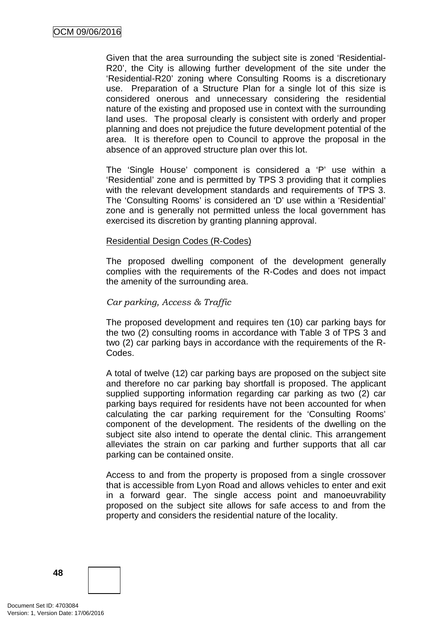Given that the area surrounding the subject site is zoned 'Residential-R20', the City is allowing further development of the site under the 'Residential-R20' zoning where Consulting Rooms is a discretionary use. Preparation of a Structure Plan for a single lot of this size is considered onerous and unnecessary considering the residential nature of the existing and proposed use in context with the surrounding land uses. The proposal clearly is consistent with orderly and proper planning and does not prejudice the future development potential of the area. It is therefore open to Council to approve the proposal in the absence of an approved structure plan over this lot.

The 'Single House' component is considered a 'P' use within a 'Residential' zone and is permitted by TPS 3 providing that it complies with the relevant development standards and requirements of TPS 3. The 'Consulting Rooms' is considered an 'D' use within a 'Residential' zone and is generally not permitted unless the local government has exercised its discretion by granting planning approval.

#### Residential Design Codes (R-Codes)

The proposed dwelling component of the development generally complies with the requirements of the R-Codes and does not impact the amenity of the surrounding area.

## *Car parking, Access & Traffic*

The proposed development and requires ten (10) car parking bays for the two (2) consulting rooms in accordance with Table 3 of TPS 3 and two (2) car parking bays in accordance with the requirements of the R-Codes.

A total of twelve (12) car parking bays are proposed on the subject site and therefore no car parking bay shortfall is proposed. The applicant supplied supporting information regarding car parking as two (2) car parking bays required for residents have not been accounted for when calculating the car parking requirement for the 'Consulting Rooms' component of the development. The residents of the dwelling on the subject site also intend to operate the dental clinic. This arrangement alleviates the strain on car parking and further supports that all car parking can be contained onsite.

Access to and from the property is proposed from a single crossover that is accessible from Lyon Road and allows vehicles to enter and exit in a forward gear. The single access point and manoeuvrability proposed on the subject site allows for safe access to and from the property and considers the residential nature of the locality.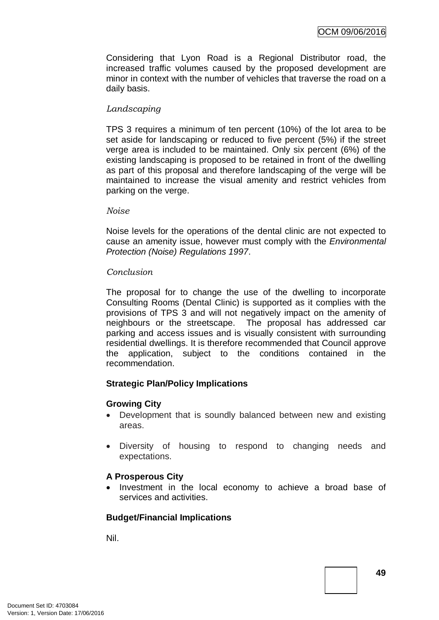Considering that Lyon Road is a Regional Distributor road, the increased traffic volumes caused by the proposed development are minor in context with the number of vehicles that traverse the road on a daily basis.

# *Landscaping*

TPS 3 requires a minimum of ten percent (10%) of the lot area to be set aside for landscaping or reduced to five percent (5%) if the street verge area is included to be maintained. Only six percent (6%) of the existing landscaping is proposed to be retained in front of the dwelling as part of this proposal and therefore landscaping of the verge will be maintained to increase the visual amenity and restrict vehicles from parking on the verge.

## *Noise*

Noise levels for the operations of the dental clinic are not expected to cause an amenity issue, however must comply with the *Environmental Protection (Noise) Regulations 1997*.

## *Conclusion*

The proposal for to change the use of the dwelling to incorporate Consulting Rooms (Dental Clinic) is supported as it complies with the provisions of TPS 3 and will not negatively impact on the amenity of neighbours or the streetscape. The proposal has addressed car parking and access issues and is visually consistent with surrounding residential dwellings. It is therefore recommended that Council approve the application, subject to the conditions contained in the recommendation.

# **Strategic Plan/Policy Implications**

# **Growing City**

- Development that is soundly balanced between new and existing areas.
- Diversity of housing to respond to changing needs and expectations.

# **A Prosperous City**

• Investment in the local economy to achieve a broad base of services and activities.

# **Budget/Financial Implications**

Nil.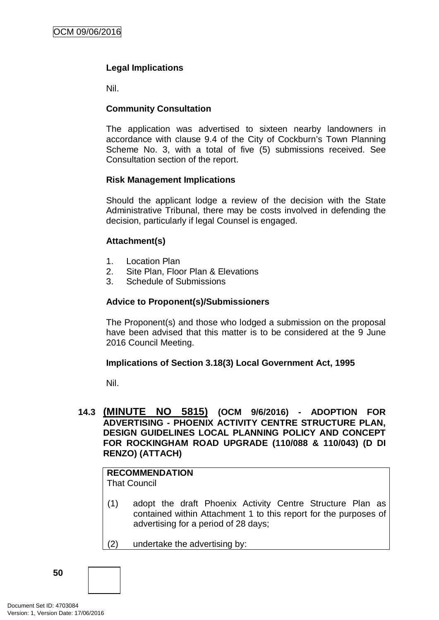# **Legal Implications**

Nil.

# **Community Consultation**

The application was advertised to sixteen nearby landowners in accordance with clause 9.4 of the City of Cockburn's Town Planning Scheme No. 3, with a total of five (5) submissions received. See Consultation section of the report.

# **Risk Management Implications**

Should the applicant lodge a review of the decision with the State Administrative Tribunal, there may be costs involved in defending the decision, particularly if legal Counsel is engaged.

# **Attachment(s)**

- 1. Location Plan
- 2. Site Plan, Floor Plan & Elevations
- 3. Schedule of Submissions

# **Advice to Proponent(s)/Submissioners**

The Proponent(s) and those who lodged a submission on the proposal have been advised that this matter is to be considered at the 9 June 2016 Council Meeting.

# **Implications of Section 3.18(3) Local Government Act, 1995**

Nil.

# **14.3 (MINUTE NO 5815) (OCM 9/6/2016) - ADOPTION FOR ADVERTISING - PHOENIX ACTIVITY CENTRE STRUCTURE PLAN, DESIGN GUIDELINES LOCAL PLANNING POLICY AND CONCEPT FOR ROCKINGHAM ROAD UPGRADE (110/088 & 110/043) (D DI RENZO) (ATTACH)**

# **RECOMMENDATION**

That Council

- (1) adopt the draft Phoenix Activity Centre Structure Plan as contained within Attachment 1 to this report for the purposes of advertising for a period of 28 days;
- (2) undertake the advertising by: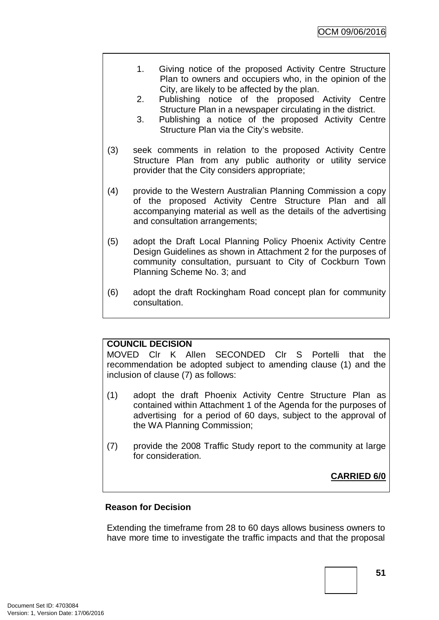- 1. Giving notice of the proposed Activity Centre Structure Plan to owners and occupiers who, in the opinion of the City, are likely to be affected by the plan.
- 2. Publishing notice of the proposed Activity Centre Structure Plan in a newspaper circulating in the district.
- 3. Publishing a notice of the proposed Activity Centre Structure Plan via the City's website.
- (3) seek comments in relation to the proposed Activity Centre Structure Plan from any public authority or utility service provider that the City considers appropriate;
- (4) provide to the Western Australian Planning Commission a copy of the proposed Activity Centre Structure Plan and all accompanying material as well as the details of the advertising and consultation arrangements;
- (5) adopt the Draft Local Planning Policy Phoenix Activity Centre Design Guidelines as shown in Attachment 2 for the purposes of community consultation, pursuant to City of Cockburn Town Planning Scheme No. 3; and
- (6) adopt the draft Rockingham Road concept plan for community consultation.

# **COUNCIL DECISION**

MOVED Clr K Allen SECONDED Clr S Portelli that the recommendation be adopted subject to amending clause (1) and the inclusion of clause (7) as follows:

- (1) adopt the draft Phoenix Activity Centre Structure Plan as contained within Attachment 1 of the Agenda for the purposes of advertising for a period of 60 days, subject to the approval of the WA Planning Commission;
- (7) provide the 2008 Traffic Study report to the community at large for consideration.

**CARRIED 6/0**

# **Reason for Decision**

Extending the timeframe from 28 to 60 days allows business owners to have more time to investigate the traffic impacts and that the proposal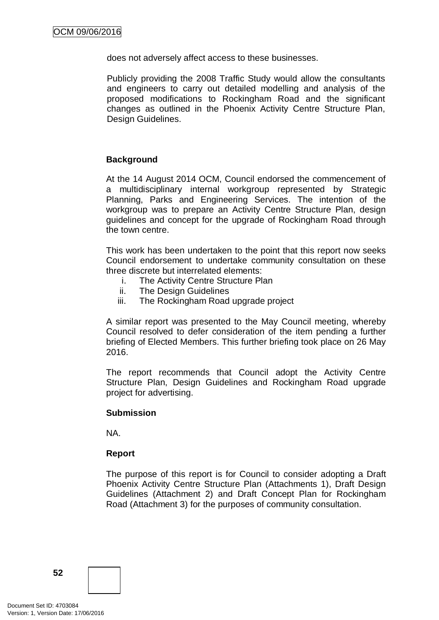does not adversely affect access to these businesses.

Publicly providing the 2008 Traffic Study would allow the consultants and engineers to carry out detailed modelling and analysis of the proposed modifications to Rockingham Road and the significant changes as outlined in the Phoenix Activity Centre Structure Plan, Design Guidelines.

# **Background**

At the 14 August 2014 OCM, Council endorsed the commencement of a multidisciplinary internal workgroup represented by Strategic Planning, Parks and Engineering Services. The intention of the workgroup was to prepare an Activity Centre Structure Plan, design guidelines and concept for the upgrade of Rockingham Road through the town centre.

This work has been undertaken to the point that this report now seeks Council endorsement to undertake community consultation on these three discrete but interrelated elements:

- i. The Activity Centre Structure Plan
- ii. The Design Guidelines
- iii. The Rockingham Road upgrade project

A similar report was presented to the May Council meeting, whereby Council resolved to defer consideration of the item pending a further briefing of Elected Members. This further briefing took place on 26 May 2016.

The report recommends that Council adopt the Activity Centre Structure Plan, Design Guidelines and Rockingham Road upgrade project for advertising.

#### **Submission**

NA.

#### **Report**

The purpose of this report is for Council to consider adopting a Draft Phoenix Activity Centre Structure Plan (Attachments 1), Draft Design Guidelines (Attachment 2) and Draft Concept Plan for Rockingham Road (Attachment 3) for the purposes of community consultation.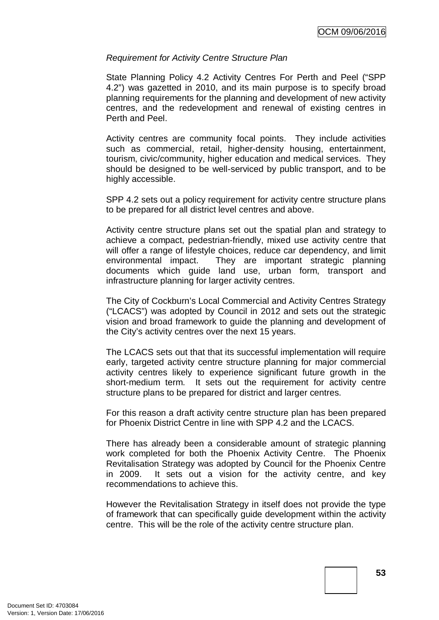## *Requirement for Activity Centre Structure Plan*

State Planning Policy 4.2 Activity Centres For Perth and Peel ("SPP 4.2") was gazetted in 2010, and its main purpose is to specify broad planning requirements for the planning and development of new activity centres, and the redevelopment and renewal of existing centres in Perth and Peel.

Activity centres are community focal points. They include activities such as commercial, retail, higher-density housing, entertainment, tourism, civic/community, higher education and medical services. They should be designed to be well-serviced by public transport, and to be highly accessible.

SPP 4.2 sets out a policy requirement for activity centre structure plans to be prepared for all district level centres and above.

Activity centre structure plans set out the spatial plan and strategy to achieve a compact, pedestrian-friendly, mixed use activity centre that will offer a range of lifestyle choices, reduce car dependency, and limit environmental impact. They are important strategic planning documents which guide land use, urban form, transport and infrastructure planning for larger activity centres.

The City of Cockburn's Local Commercial and Activity Centres Strategy ("LCACS") was adopted by Council in 2012 and sets out the strategic vision and broad framework to guide the planning and development of the City's activity centres over the next 15 years.

The LCACS sets out that that its successful implementation will require early, targeted activity centre structure planning for major commercial activity centres likely to experience significant future growth in the short-medium term. It sets out the requirement for activity centre structure plans to be prepared for district and larger centres.

For this reason a draft activity centre structure plan has been prepared for Phoenix District Centre in line with SPP 4.2 and the LCACS.

There has already been a considerable amount of strategic planning work completed for both the Phoenix Activity Centre. The Phoenix Revitalisation Strategy was adopted by Council for the Phoenix Centre in 2009. It sets out a vision for the activity centre, and key recommendations to achieve this.

However the Revitalisation Strategy in itself does not provide the type of framework that can specifically guide development within the activity centre. This will be the role of the activity centre structure plan.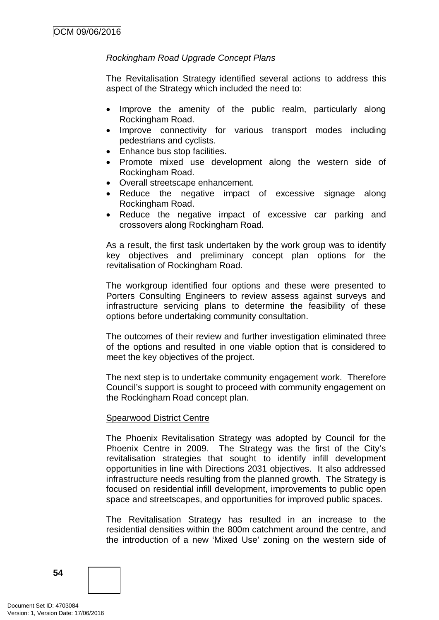# *Rockingham Road Upgrade Concept Plans*

The Revitalisation Strategy identified several actions to address this aspect of the Strategy which included the need to:

- Improve the amenity of the public realm, particularly along Rockingham Road.
- Improve connectivity for various transport modes including pedestrians and cyclists.
- Enhance bus stop facilities.
- Promote mixed use development along the western side of Rockingham Road.
- Overall streetscape enhancement.
- Reduce the negative impact of excessive signage along Rockingham Road.
- Reduce the negative impact of excessive car parking and crossovers along Rockingham Road.

As a result, the first task undertaken by the work group was to identify key objectives and preliminary concept plan options for the revitalisation of Rockingham Road.

The workgroup identified four options and these were presented to Porters Consulting Engineers to review assess against surveys and infrastructure servicing plans to determine the feasibility of these options before undertaking community consultation.

The outcomes of their review and further investigation eliminated three of the options and resulted in one viable option that is considered to meet the key objectives of the project.

The next step is to undertake community engagement work. Therefore Council's support is sought to proceed with community engagement on the Rockingham Road concept plan.

# Spearwood District Centre

The Phoenix Revitalisation Strategy was adopted by Council for the Phoenix Centre in 2009. The Strategy was the first of the City's revitalisation strategies that sought to identify infill development opportunities in line with Directions 2031 objectives. It also addressed infrastructure needs resulting from the planned growth. The Strategy is focused on residential infill development, improvements to public open space and streetscapes, and opportunities for improved public spaces.

The Revitalisation Strategy has resulted in an increase to the residential densities within the 800m catchment around the centre, and the introduction of a new 'Mixed Use' zoning on the western side of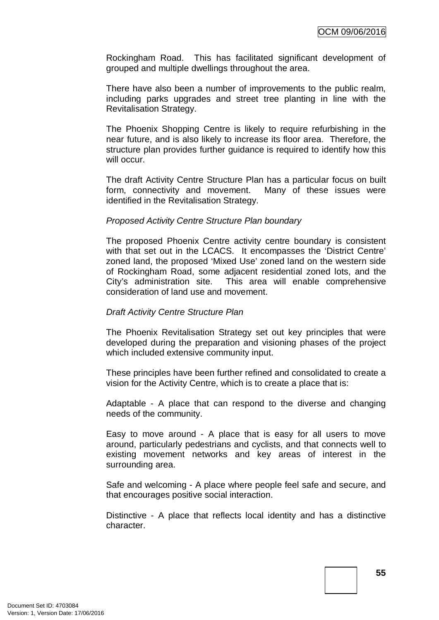Rockingham Road. This has facilitated significant development of grouped and multiple dwellings throughout the area.

There have also been a number of improvements to the public realm, including parks upgrades and street tree planting in line with the Revitalisation Strategy.

The Phoenix Shopping Centre is likely to require refurbishing in the near future, and is also likely to increase its floor area. Therefore, the structure plan provides further quidance is required to identify how this will occur.

The draft Activity Centre Structure Plan has a particular focus on built form, connectivity and movement. Many of these issues were identified in the Revitalisation Strategy.

## *Proposed Activity Centre Structure Plan boundary*

The proposed Phoenix Centre activity centre boundary is consistent with that set out in the LCACS. It encompasses the 'District Centre' zoned land, the proposed 'Mixed Use' zoned land on the western side of Rockingham Road, some adjacent residential zoned lots, and the City's administration site. This area will enable comprehensive consideration of land use and movement.

#### *Draft Activity Centre Structure Plan*

The Phoenix Revitalisation Strategy set out key principles that were developed during the preparation and visioning phases of the project which included extensive community input.

These principles have been further refined and consolidated to create a vision for the Activity Centre, which is to create a place that is:

Adaptable - A place that can respond to the diverse and changing needs of the community.

Easy to move around - A place that is easy for all users to move around, particularly pedestrians and cyclists, and that connects well to existing movement networks and key areas of interest in the surrounding area.

Safe and welcoming - A place where people feel safe and secure, and that encourages positive social interaction.

Distinctive - A place that reflects local identity and has a distinctive character.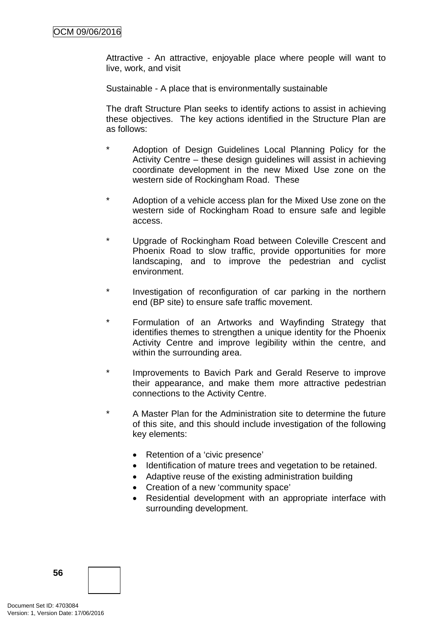Attractive - An attractive, enjoyable place where people will want to live, work, and visit

Sustainable - A place that is environmentally sustainable

The draft Structure Plan seeks to identify actions to assist in achieving these objectives. The key actions identified in the Structure Plan are as follows:

- Adoption of Design Guidelines Local Planning Policy for the Activity Centre – these design guidelines will assist in achieving coordinate development in the new Mixed Use zone on the western side of Rockingham Road. These
- Adoption of a vehicle access plan for the Mixed Use zone on the western side of Rockingham Road to ensure safe and legible access.
- \* Upgrade of Rockingham Road between Coleville Crescent and Phoenix Road to slow traffic, provide opportunities for more landscaping, and to improve the pedestrian and cyclist environment.
- Investigation of reconfiguration of car parking in the northern end (BP site) to ensure safe traffic movement.
- \* Formulation of an Artworks and Wayfinding Strategy that identifies themes to strengthen a unique identity for the Phoenix Activity Centre and improve legibility within the centre, and within the surrounding area.
- \* Improvements to Bavich Park and Gerald Reserve to improve their appearance, and make them more attractive pedestrian connections to the Activity Centre.
- \* A Master Plan for the Administration site to determine the future of this site, and this should include investigation of the following key elements:
	- Retention of a 'civic presence'
	- Identification of mature trees and vegetation to be retained.
	- Adaptive reuse of the existing administration building
	- Creation of a new 'community space'
	- Residential development with an appropriate interface with surrounding development.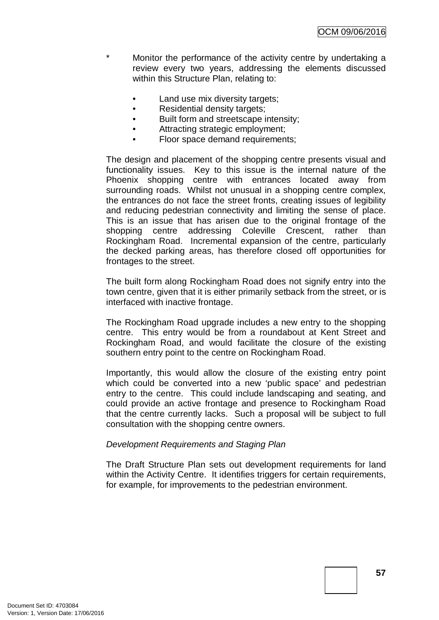- \* Monitor the performance of the activity centre by undertaking a review every two years, addressing the elements discussed within this Structure Plan, relating to:
	- Land use mix diversity targets;
	- Residential density targets;
	- Built form and streetscape intensity;
	- Attracting strategic employment;
	- Floor space demand requirements;

The design and placement of the shopping centre presents visual and functionality issues. Key to this issue is the internal nature of the Phoenix shopping centre with entrances located away from surrounding roads. Whilst not unusual in a shopping centre complex, the entrances do not face the street fronts, creating issues of legibility and reducing pedestrian connectivity and limiting the sense of place. This is an issue that has arisen due to the original frontage of the shopping centre addressing Coleville Crescent, rather than Rockingham Road. Incremental expansion of the centre, particularly the decked parking areas, has therefore closed off opportunities for frontages to the street.

The built form along Rockingham Road does not signify entry into the town centre, given that it is either primarily setback from the street, or is interfaced with inactive frontage.

The Rockingham Road upgrade includes a new entry to the shopping centre. This entry would be from a roundabout at Kent Street and Rockingham Road, and would facilitate the closure of the existing southern entry point to the centre on Rockingham Road.

Importantly, this would allow the closure of the existing entry point which could be converted into a new 'public space' and pedestrian entry to the centre. This could include landscaping and seating, and could provide an active frontage and presence to Rockingham Road that the centre currently lacks. Such a proposal will be subject to full consultation with the shopping centre owners.

# *Development Requirements and Staging Plan*

The Draft Structure Plan sets out development requirements for land within the Activity Centre. It identifies triggers for certain requirements, for example, for improvements to the pedestrian environment.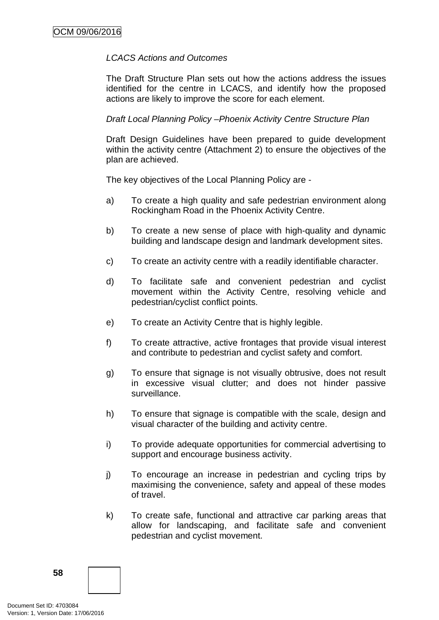## *LCACS Actions and Outcomes*

The Draft Structure Plan sets out how the actions address the issues identified for the centre in LCACS, and identify how the proposed actions are likely to improve the score for each element.

## *Draft Local Planning Policy –Phoenix Activity Centre Structure Plan*

Draft Design Guidelines have been prepared to guide development within the activity centre (Attachment 2) to ensure the objectives of the plan are achieved.

The key objectives of the Local Planning Policy are -

- a) To create a high quality and safe pedestrian environment along Rockingham Road in the Phoenix Activity Centre.
- b) To create a new sense of place with high-quality and dynamic building and landscape design and landmark development sites.
- c) To create an activity centre with a readily identifiable character.
- d) To facilitate safe and convenient pedestrian and cyclist movement within the Activity Centre, resolving vehicle and pedestrian/cyclist conflict points.
- e) To create an Activity Centre that is highly legible.
- f) To create attractive, active frontages that provide visual interest and contribute to pedestrian and cyclist safety and comfort.
- g) To ensure that signage is not visually obtrusive, does not result in excessive visual clutter; and does not hinder passive surveillance.
- h) To ensure that signage is compatible with the scale, design and visual character of the building and activity centre.
- i) To provide adequate opportunities for commercial advertising to support and encourage business activity.
- j) To encourage an increase in pedestrian and cycling trips by maximising the convenience, safety and appeal of these modes of travel.
- k) To create safe, functional and attractive car parking areas that allow for landscaping, and facilitate safe and convenient pedestrian and cyclist movement.

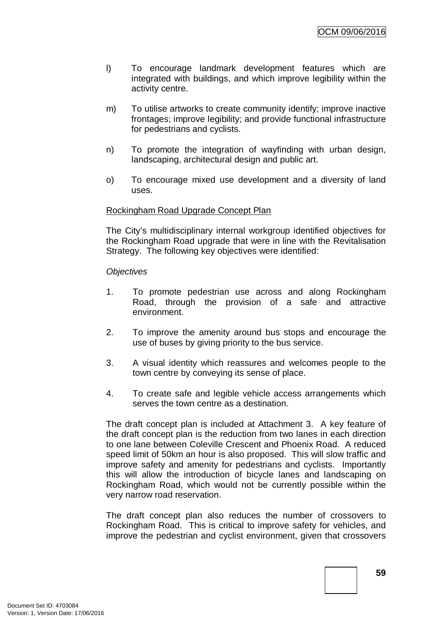- l) To encourage landmark development features which are integrated with buildings, and which improve legibility within the activity centre.
- m) To utilise artworks to create community identify; improve inactive frontages; improve legibility; and provide functional infrastructure for pedestrians and cyclists.
- n) To promote the integration of wayfinding with urban design, landscaping, architectural design and public art.
- o) To encourage mixed use development and a diversity of land uses.

## Rockingham Road Upgrade Concept Plan

The City's multidisciplinary internal workgroup identified objectives for the Rockingham Road upgrade that were in line with the Revitalisation Strategy. The following key objectives were identified:

#### *Objectives*

- 1. To promote pedestrian use across and along Rockingham Road, through the provision of a safe and attractive environment.
- 2. To improve the amenity around bus stops and encourage the use of buses by giving priority to the bus service.
- 3. A visual identity which reassures and welcomes people to the town centre by conveying its sense of place.
- 4. To create safe and legible vehicle access arrangements which serves the town centre as a destination.

The draft concept plan is included at Attachment 3. A key feature of the draft concept plan is the reduction from two lanes in each direction to one lane between Coleville Crescent and Phoenix Road. A reduced speed limit of 50km an hour is also proposed. This will slow traffic and improve safety and amenity for pedestrians and cyclists. Importantly this will allow the introduction of bicycle lanes and landscaping on Rockingham Road, which would not be currently possible within the very narrow road reservation.

The draft concept plan also reduces the number of crossovers to Rockingham Road. This is critical to improve safety for vehicles, and improve the pedestrian and cyclist environment, given that crossovers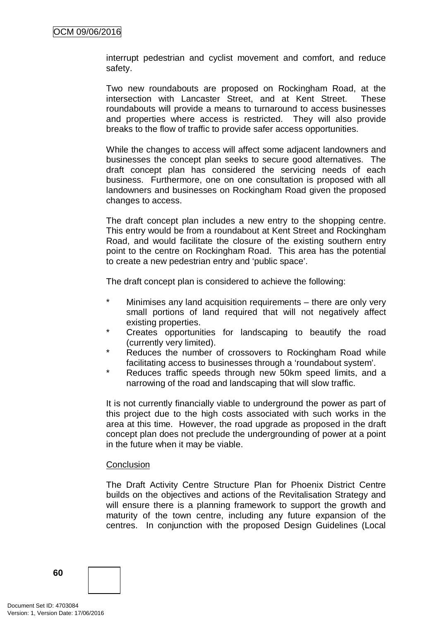interrupt pedestrian and cyclist movement and comfort, and reduce safety.

Two new roundabouts are proposed on Rockingham Road, at the intersection with Lancaster Street, and at Kent Street. These roundabouts will provide a means to turnaround to access businesses and properties where access is restricted. They will also provide breaks to the flow of traffic to provide safer access opportunities.

While the changes to access will affect some adjacent landowners and businesses the concept plan seeks to secure good alternatives. The draft concept plan has considered the servicing needs of each business. Furthermore, one on one consultation is proposed with all landowners and businesses on Rockingham Road given the proposed changes to access.

The draft concept plan includes a new entry to the shopping centre. This entry would be from a roundabout at Kent Street and Rockingham Road, and would facilitate the closure of the existing southern entry point to the centre on Rockingham Road. This area has the potential to create a new pedestrian entry and 'public space'.

The draft concept plan is considered to achieve the following:

- \* Minimises any land acquisition requirements there are only very small portions of land required that will not negatively affect existing properties.
- \* Creates opportunities for landscaping to beautify the road (currently very limited).
- \* Reduces the number of crossovers to Rockingham Road while facilitating access to businesses through a 'roundabout system'.
- \* Reduces traffic speeds through new 50km speed limits, and a narrowing of the road and landscaping that will slow traffic.

It is not currently financially viable to underground the power as part of this project due to the high costs associated with such works in the area at this time. However, the road upgrade as proposed in the draft concept plan does not preclude the undergrounding of power at a point in the future when it may be viable.

#### **Conclusion**

The Draft Activity Centre Structure Plan for Phoenix District Centre builds on the objectives and actions of the Revitalisation Strategy and will ensure there is a planning framework to support the growth and maturity of the town centre, including any future expansion of the centres. In conjunction with the proposed Design Guidelines (Local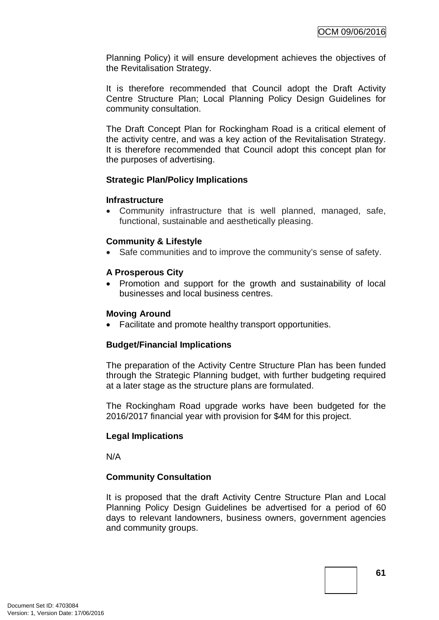Planning Policy) it will ensure development achieves the objectives of the Revitalisation Strategy.

It is therefore recommended that Council adopt the Draft Activity Centre Structure Plan; Local Planning Policy Design Guidelines for community consultation.

The Draft Concept Plan for Rockingham Road is a critical element of the activity centre, and was a key action of the Revitalisation Strategy. It is therefore recommended that Council adopt this concept plan for the purposes of advertising.

## **Strategic Plan/Policy Implications**

#### **Infrastructure**

• Community infrastructure that is well planned, managed, safe, functional, sustainable and aesthetically pleasing.

# **Community & Lifestyle**

Safe communities and to improve the community's sense of safety.

## **A Prosperous City**

• Promotion and support for the growth and sustainability of local businesses and local business centres.

#### **Moving Around**

• Facilitate and promote healthy transport opportunities.

# **Budget/Financial Implications**

The preparation of the Activity Centre Structure Plan has been funded through the Strategic Planning budget, with further budgeting required at a later stage as the structure plans are formulated.

The Rockingham Road upgrade works have been budgeted for the 2016/2017 financial year with provision for \$4M for this project.

# **Legal Implications**

N/A

# **Community Consultation**

It is proposed that the draft Activity Centre Structure Plan and Local Planning Policy Design Guidelines be advertised for a period of 60 days to relevant landowners, business owners, government agencies and community groups.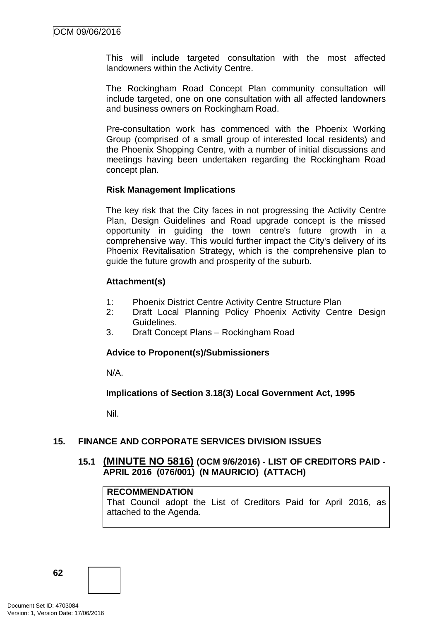This will include targeted consultation with the most affected landowners within the Activity Centre.

The Rockingham Road Concept Plan community consultation will include targeted, one on one consultation with all affected landowners and business owners on Rockingham Road.

Pre-consultation work has commenced with the Phoenix Working Group (comprised of a small group of interested local residents) and the Phoenix Shopping Centre, with a number of initial discussions and meetings having been undertaken regarding the Rockingham Road concept plan.

## **Risk Management Implications**

The key risk that the City faces in not progressing the Activity Centre Plan, Design Guidelines and Road upgrade concept is the missed opportunity in guiding the town centre's future growth in a comprehensive way. This would further impact the City's delivery of its Phoenix Revitalisation Strategy, which is the comprehensive plan to guide the future growth and prosperity of the suburb.

## **Attachment(s)**

- 1: Phoenix District Centre Activity Centre Structure Plan
- 2: Draft Local Planning Policy Phoenix Activity Centre Design Guidelines.
- 3. Draft Concept Plans Rockingham Road

#### **Advice to Proponent(s)/Submissioners**

N/A.

**Implications of Section 3.18(3) Local Government Act, 1995**

Nil.

# **15. FINANCE AND CORPORATE SERVICES DIVISION ISSUES**

# **15.1 (MINUTE NO 5816) (OCM 9/6/2016) - LIST OF CREDITORS PAID - APRIL 2016 (076/001) (N MAURICIO) (ATTACH)**

#### **RECOMMENDATION**

That Council adopt the List of Creditors Paid for April 2016, as attached to the Agenda.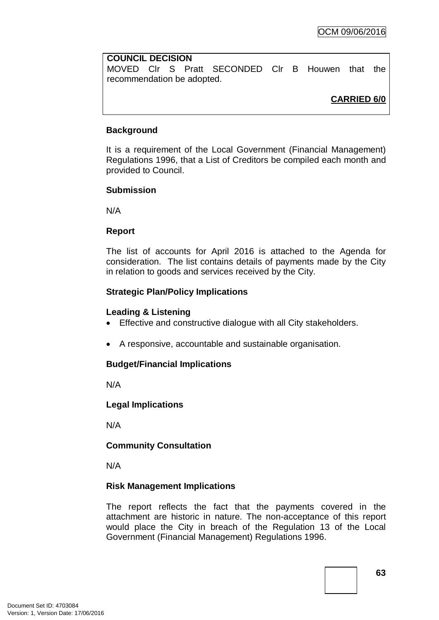# **COUNCIL DECISION**

MOVED Clr S Pratt SECONDED Clr B Houwen that the recommendation be adopted.

# **CARRIED 6/0**

# **Background**

It is a requirement of the Local Government (Financial Management) Regulations 1996, that a List of Creditors be compiled each month and provided to Council.

# **Submission**

N/A

# **Report**

The list of accounts for April 2016 is attached to the Agenda for consideration. The list contains details of payments made by the City in relation to goods and services received by the City.

# **Strategic Plan/Policy Implications**

# **Leading & Listening**

- Effective and constructive dialogue with all City stakeholders.
- A responsive, accountable and sustainable organisation.

# **Budget/Financial Implications**

N/A

# **Legal Implications**

N/A

# **Community Consultation**

N/A

# **Risk Management Implications**

The report reflects the fact that the payments covered in the attachment are historic in nature. The non-acceptance of this report would place the City in breach of the Regulation 13 of the Local Government (Financial Management) Regulations 1996.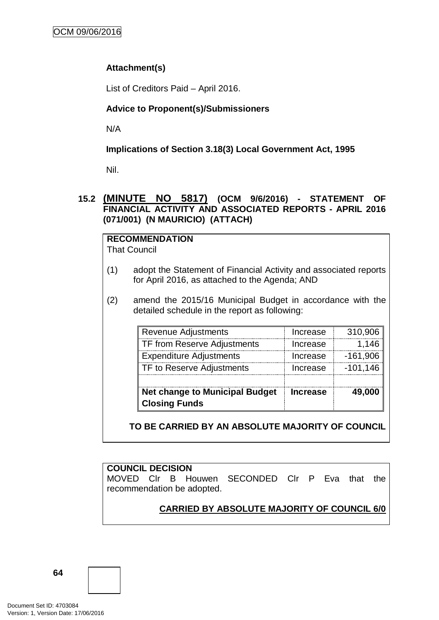# **Attachment(s)**

List of Creditors Paid – April 2016.

# **Advice to Proponent(s)/Submissioners**

N/A

# **Implications of Section 3.18(3) Local Government Act, 1995**

Nil.

# **15.2 (MINUTE NO 5817) (OCM 9/6/2016) - STATEMENT OF FINANCIAL ACTIVITY AND ASSOCIATED REPORTS - APRIL 2016 (071/001) (N MAURICIO) (ATTACH)**

#### **RECOMMENDATION** That Council

- (1) adopt the Statement of Financial Activity and associated reports for April 2016, as attached to the Agenda; AND
- (2) amend the 2015/16 Municipal Budget in accordance with the detailed schedule in the report as following:

| <b>Net change to Municipal Budget</b><br><b>Closing Funds</b> | <b>Increase</b> | 49,000      |
|---------------------------------------------------------------|-----------------|-------------|
|                                                               |                 |             |
| TF to Reserve Adjustments                                     | Increase        | $-101, 146$ |
| <b>Expenditure Adjustments</b>                                | Increase        | $-161,906$  |
| TF from Reserve Adjustments                                   | Increase        | 1.146       |
| Revenue Adjustments                                           | Increase        | 310,906     |

**TO BE CARRIED BY AN ABSOLUTE MAJORITY OF COUNCIL**

# **COUNCIL DECISION** MOVED Clr B Houwen SECONDED Clr P Eva that the recommendation be adopted.

# **CARRIED BY ABSOLUTE MAJORITY OF COUNCIL 6/0**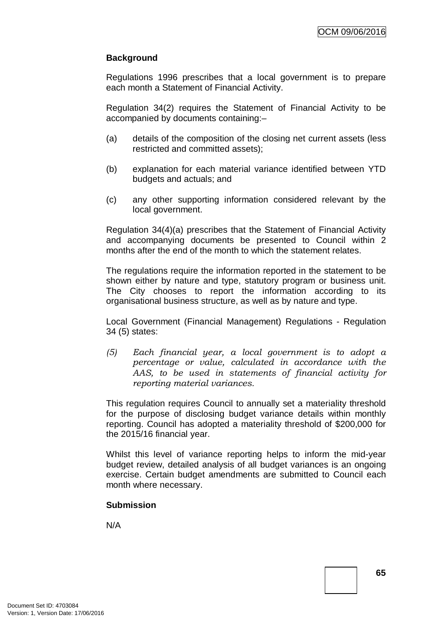# **Background**

Regulations 1996 prescribes that a local government is to prepare each month a Statement of Financial Activity.

Regulation 34(2) requires the Statement of Financial Activity to be accompanied by documents containing:–

- (a) details of the composition of the closing net current assets (less restricted and committed assets);
- (b) explanation for each material variance identified between YTD budgets and actuals; and
- (c) any other supporting information considered relevant by the local government.

Regulation 34(4)(a) prescribes that the Statement of Financial Activity and accompanying documents be presented to Council within 2 months after the end of the month to which the statement relates.

The regulations require the information reported in the statement to be shown either by nature and type, statutory program or business unit. The City chooses to report the information according to its organisational business structure, as well as by nature and type.

Local Government (Financial Management) Regulations - Regulation 34 (5) states:

*(5) Each financial year, a local government is to adopt a percentage or value, calculated in accordance with the AAS, to be used in statements of financial activity for reporting material variances.*

This regulation requires Council to annually set a materiality threshold for the purpose of disclosing budget variance details within monthly reporting. Council has adopted a materiality threshold of \$200,000 for the 2015/16 financial year.

Whilst this level of variance reporting helps to inform the mid-year budget review, detailed analysis of all budget variances is an ongoing exercise. Certain budget amendments are submitted to Council each month where necessary.

# **Submission**

N/A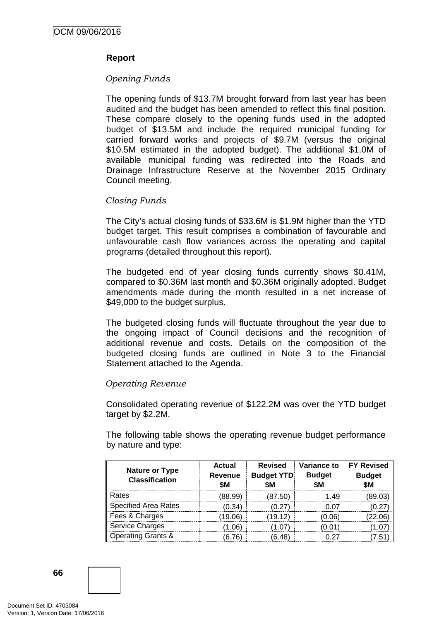# **Report**

# *Opening Funds*

The opening funds of \$13.7M brought forward from last year has been audited and the budget has been amended to reflect this final position. These compare closely to the opening funds used in the adopted budget of \$13.5M and include the required municipal funding for carried forward works and projects of \$9.7M (versus the original \$10.5M estimated in the adopted budget). The additional \$1.0M of available municipal funding was redirected into the Roads and Drainage Infrastructure Reserve at the November 2015 Ordinary Council meeting.

## *Closing Funds*

The City's actual closing funds of \$33.6M is \$1.9M higher than the YTD budget target. This result comprises a combination of favourable and unfavourable cash flow variances across the operating and capital programs (detailed throughout this report).

The budgeted end of year closing funds currently shows \$0.41M, compared to \$0.36M last month and \$0.36M originally adopted. Budget amendments made during the month resulted in a net increase of \$49,000 to the budget surplus.

The budgeted closing funds will fluctuate throughout the year due to the ongoing impact of Council decisions and the recognition of additional revenue and costs. Details on the composition of the budgeted closing funds are outlined in Note 3 to the Financial Statement attached to the Agenda.

# *Operating Revenue*

Consolidated operating revenue of \$122.2M was over the YTD budget target by \$2.2M.

The following table shows the operating revenue budget performance by nature and type:

|                                                | <b>Actual</b>  | <b>Revised</b>          | Variance to          | <b>FY Revised</b>    |  |
|------------------------------------------------|----------------|-------------------------|----------------------|----------------------|--|
| <b>Nature or Type</b><br><b>Classification</b> | Revenue<br>\$M | <b>Budget YTD</b><br>SM | <b>Budget</b><br>\$Μ | <b>Budget</b><br>\$M |  |
| Rates                                          | (88.99)        | (87.50)                 | 149                  | 89.03                |  |
| <b>Specified Area Rates</b>                    | (0.34)         | 0.27                    |                      |                      |  |
| Fees & Charges                                 | 19.06)         | 19.12                   | 0.06                 |                      |  |
| Service Charges                                | 1.06)          |                         | 0.01                 |                      |  |
| <b>Operating Grants &amp;</b>                  | .76            | 6.48                    |                      |                      |  |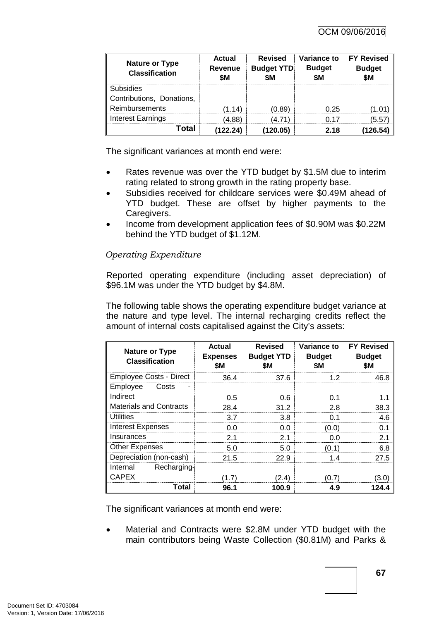| <b>Nature or Type</b><br><b>Classification</b> | Actual<br>Revenue<br>SΜ | <b>Revised</b><br><b>Budget YTD</b><br>SΜ | Variance to<br><b>Budget</b> | <b>FY Revised</b><br><b>Budget</b> |  |
|------------------------------------------------|-------------------------|-------------------------------------------|------------------------------|------------------------------------|--|
| <b>Subsidies</b>                               |                         |                                           |                              |                                    |  |
| Contributions, Donations,                      |                         |                                           |                              |                                    |  |
| Reimbursements                                 | 1.14)                   | (0.89)                                    | O 25                         |                                    |  |
| <b>Interest Earnings</b>                       | 4 88)                   |                                           |                              | 55                                 |  |
| ntal                                           | (122.24                 | 20.05)                                    | 2 18                         |                                    |  |

The significant variances at month end were:

- Rates revenue was over the YTD budget by \$1.5M due to interim rating related to strong growth in the rating property base.
- Subsidies received for childcare services were \$0.49M ahead of YTD budget. These are offset by higher payments to the Caregivers.
- Income from development application fees of \$0.90M was \$0.22M behind the YTD budget of \$1.12M.

# *Operating Expenditure*

Reported operating expenditure (including asset depreciation) of \$96.1M was under the YTD budget by \$4.8M.

The following table shows the operating expenditure budget variance at the nature and type level. The internal recharging credits reflect the amount of internal costs capitalised against the City's assets:

| <b>Nature or Type</b><br><b>Classification</b> | <b>Actual</b><br><b>Expenses</b> | <b>Revised</b><br><b>Budget YTD</b> | <b>Variance to</b><br><b>Budget</b> | <b>FY Revised</b><br><b>Budget</b> |
|------------------------------------------------|----------------------------------|-------------------------------------|-------------------------------------|------------------------------------|
|                                                | \$Μ                              | \$M                                 | SΜ                                  | \$M                                |
| Employee Costs - Direct                        | 36.4                             | 37.6                                | 1.2                                 | 46.8                               |
| Employee<br>Costs                              |                                  |                                     |                                     |                                    |
| Indirect                                       | 0.5                              | 0.6                                 | 0.1                                 |                                    |
| <b>Materials and Contracts</b>                 | 28.4                             | 31.2                                | 2.8                                 | 38.3                               |
| Utilities                                      | 3.7                              | 3.8                                 | 0.1                                 | 4.6                                |
| <b>Interest Expenses</b>                       | 0.0                              | 0.0                                 | (0.0)                               | 0 1                                |
| Insurances                                     | 2.1                              | 2.1                                 | 0.0                                 | 21                                 |
| <b>Other Expenses</b>                          | 5.0                              | 5.0                                 | (0.1)                               | 6.8                                |
| Depreciation (non-cash)                        | 21.5                             | 22.9                                | 1.4                                 | 27.5                               |
| Recharging-<br>Internal                        |                                  |                                     |                                     |                                    |
| <b>CAPEX</b>                                   | (1.7)                            | (2.4)                               | (0.7)                               | (3.0)                              |
| Total                                          | 96.1                             | 100.9                               | 4.9                                 | 124.4                              |

The significant variances at month end were:

Material and Contracts were \$2.8M under YTD budget with the main contributors being Waste Collection (\$0.81M) and Parks &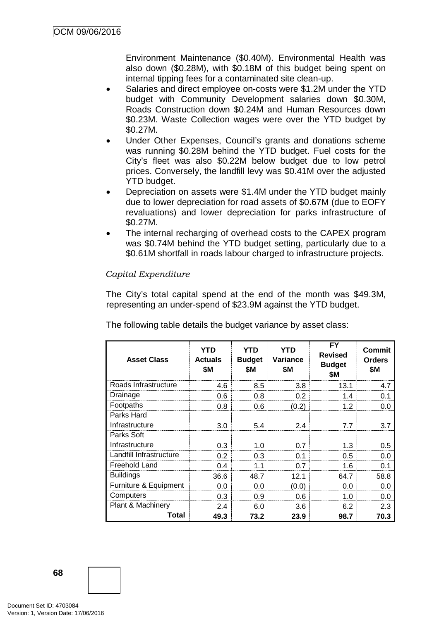Environment Maintenance (\$0.40M). Environmental Health was also down (\$0.28M), with \$0.18M of this budget being spent on internal tipping fees for a contaminated site clean-up.

- Salaries and direct employee on-costs were \$1.2M under the YTD budget with Community Development salaries down \$0.30M, Roads Construction down \$0.24M and Human Resources down \$0.23M. Waste Collection wages were over the YTD budget by \$0.27M.
- Under Other Expenses, Council's grants and donations scheme was running \$0.28M behind the YTD budget. Fuel costs for the City's fleet was also \$0.22M below budget due to low petrol prices. Conversely, the landfill levy was \$0.41M over the adjusted YTD budget.
- Depreciation on assets were \$1.4M under the YTD budget mainly due to lower depreciation for road assets of \$0.67M (due to EOFY revaluations) and lower depreciation for parks infrastructure of \$0.27M.
- The internal recharging of overhead costs to the CAPEX program was \$0.74M behind the YTD budget setting, particularly due to a \$0.61M shortfall in roads labour charged to infrastructure projects.

# *Capital Expenditure*

The City's total capital spend at the end of the month was \$49.3M, representing an under-spend of \$23.9M against the YTD budget.

| <b>Asset Class</b>      | <b>YTD</b><br><b>Actuals</b><br>\$Μ | <b>YTD</b><br><b>Budget</b><br>\$M | <b>YTD</b><br>Variance<br>\$M | <b>FY</b><br><b>Revised</b><br><b>Budget</b><br>\$M | Commit<br><b>Orders</b><br>\$M |
|-------------------------|-------------------------------------|------------------------------------|-------------------------------|-----------------------------------------------------|--------------------------------|
| Roads Infrastructure    | 4.6                                 | 8.5                                | 3.8                           | 13.1                                                | 4.7                            |
| Drainage                | 0.6                                 | 0.8                                | 0.2                           | 1.4                                                 | 0.1                            |
| Footpaths               | 0.8                                 | 0.6                                | (0.2)                         | 1.2                                                 | 0.0                            |
| Parks Hard              |                                     |                                    |                               |                                                     |                                |
| Infrastructure          | 3.0                                 | 5.4                                | 2.4                           | 7.7                                                 | 3.7                            |
| Parks Soft              |                                     |                                    |                               |                                                     |                                |
| Infrastructure          | 0.3                                 | 1.0                                | 0.7                           | 1.3                                                 | 0.5                            |
| Landfill Infrastructure | 0.2                                 | 0.3                                | 0.1                           | 0.5                                                 | 0.0                            |
| Freehold Land           | 0.4                                 | 1.1                                | 0.7                           | 1.6                                                 | 0.1                            |
| <b>Buildings</b>        | 36.6                                | 48.7                               | 12.1                          | 64.7                                                | 58.8                           |
| Furniture & Equipment   | 0.0                                 | 0.0                                | (0.0)                         | 0.0                                                 | 0.0                            |
| Computers               | 0.3                                 | 0.9                                | 0.6                           | 1.0                                                 | 0.0                            |
| Plant & Machinery       | 2.4                                 | 6.0                                | 3.6                           | 6.2                                                 | 2.3                            |
| Total                   | 49.3                                | 73.2                               | 23.9                          | 98.7                                                | 70.3                           |

The following table details the budget variance by asset class: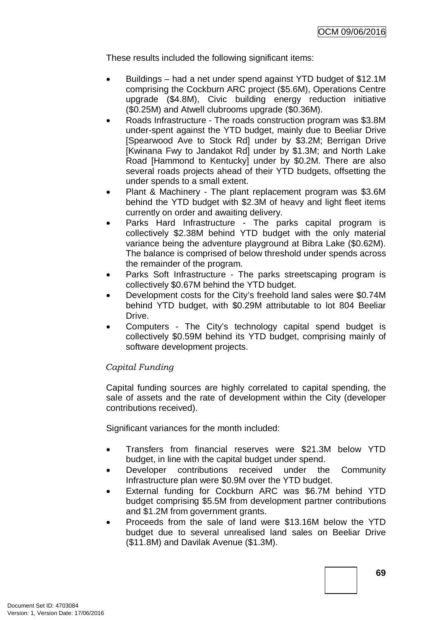These results included the following significant items:

- Buildings had a net under spend against YTD budget of \$12.1M comprising the Cockburn ARC project (\$5.6M), Operations Centre upgrade (\$4.8M), Civic building energy reduction initiative (\$0.25M) and Atwell clubrooms upgrade (\$0.36M).
- Roads Infrastructure The roads construction program was \$3.8M under-spent against the YTD budget, mainly due to Beeliar Drive [Spearwood Ave to Stock Rd] under by \$3.2M; Berrigan Drive [Kwinana Fwy to Jandakot Rd] under by \$1.3M; and North Lake Road [Hammond to Kentucky] under by \$0.2M. There are also several roads projects ahead of their YTD budgets, offsetting the under spends to a small extent.
- Plant & Machinery The plant replacement program was \$3.6M behind the YTD budget with \$2.3M of heavy and light fleet items currently on order and awaiting delivery.
- Parks Hard Infrastructure The parks capital program is collectively \$2.38M behind YTD budget with the only material variance being the adventure playground at Bibra Lake (\$0.62M). The balance is comprised of below threshold under spends across the remainder of the program.
- Parks Soft Infrastructure The parks streetscaping program is collectively \$0.67M behind the YTD budget.
- Development costs for the City's freehold land sales were \$0.74M behind YTD budget, with \$0.29M attributable to lot 804 Beeliar Drive.
- Computers The City's technology capital spend budget is collectively \$0.59M behind its YTD budget, comprising mainly of software development projects.

## *Capital Funding*

Capital funding sources are highly correlated to capital spending, the sale of assets and the rate of development within the City (developer contributions received).

Significant variances for the month included:

- Transfers from financial reserves were \$21.3M below YTD budget, in line with the capital budget under spend.
- Developer contributions received under the Community Infrastructure plan were \$0.9M over the YTD budget.
- External funding for Cockburn ARC was \$6.7M behind YTD budget comprising \$5.5M from development partner contributions and \$1.2M from government grants.
- Proceeds from the sale of land were \$13.16M below the YTD budget due to several unrealised land sales on Beeliar Drive (\$11.8M) and Davilak Avenue (\$1.3M).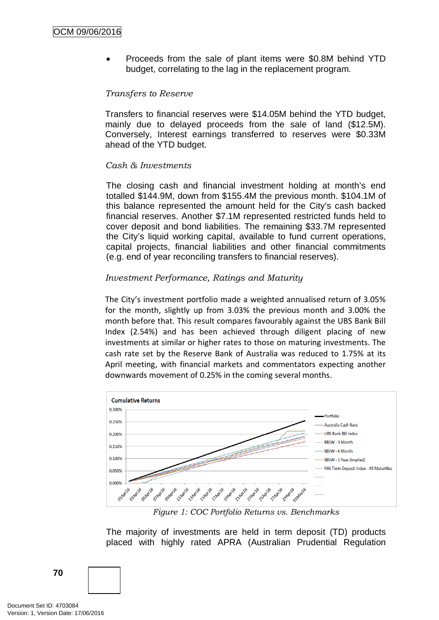• Proceeds from the sale of plant items were \$0.8M behind YTD budget, correlating to the lag in the replacement program.

### *Transfers to Reserve*

Transfers to financial reserves were \$14.05M behind the YTD budget, mainly due to delayed proceeds from the sale of land (\$12.5M). Conversely, Interest earnings transferred to reserves were \$0.33M ahead of the YTD budget.

#### *Cash & Investments*

The closing cash and financial investment holding at month's end totalled \$144.9M, down from \$155.4M the previous month. \$104.1M of this balance represented the amount held for the City's cash backed financial reserves. Another \$7.1M represented restricted funds held to cover deposit and bond liabilities. The remaining \$33.7M represented the City's liquid working capital, available to fund current operations, capital projects, financial liabilities and other financial commitments (e.g. end of year reconciling transfers to financial reserves).

#### *Investment Performance, Ratings and Maturity*

The City's investment portfolio made a weighted annualised return of 3.05% for the month, slightly up from 3.03% the previous month and 3.00% the month before that. This result compares favourably against the UBS Bank Bill Index (2.54%) and has been achieved through diligent placing of new investments at similar or higher rates to those on maturing investments. The cash rate set by the Reserve Bank of Australia was reduced to 1.75% at its April meeting, with financial markets and commentators expecting another downwards movement of 0.25% in the coming several months.



*Figure 1: COC Portfolio Returns vs. Benchmarks*

The majority of investments are held in term deposit (TD) products placed with highly rated APRA (Australian Prudential Regulation

Document Set ID: 4703084<br>Version: 1, Version Date: 17/06/2016

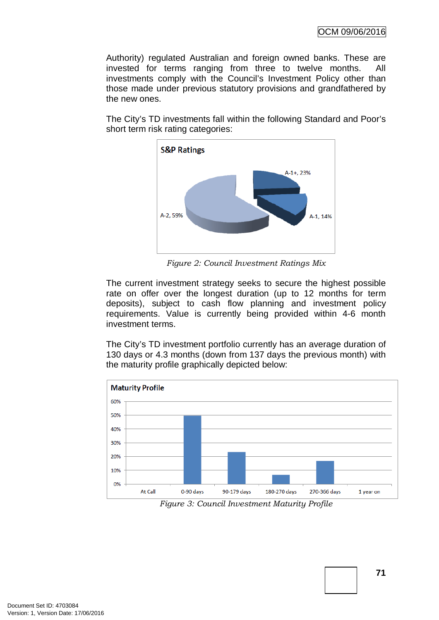OCM 09/06/2016

Authority) regulated Australian and foreign owned banks. These are invested for terms ranging from three to twelve months. All investments comply with the Council's Investment Policy other than those made under previous statutory provisions and grandfathered by the new ones.

The City's TD investments fall within the following Standard and Poor's short term risk rating categories:



*Figure 2: Council Investment Ratings Mix*

The current investment strategy seeks to secure the highest possible rate on offer over the longest duration (up to 12 months for term deposits), subject to cash flow planning and investment policy requirements. Value is currently being provided within 4-6 month investment terms.

The City's TD investment portfolio currently has an average duration of 130 days or 4.3 months (down from 137 days the previous month) with the maturity profile graphically depicted below:



*Figure 3: Council Investment Maturity Profile*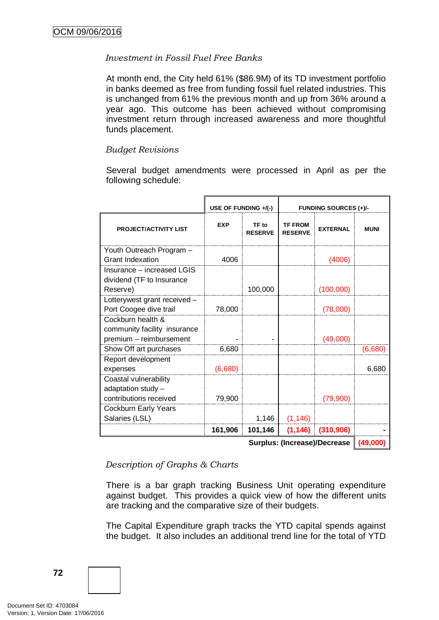## *Investment in Fossil Fuel Free Banks*

At month end, the City held 61% (\$86.9M) of its TD investment portfolio in banks deemed as free from funding fossil fuel related industries. This is unchanged from 61% the previous month and up from 36% around a year ago. This outcome has been achieved without compromising investment return through increased awareness and more thoughtful funds placement.

## *Budget Revisions*

Several budget amendments were processed in April as per the following schedule:

|                                                                              | USE OF FUNDING +/(-) |                         | <b>FUNDING SOURCES (+)/-</b>     |                 |             |
|------------------------------------------------------------------------------|----------------------|-------------------------|----------------------------------|-----------------|-------------|
| <b>PROJECT/ACTIVITY LIST</b>                                                 | <b>EXP</b>           | TF to<br><b>RESERVE</b> | <b>TF FROM</b><br><b>RESERVE</b> | <b>EXTERNAL</b> | <b>MUNI</b> |
| Youth Outreach Program -<br><b>Grant Indexation</b>                          | 4006                 |                         |                                  | (4006)          |             |
| Insurance – increased LGIS<br>dividend (TF to Insurance<br>Reserve)          |                      | 100,000                 |                                  | (100,000)       |             |
| Lotterywest grant received -<br>Port Coogee dive trail                       | 78,000               |                         |                                  | (78,000)        |             |
| Cockburn health &<br>community facility insurance<br>premium - reimbursement |                      |                         |                                  | (49,000)        |             |
| Show Off art purchases                                                       | 6,680                |                         |                                  |                 | (6,680)     |
| Report development<br>expenses                                               | (6,680)              |                         |                                  |                 | 6,680       |
| Coastal vulnerability<br>adaptation study -<br>contributions received        | 79,900               |                         |                                  | (79,900)        |             |
| <b>Cockburn Early Years</b><br>Salaries (LSL)                                |                      | 1,146                   | (1, 146)                         |                 |             |
|                                                                              | 161,906              | 101,146                 | (1, 146)                         | (310, 906)      |             |

**Surplus: (Increase)/Decrease (49,000)**

*Description of Graphs & Charts*

There is a bar graph tracking Business Unit operating expenditure against budget. This provides a quick view of how the different units are tracking and the comparative size of their budgets.

The Capital Expenditure graph tracks the YTD capital spends against the budget. It also includes an additional trend line for the total of YTD

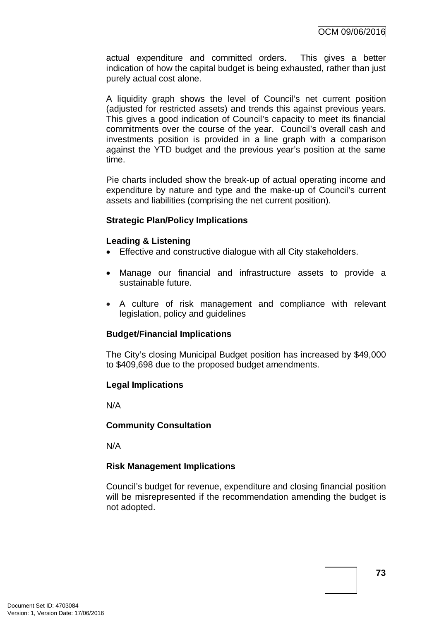actual expenditure and committed orders. This gives a better indication of how the capital budget is being exhausted, rather than just purely actual cost alone.

A liquidity graph shows the level of Council's net current position (adjusted for restricted assets) and trends this against previous years. This gives a good indication of Council's capacity to meet its financial commitments over the course of the year. Council's overall cash and investments position is provided in a line graph with a comparison against the YTD budget and the previous year's position at the same time.

Pie charts included show the break-up of actual operating income and expenditure by nature and type and the make-up of Council's current assets and liabilities (comprising the net current position).

#### **Strategic Plan/Policy Implications**

#### **Leading & Listening**

- Effective and constructive dialogue with all City stakeholders.
- Manage our financial and infrastructure assets to provide a sustainable future.
- A culture of risk management and compliance with relevant legislation, policy and guidelines

## **Budget/Financial Implications**

The City's closing Municipal Budget position has increased by \$49,000 to \$409,698 due to the proposed budget amendments.

## **Legal Implications**

N/A

## **Community Consultation**

N/A

## **Risk Management Implications**

Council's budget for revenue, expenditure and closing financial position will be misrepresented if the recommendation amending the budget is not adopted.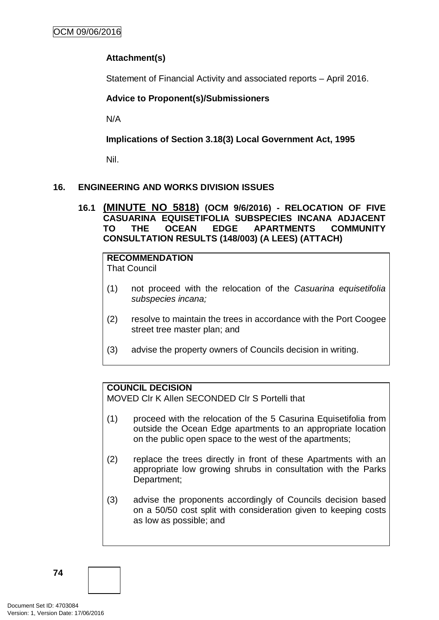## **Attachment(s)**

Statement of Financial Activity and associated reports – April 2016.

## **Advice to Proponent(s)/Submissioners**

N/A

**Implications of Section 3.18(3) Local Government Act, 1995**

Nil.

## **16. ENGINEERING AND WORKS DIVISION ISSUES**

**16.1 (MINUTE NO 5818) (OCM 9/6/2016) - RELOCATION OF FIVE CASUARINA EQUISETIFOLIA SUBSPECIES INCANA ADJACENT TO THE OCEAN EDGE APARTMENTS COMMUNITY CONSULTATION RESULTS (148/003) (A LEES) (ATTACH)**

# **RECOMMENDATION**

That Council

- (1) not proceed with the relocation of the *Casuarina equisetifolia subspecies incana;*
- (2) resolve to maintain the trees in accordance with the Port Coogee street tree master plan; and
- (3) advise the property owners of Councils decision in writing.

## **COUNCIL DECISION**

MOVED Clr K Allen SECONDED Clr S Portelli that

- (1) proceed with the relocation of the 5 Casurina Equisetifolia from outside the Ocean Edge apartments to an appropriate location on the public open space to the west of the apartments;
- (2) replace the trees directly in front of these Apartments with an appropriate low growing shrubs in consultation with the Parks Department;
- (3) advise the proponents accordingly of Councils decision based on a 50/50 cost split with consideration given to keeping costs as low as possible; and

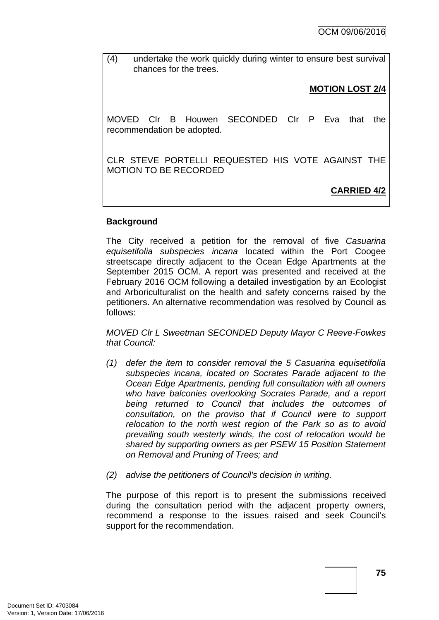(4) undertake the work quickly during winter to ensure best survival chances for the trees.

## **MOTION LOST 2/4**

MOVED Clr B Houwen SECONDED Clr P Eva that the recommendation be adopted.

CLR STEVE PORTELLI REQUESTED HIS VOTE AGAINST THE MOTION TO BE RECORDED

**CARRIED 4/2**

## **Background**

The City received a petition for the removal of five *Casuarina equisetifolia subspecies incana* located within the Port Coogee streetscape directly adjacent to the Ocean Edge Apartments at the September 2015 OCM. A report was presented and received at the February 2016 OCM following a detailed investigation by an Ecologist and Arboriculturalist on the health and safety concerns raised by the petitioners. An alternative recommendation was resolved by Council as follows:

*MOVED Clr L Sweetman SECONDED Deputy Mayor C Reeve-Fowkes that Council:* 

- *(1) defer the item to consider removal the 5 Casuarina equisetifolia subspecies incana, located on Socrates Parade adjacent to the Ocean Edge Apartments, pending full consultation with all owners who have balconies overlooking Socrates Parade, and a report being returned to Council that includes the outcomes of consultation, on the proviso that if Council were to support relocation to the north west region of the Park so as to avoid prevailing south westerly winds, the cost of relocation would be shared by supporting owners as per PSEW 15 Position Statement on Removal and Pruning of Trees; and*
- *(2) advise the petitioners of Council's decision in writing.*

The purpose of this report is to present the submissions received during the consultation period with the adjacent property owners, recommend a response to the issues raised and seek Council's support for the recommendation.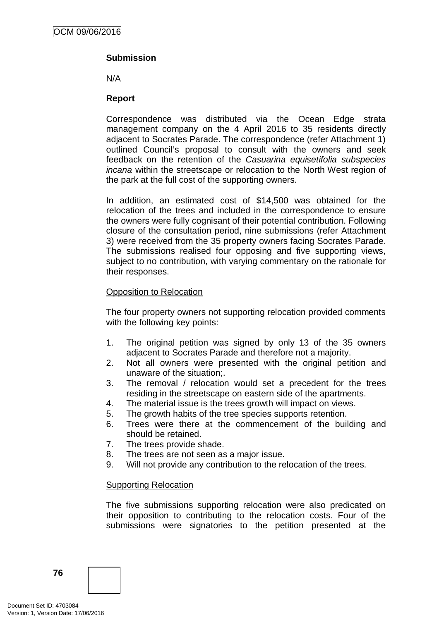## **Submission**

N/A

## **Report**

Correspondence was distributed via the Ocean Edge strata management company on the 4 April 2016 to 35 residents directly adjacent to Socrates Parade. The correspondence (refer Attachment 1) outlined Council's proposal to consult with the owners and seek feedback on the retention of the *Casuarina equisetifolia subspecies incana* within the streetscape or relocation to the North West region of the park at the full cost of the supporting owners.

In addition, an estimated cost of \$14,500 was obtained for the relocation of the trees and included in the correspondence to ensure the owners were fully cognisant of their potential contribution. Following closure of the consultation period, nine submissions (refer Attachment 3) were received from the 35 property owners facing Socrates Parade. The submissions realised four opposing and five supporting views, subject to no contribution, with varying commentary on the rationale for their responses.

#### Opposition to Relocation

The four property owners not supporting relocation provided comments with the following key points:

- 1. The original petition was signed by only 13 of the 35 owners adjacent to Socrates Parade and therefore not a majority.
- 2. Not all owners were presented with the original petition and unaware of the situation;.
- 3. The removal / relocation would set a precedent for the trees residing in the streetscape on eastern side of the apartments.
- 4. The material issue is the trees growth will impact on views.
- 5. The growth habits of the tree species supports retention.
- 6. Trees were there at the commencement of the building and should be retained.
- 7. The trees provide shade.
- 8. The trees are not seen as a major issue.
- 9. Will not provide any contribution to the relocation of the trees.

#### Supporting Relocation

The five submissions supporting relocation were also predicated on their opposition to contributing to the relocation costs. Four of the submissions were signatories to the petition presented at the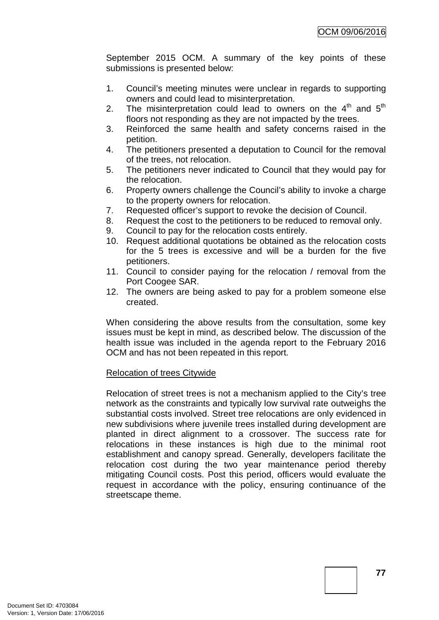September 2015 OCM. A summary of the key points of these submissions is presented below:

- 1. Council's meeting minutes were unclear in regards to supporting owners and could lead to misinterpretation.
- 2. The misinterpretation could lead to owners on the  $4<sup>th</sup>$  and  $5<sup>th</sup>$ floors not responding as they are not impacted by the trees.
- 3. Reinforced the same health and safety concerns raised in the petition.
- 4. The petitioners presented a deputation to Council for the removal of the trees, not relocation.
- 5. The petitioners never indicated to Council that they would pay for the relocation.
- 6. Property owners challenge the Council's ability to invoke a charge to the property owners for relocation.
- 7. Requested officer's support to revoke the decision of Council.
- 8. Request the cost to the petitioners to be reduced to removal only.
- 9. Council to pay for the relocation costs entirely.
- 10. Request additional quotations be obtained as the relocation costs for the 5 trees is excessive and will be a burden for the five petitioners.
- 11. Council to consider paying for the relocation / removal from the Port Coogee SAR.
- 12. The owners are being asked to pay for a problem someone else created.

When considering the above results from the consultation, some key issues must be kept in mind, as described below. The discussion of the health issue was included in the agenda report to the February 2016 OCM and has not been repeated in this report.

## Relocation of trees Citywide

Relocation of street trees is not a mechanism applied to the City's tree network as the constraints and typically low survival rate outweighs the substantial costs involved. Street tree relocations are only evidenced in new subdivisions where juvenile trees installed during development are planted in direct alignment to a crossover. The success rate for relocations in these instances is high due to the minimal root establishment and canopy spread. Generally, developers facilitate the relocation cost during the two year maintenance period thereby mitigating Council costs. Post this period, officers would evaluate the request in accordance with the policy, ensuring continuance of the streetscape theme.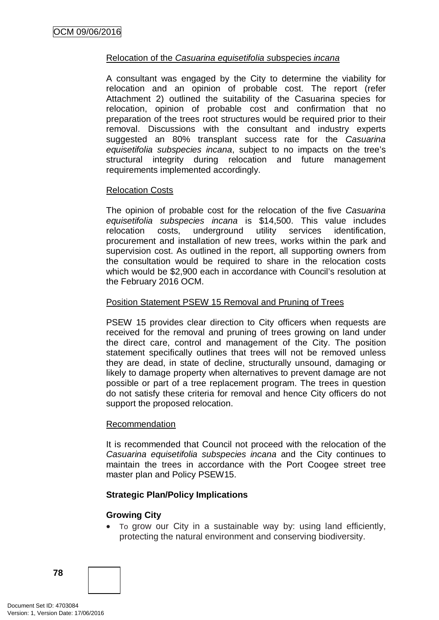## Relocation of the *Casuarina equisetifolia s*ubspecies *incana*

A consultant was engaged by the City to determine the viability for relocation and an opinion of probable cost. The report (refer Attachment 2) outlined the suitability of the Casuarina species for relocation, opinion of probable cost and confirmation that no preparation of the trees root structures would be required prior to their removal. Discussions with the consultant and industry experts suggested an 80% transplant success rate for the *Casuarina equisetifolia subspecies incana*, subject to no impacts on the tree's structural integrity during relocation and future management requirements implemented accordingly.

#### Relocation Costs

The opinion of probable cost for the relocation of the five *Casuarina equisetifolia subspecies incana* is \$14,500. This value includes relocation costs, underground utility services identification, procurement and installation of new trees, works within the park and supervision cost. As outlined in the report, all supporting owners from the consultation would be required to share in the relocation costs which would be \$2,900 each in accordance with Council's resolution at the February 2016 OCM.

#### Position Statement PSEW 15 Removal and Pruning of Trees

PSEW 15 provides clear direction to City officers when requests are received for the removal and pruning of trees growing on land under the direct care, control and management of the City. The position statement specifically outlines that trees will not be removed unless they are dead, in state of decline, structurally unsound, damaging or likely to damage property when alternatives to prevent damage are not possible or part of a tree replacement program. The trees in question do not satisfy these criteria for removal and hence City officers do not support the proposed relocation.

#### Recommendation

It is recommended that Council not proceed with the relocation of the *Casuarina equisetifolia subspecies incana* and the City continues to maintain the trees in accordance with the Port Coogee street tree master plan and Policy PSEW15.

## **Strategic Plan/Policy Implications**

#### **Growing City**

• To grow our City in a sustainable way by: using land efficiently, protecting the natural environment and conserving biodiversity.

**78**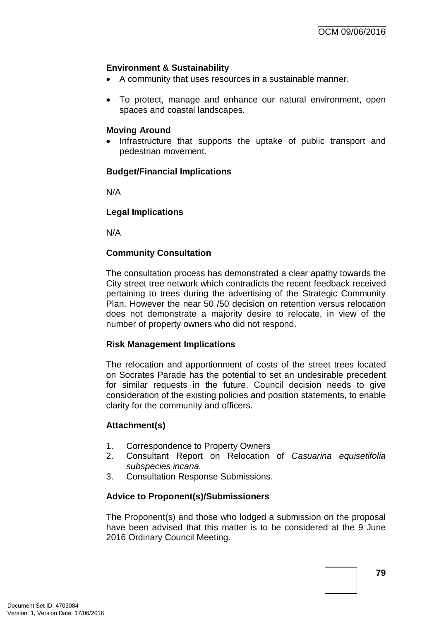## **Environment & Sustainability**

- A community that uses resources in a sustainable manner.
- To protect, manage and enhance our natural environment, open spaces and coastal landscapes.

#### **Moving Around**

• Infrastructure that supports the uptake of public transport and pedestrian movement.

#### **Budget/Financial Implications**

N/A

## **Legal Implications**

N/A

## **Community Consultation**

The consultation process has demonstrated a clear apathy towards the City street tree network which contradicts the recent feedback received pertaining to trees during the advertising of the Strategic Community Plan. However the near 50 /50 decision on retention versus relocation does not demonstrate a majority desire to relocate, in view of the number of property owners who did not respond.

#### **Risk Management Implications**

The relocation and apportionment of costs of the street trees located on Socrates Parade has the potential to set an undesirable precedent for similar requests in the future. Council decision needs to give consideration of the existing policies and position statements, to enable clarity for the community and officers.

## **Attachment(s)**

- 1. Correspondence to Property Owners
- 2. Consultant Report on Relocation of *Casuarina equisetifolia subspecies incana.*
- 3. Consultation Response Submissions.

## **Advice to Proponent(s)/Submissioners**

The Proponent(s) and those who lodged a submission on the proposal have been advised that this matter is to be considered at the 9 June 2016 Ordinary Council Meeting.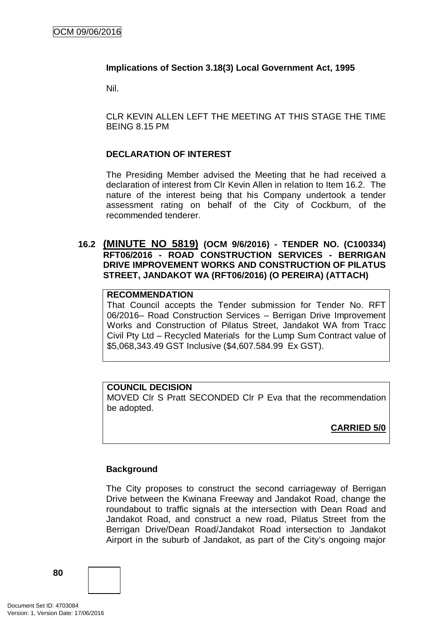## **Implications of Section 3.18(3) Local Government Act, 1995**

Nil.

CLR KEVIN ALLEN LEFT THE MEETING AT THIS STAGE THE TIME BEING 8.15 PM

## **DECLARATION OF INTEREST**

The Presiding Member advised the Meeting that he had received a declaration of interest from Clr Kevin Allen in relation to Item 16.2. The nature of the interest being that his Company undertook a tender assessment rating on behalf of the City of Cockburn, of the recommended tenderer.

## **16.2 (MINUTE NO 5819) (OCM 9/6/2016) - TENDER NO. (C100334) RFT06/2016 - ROAD CONSTRUCTION SERVICES - BERRIGAN DRIVE IMPROVEMENT WORKS AND CONSTRUCTION OF PILATUS STREET, JANDAKOT WA (RFT06/2016) (O PEREIRA) (ATTACH)**

## **RECOMMENDATION**

That Council accepts the Tender submission for Tender No. RFT 06/2016– Road Construction Services – Berrigan Drive Improvement Works and Construction of Pilatus Street, Jandakot WA from Tracc Civil Pty Ltd – Recycled Materials for the Lump Sum Contract value of \$5,068,343.49 GST Inclusive (\$4,607.584.99 Ex GST).

#### **COUNCIL DECISION**

MOVED Clr S Pratt SECONDED Clr P Eva that the recommendation be adopted.

**CARRIED 5/0**

## **Background**

The City proposes to construct the second carriageway of Berrigan Drive between the Kwinana Freeway and Jandakot Road, change the roundabout to traffic signals at the intersection with Dean Road and Jandakot Road, and construct a new road, Pilatus Street from the Berrigan Drive/Dean Road/Jandakot Road intersection to Jandakot Airport in the suburb of Jandakot, as part of the City's ongoing major

**80**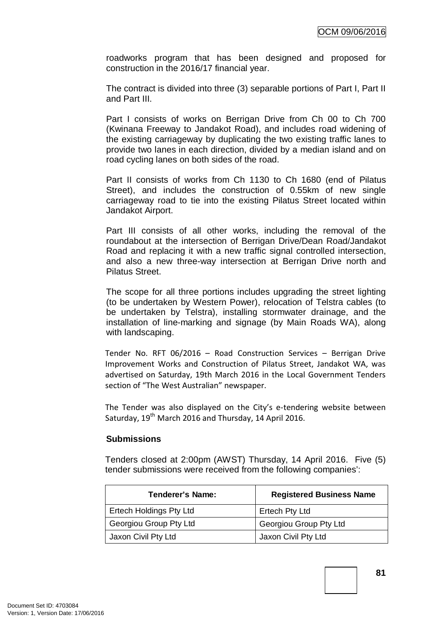roadworks program that has been designed and proposed for construction in the 2016/17 financial year.

The contract is divided into three (3) separable portions of Part I, Part II and Part III.

Part I consists of works on Berrigan Drive from Ch 00 to Ch 700 (Kwinana Freeway to Jandakot Road), and includes road widening of the existing carriageway by duplicating the two existing traffic lanes to provide two lanes in each direction, divided by a median island and on road cycling lanes on both sides of the road.

Part II consists of works from Ch 1130 to Ch 1680 (end of Pilatus Street), and includes the construction of 0.55km of new single carriageway road to tie into the existing Pilatus Street located within Jandakot Airport.

Part III consists of all other works, including the removal of the roundabout at the intersection of Berrigan Drive/Dean Road/Jandakot Road and replacing it with a new traffic signal controlled intersection, and also a new three-way intersection at Berrigan Drive north and Pilatus Street.

The scope for all three portions includes upgrading the street lighting (to be undertaken by Western Power), relocation of Telstra cables (to be undertaken by Telstra), installing stormwater drainage, and the installation of line-marking and signage (by Main Roads WA), along with landscaping.

Tender No. RFT 06/2016 – Road Construction Services – Berrigan Drive Improvement Works and Construction of Pilatus Street, Jandakot WA, was advertised on Saturday, 19th March 2016 in the Local Government Tenders section of "The West Australian" newspaper.

The Tender was also displayed on the City's e-tendering website between Saturday, 19<sup>th</sup> March 2016 and Thursday, 14 April 2016.

## **Submissions**

Tenders closed at 2:00pm (AWST) Thursday, 14 April 2016. Five (5) tender submissions were received from the following companies':

| Tenderer's Name:               | <b>Registered Business Name</b> |
|--------------------------------|---------------------------------|
| <b>Ertech Holdings Pty Ltd</b> | Ertech Pty Ltd                  |
| Georgiou Group Pty Ltd         | Georgiou Group Pty Ltd          |
| Jaxon Civil Pty Ltd            | Jaxon Civil Pty Ltd             |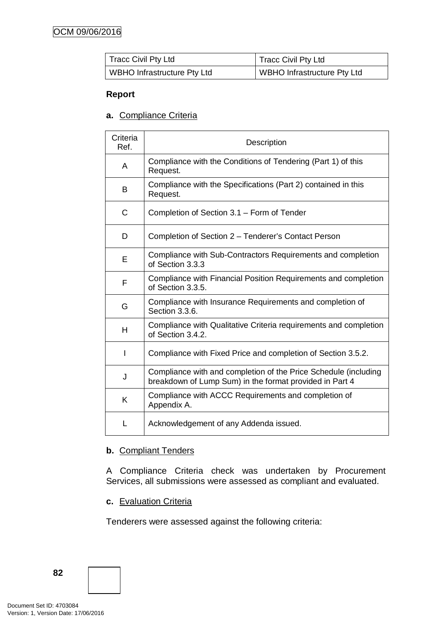| Tracc Civil Pty Ltd         | <b>Tracc Civil Pty Ltd</b>    |
|-----------------------------|-------------------------------|
| WBHO Infrastructure Pty Ltd | I WBHO Infrastructure Pty Ltd |

## **Report**

**a.** Compliance Criteria

| Criteria<br>Ref. | Description                                                                                                                |
|------------------|----------------------------------------------------------------------------------------------------------------------------|
| A                | Compliance with the Conditions of Tendering (Part 1) of this<br>Request.                                                   |
| B                | Compliance with the Specifications (Part 2) contained in this<br>Request.                                                  |
| C                | Completion of Section 3.1 - Form of Tender                                                                                 |
| D                | Completion of Section 2 - Tenderer's Contact Person                                                                        |
| E                | Compliance with Sub-Contractors Requirements and completion<br>of Section 3.3.3                                            |
| F                | Compliance with Financial Position Requirements and completion<br>of Section 3.3.5.                                        |
| G                | Compliance with Insurance Requirements and completion of<br>Section 3.3.6.                                                 |
| H                | Compliance with Qualitative Criteria requirements and completion<br>of Section 3.4.2.                                      |
| I                | Compliance with Fixed Price and completion of Section 3.5.2.                                                               |
| J                | Compliance with and completion of the Price Schedule (including<br>breakdown of Lump Sum) in the format provided in Part 4 |
| K                | Compliance with ACCC Requirements and completion of<br>Appendix A.                                                         |
|                  | Acknowledgement of any Addenda issued.                                                                                     |

## **b.** Compliant Tenders

A Compliance Criteria check was undertaken by Procurement Services, all submissions were assessed as compliant and evaluated.

**c.** Evaluation Criteria

Tenderers were assessed against the following criteria:

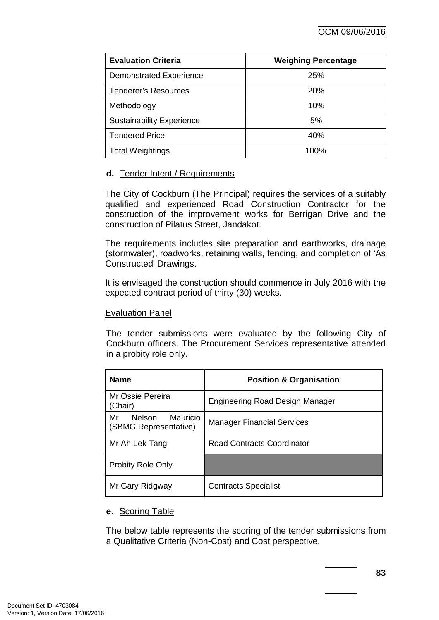| <b>Evaluation Criteria</b>       | <b>Weighing Percentage</b> |
|----------------------------------|----------------------------|
| <b>Demonstrated Experience</b>   | 25%                        |
| Tenderer's Resources             | <b>20%</b>                 |
| Methodology                      | 10%                        |
| <b>Sustainability Experience</b> | 5%                         |
| <b>Tendered Price</b>            | 40%                        |
| <b>Total Weightings</b>          | 100%                       |

## **d.** Tender Intent / Requirements

The City of Cockburn (The Principal) requires the services of a suitably qualified and experienced Road Construction Contractor for the construction of the improvement works for Berrigan Drive and the construction of Pilatus Street, Jandakot.

The requirements includes site preparation and earthworks, drainage (stormwater), roadworks, retaining walls, fencing, and completion of 'As Constructed' Drawings.

It is envisaged the construction should commence in July 2016 with the expected contract period of thirty (30) weeks.

## Evaluation Panel

The tender submissions were evaluated by the following City of Cockburn officers. The Procurement Services representative attended in a probity role only.

| <b>Name</b>                                       | <b>Position &amp; Organisation</b> |
|---------------------------------------------------|------------------------------------|
| Mr Ossie Pereira<br>(Chair)                       | Engineering Road Design Manager    |
| Mauricio<br>Nelson<br>Mr<br>(SBMG Representative) | <b>Manager Financial Services</b>  |
| Mr Ah Lek Tang                                    | <b>Road Contracts Coordinator</b>  |
| <b>Probity Role Only</b>                          |                                    |
| Mr Gary Ridgway                                   | <b>Contracts Specialist</b>        |

## **e.** Scoring Table

The below table represents the scoring of the tender submissions from a Qualitative Criteria (Non-Cost) and Cost perspective.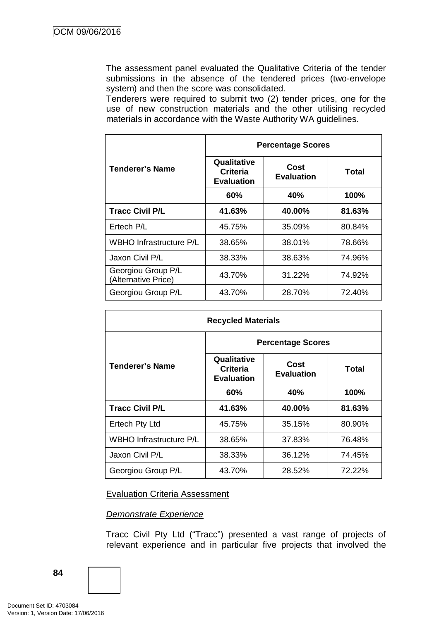The assessment panel evaluated the Qualitative Criteria of the tender submissions in the absence of the tendered prices (two-envelope system) and then the score was consolidated.

Tenderers were required to submit two (2) tender prices, one for the use of new construction materials and the other utilising recycled materials in accordance with the Waste Authority WA guidelines.

|                                           | <b>Percentage Scores</b>                            |                           |        |  |  |
|-------------------------------------------|-----------------------------------------------------|---------------------------|--------|--|--|
| Tenderer's Name                           | Qualitative<br><b>Criteria</b><br><b>Evaluation</b> | Cost<br><b>Evaluation</b> | Total  |  |  |
|                                           | 60%                                                 | 40%                       | 100%   |  |  |
| <b>Tracc Civil P/L</b>                    | 41.63%                                              | 40.00%                    | 81.63% |  |  |
| Ertech P/L                                | 45.75%                                              | 35.09%                    | 80.84% |  |  |
| <b>WBHO Infrastructure P/L</b>            | 38.65%                                              | 38.01%                    | 78.66% |  |  |
| Jaxon Civil P/L                           | 38.33%                                              | 38.63%                    | 74.96% |  |  |
| Georgiou Group P/L<br>(Alternative Price) | 43.70%                                              | 31.22%                    | 74.92% |  |  |
| Georgiou Group P/L                        | 43.70%                                              | 28.70%                    | 72.40% |  |  |

| <b>Recycled Materials</b> |                                                     |        |        |  |  |
|---------------------------|-----------------------------------------------------|--------|--------|--|--|
|                           | <b>Percentage Scores</b>                            |        |        |  |  |
| Tenderer's Name           | Qualitative<br><b>Criteria</b><br><b>Evaluation</b> | Total  |        |  |  |
|                           | 60%                                                 | 40%    | 100%   |  |  |
| <b>Tracc Civil P/L</b>    | 41.63%                                              | 40.00% | 81.63% |  |  |
| Ertech Pty Ltd            | 45.75%                                              | 35.15% | 80.90% |  |  |
| WBHO Infrastructure P/L   | 38.65%                                              | 37.83% | 76.48% |  |  |
| Jaxon Civil P/L           | 38.33%                                              | 36.12% | 74.45% |  |  |
| Georgiou Group P/L        | 43.70%                                              | 28.52% | 72.22% |  |  |

Evaluation Criteria Assessment

## *Demonstrate Experience*

Tracc Civil Pty Ltd ("Tracc") presented a vast range of projects of relevant experience and in particular five projects that involved the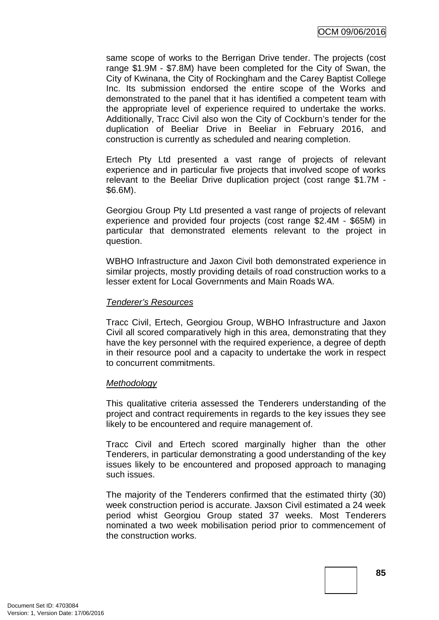same scope of works to the Berrigan Drive tender. The projects (cost range \$1.9M - \$7.8M) have been completed for the City of Swan, the City of Kwinana, the City of Rockingham and the Carey Baptist College Inc. Its submission endorsed the entire scope of the Works and demonstrated to the panel that it has identified a competent team with the appropriate level of experience required to undertake the works. Additionally, Tracc Civil also won the City of Cockburn's tender for the duplication of Beeliar Drive in Beeliar in February 2016, and construction is currently as scheduled and nearing completion.

Ertech Pty Ltd presented a vast range of projects of relevant experience and in particular five projects that involved scope of works relevant to the Beeliar Drive duplication project (cost range \$1.7M - \$6.6M).

Georgiou Group Pty Ltd presented a vast range of projects of relevant experience and provided four projects (cost range \$2.4M - \$65M) in particular that demonstrated elements relevant to the project in question.

WBHO Infrastructure and Jaxon Civil both demonstrated experience in similar projects, mostly providing details of road construction works to a lesser extent for Local Governments and Main Roads WA.

#### *Tenderer's Resources*

Tracc Civil, Ertech, Georgiou Group, WBHO Infrastructure and Jaxon Civil all scored comparatively high in this area, demonstrating that they have the key personnel with the required experience, a degree of depth in their resource pool and a capacity to undertake the work in respect to concurrent commitments.

## *Methodology*

This qualitative criteria assessed the Tenderers understanding of the project and contract requirements in regards to the key issues they see likely to be encountered and require management of.

Tracc Civil and Ertech scored marginally higher than the other Tenderers, in particular demonstrating a good understanding of the key issues likely to be encountered and proposed approach to managing such issues.

The majority of the Tenderers confirmed that the estimated thirty (30) week construction period is accurate. Jaxson Civil estimated a 24 week period whist Georgiou Group stated 37 weeks. Most Tenderers nominated a two week mobilisation period prior to commencement of the construction works.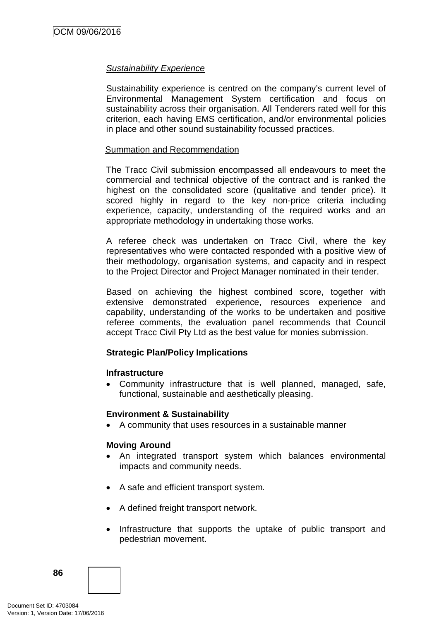### *Sustainability Experience*

Sustainability experience is centred on the company's current level of Environmental Management System certification and focus on sustainability across their organisation. All Tenderers rated well for this criterion, each having EMS certification, and/or environmental policies in place and other sound sustainability focussed practices.

#### Summation and Recommendation

The Tracc Civil submission encompassed all endeavours to meet the commercial and technical objective of the contract and is ranked the highest on the consolidated score (qualitative and tender price). It scored highly in regard to the key non-price criteria including experience, capacity, understanding of the required works and an appropriate methodology in undertaking those works.

A referee check was undertaken on Tracc Civil, where the key representatives who were contacted responded with a positive view of their methodology, organisation systems, and capacity and in respect to the Project Director and Project Manager nominated in their tender.

Based on achieving the highest combined score, together with extensive demonstrated experience, resources experience and capability, understanding of the works to be undertaken and positive referee comments, the evaluation panel recommends that Council accept Tracc Civil Pty Ltd as the best value for monies submission.

## **Strategic Plan/Policy Implications**

#### **Infrastructure**

• Community infrastructure that is well planned, managed, safe, functional, sustainable and aesthetically pleasing.

#### **Environment & Sustainability**

• A community that uses resources in a sustainable manner

#### **Moving Around**

- An integrated transport system which balances environmental impacts and community needs.
- A safe and efficient transport system.
- A defined freight transport network.
- Infrastructure that supports the uptake of public transport and pedestrian movement.

**86**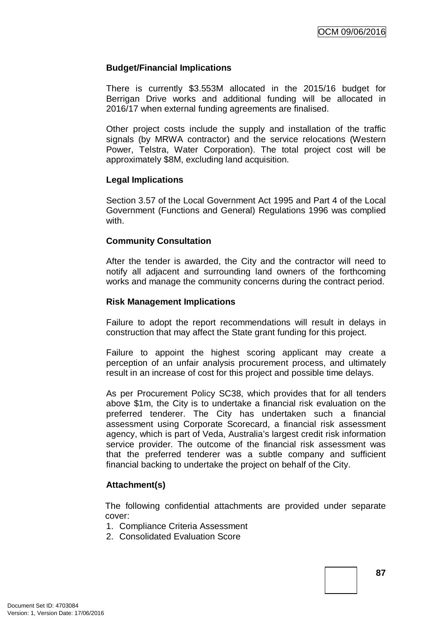### **Budget/Financial Implications**

There is currently \$3.553M allocated in the 2015/16 budget for Berrigan Drive works and additional funding will be allocated in 2016/17 when external funding agreements are finalised.

Other project costs include the supply and installation of the traffic signals (by MRWA contractor) and the service relocations (Western Power, Telstra, Water Corporation). The total project cost will be approximately \$8M, excluding land acquisition.

#### **Legal Implications**

Section 3.57 of the Local Government Act 1995 and Part 4 of the Local Government (Functions and General) Regulations 1996 was complied with.

#### **Community Consultation**

After the tender is awarded, the City and the contractor will need to notify all adjacent and surrounding land owners of the forthcoming works and manage the community concerns during the contract period.

#### **Risk Management Implications**

Failure to adopt the report recommendations will result in delays in construction that may affect the State grant funding for this project.

Failure to appoint the highest scoring applicant may create a perception of an unfair analysis procurement process, and ultimately result in an increase of cost for this project and possible time delays.

As per Procurement Policy SC38, which provides that for all tenders above \$1m, the City is to undertake a financial risk evaluation on the preferred tenderer. The City has undertaken such a financial assessment using Corporate Scorecard, a financial risk assessment agency, which is part of Veda, Australia's largest credit risk information service provider. The outcome of the financial risk assessment was that the preferred tenderer was a subtle company and sufficient financial backing to undertake the project on behalf of the City.

#### **Attachment(s)**

The following confidential attachments are provided under separate cover:

- 1. Compliance Criteria Assessment
- 2. Consolidated Evaluation Score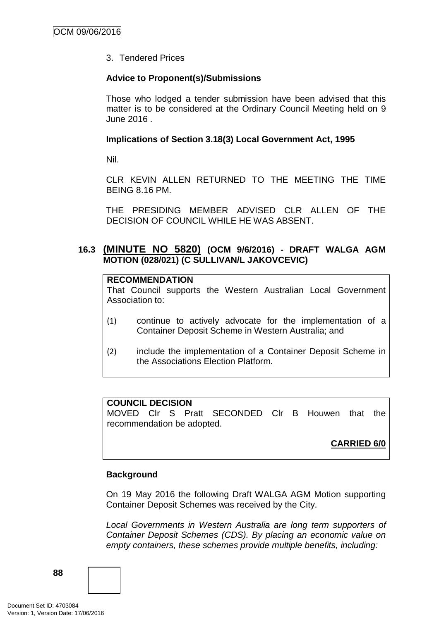3. Tendered Prices

## **Advice to Proponent(s)/Submissions**

Those who lodged a tender submission have been advised that this matter is to be considered at the Ordinary Council Meeting held on 9 June 2016 .

## **Implications of Section 3.18(3) Local Government Act, 1995**

Nil.

CLR KEVIN ALLEN RETURNED TO THE MEETING THE TIME BEING 8.16 PM.

THE PRESIDING MEMBER ADVISED CLR ALLEN OF THE DECISION OF COUNCIL WHILE HE WAS ABSENT.

## **16.3 (MINUTE NO 5820) (OCM 9/6/2016) - DRAFT WALGA AGM MOTION (028/021) (C SULLIVAN/L JAKOVCEVIC)**

#### **RECOMMENDATION**

That Council supports the Western Australian Local Government Association to:

- (1) continue to actively advocate for the implementation of a Container Deposit Scheme in Western Australia; and
- (2) include the implementation of a Container Deposit Scheme in the Associations Election Platform.

## **COUNCIL DECISION**

MOVED Clr S Pratt SECONDED Clr B Houwen that the recommendation be adopted.

**CARRIED 6/0**

## **Background**

On 19 May 2016 the following Draft WALGA AGM Motion supporting Container Deposit Schemes was received by the City.

*Local Governments in Western Australia are long term supporters of Container Deposit Schemes (CDS). By placing an economic value on empty containers, these schemes provide multiple benefits, including:*

**88**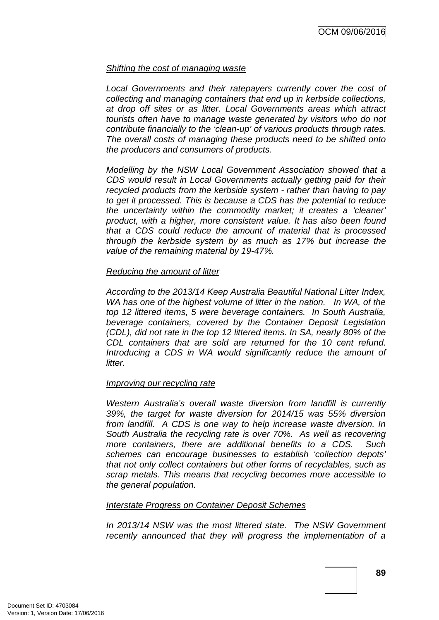#### *Shifting the cost of managing waste*

Local Governments and their ratepayers currently cover the cost of *collecting and managing containers that end up in kerbside collections, at drop off sites or as litter. Local Governments areas which attract tourists often have to manage waste generated by visitors who do not contribute financially to the 'clean-up' of various products through rates. The overall costs of managing these products need to be shifted onto the producers and consumers of products.*

*Modelling by the NSW Local Government Association showed that a CDS would result in Local Governments actually getting paid for their recycled products from the kerbside system - rather than having to pay to get it processed. This is because a CDS has the potential to reduce the uncertainty within the commodity market; it creates a 'cleaner' product, with a higher, more consistent value. It has also been found that a CDS could reduce the amount of material that is processed through the kerbside system by as much as 17% but increase the value of the remaining material by 19-47%.*

#### *Reducing the amount of litter*

*According to the 2013/14 Keep Australia Beautiful National Litter Index, WA has one of the highest volume of litter in the nation. In WA, of the top 12 littered items, 5 were beverage containers. In South Australia, beverage containers, covered by the Container Deposit Legislation (CDL), did not rate in the top 12 littered items. In SA, nearly 80% of the CDL containers that are sold are returned for the 10 cent refund. Introducing a CDS in WA would significantly reduce the amount of litter.* 

#### *Improving our recycling rate*

*Western Australia's overall waste diversion from landfill is currently 39%, the target for waste diversion for 2014/15 was 55% diversion from landfill. A CDS is one way to help increase waste diversion. In South Australia the recycling rate is over 70%. As well as recovering more containers, there are additional benefits to a CDS. Such schemes can encourage businesses to establish 'collection depots' that not only collect containers but other forms of recyclables, such as scrap metals. This means that recycling becomes more accessible to the general population.*

#### *Interstate Progress on Container Deposit Schemes*

*In 2013/14 NSW was the most littered state. The NSW Government recently announced that they will progress the implementation of a*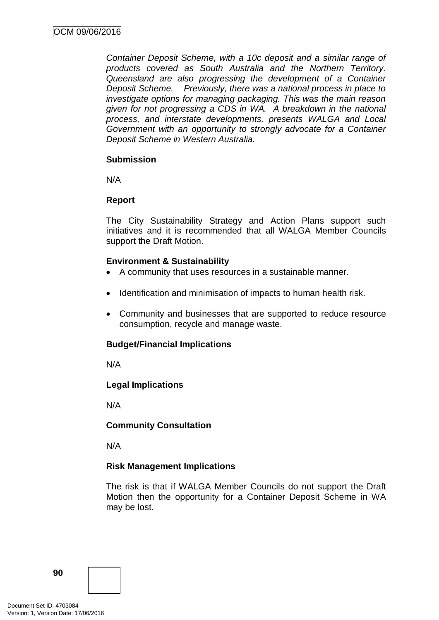*Container Deposit Scheme, with a 10c deposit and a similar range of products covered as South Australia and the Northern Territory. Queensland are also progressing the development of a Container Deposit Scheme. Previously, there was a national process in place to investigate options for managing packaging. This was the main reason given for not progressing a CDS in WA. A breakdown in the national process, and interstate developments, presents WALGA and Local Government with an opportunity to strongly advocate for a Container Deposit Scheme in Western Australia.* 

## **Submission**

N/A

## **Report**

The City Sustainability Strategy and Action Plans support such initiatives and it is recommended that all WALGA Member Councils support the Draft Motion.

## **Environment & Sustainability**

- A community that uses resources in a sustainable manner.
- Identification and minimisation of impacts to human health risk.
- Community and businesses that are supported to reduce resource consumption, recycle and manage waste.

## **Budget/Financial Implications**

N/A

## **Legal Implications**

N/A

## **Community Consultation**

N/A

## **Risk Management Implications**

The risk is that if WALGA Member Councils do not support the Draft Motion then the opportunity for a Container Deposit Scheme in WA may be lost.

**90**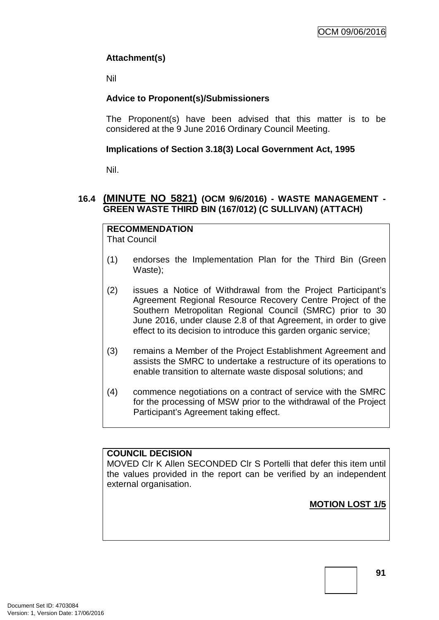## **Attachment(s)**

Nil

## **Advice to Proponent(s)/Submissioners**

The Proponent(s) have been advised that this matter is to be considered at the 9 June 2016 Ordinary Council Meeting.

## **Implications of Section 3.18(3) Local Government Act, 1995**

Nil.

## **16.4 (MINUTE NO 5821) (OCM 9/6/2016) - WASTE MANAGEMENT - GREEN WASTE THIRD BIN (167/012) (C SULLIVAN) (ATTACH)**

# **RECOMMENDATION**

That Council

- (1) endorses the Implementation Plan for the Third Bin (Green Waste);
- (2) issues a Notice of Withdrawal from the Project Participant's Agreement Regional Resource Recovery Centre Project of the Southern Metropolitan Regional Council (SMRC) prior to 30 June 2016, under clause 2.8 of that Agreement, in order to give effect to its decision to introduce this garden organic service;
- (3) remains a Member of the Project Establishment Agreement and assists the SMRC to undertake a restructure of its operations to enable transition to alternate waste disposal solutions; and
- (4) commence negotiations on a contract of service with the SMRC for the processing of MSW prior to the withdrawal of the Project Participant's Agreement taking effect.

## **COUNCIL DECISION**

MOVED Clr K Allen SECONDED Clr S Portelli that defer this item until the values provided in the report can be verified by an independent external organisation.

**MOTION LOST 1/5**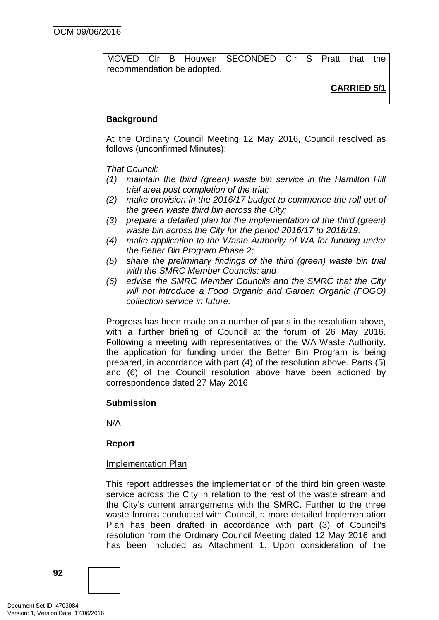MOVED Clr B Houwen SECONDED Clr S Pratt that the recommendation be adopted.

**CARRIED 5/1**

### **Background**

At the Ordinary Council Meeting 12 May 2016, Council resolved as follows (unconfirmed Minutes):

#### *That Council:*

- *(1) maintain the third (green) waste bin service in the Hamilton Hill trial area post completion of the trial;*
- *(2) make provision in the 2016/17 budget to commence the roll out of the green waste third bin across the City;*
- *(3) prepare a detailed plan for the implementation of the third (green) waste bin across the City for the period 2016/17 to 2018/19;*
- *(4) make application to the Waste Authority of WA for funding under the Better Bin Program Phase 2;*
- *(5) share the preliminary findings of the third (green) waste bin trial with the SMRC Member Councils; and*
- *(6) advise the SMRC Member Councils and the SMRC that the City will not introduce a Food Organic and Garden Organic (FOGO) collection service in future.*

Progress has been made on a number of parts in the resolution above, with a further briefing of Council at the forum of 26 May 2016. Following a meeting with representatives of the WA Waste Authority, the application for funding under the Better Bin Program is being prepared, in accordance with part (4) of the resolution above. Parts (5) and (6) of the Council resolution above have been actioned by correspondence dated 27 May 2016.

#### **Submission**

N/A

#### **Report**

#### Implementation Plan

This report addresses the implementation of the third bin green waste service across the City in relation to the rest of the waste stream and the City's current arrangements with the SMRC. Further to the three waste forums conducted with Council, a more detailed Implementation Plan has been drafted in accordance with part (3) of Council's resolution from the Ordinary Council Meeting dated 12 May 2016 and has been included as Attachment 1. Upon consideration of the

**92**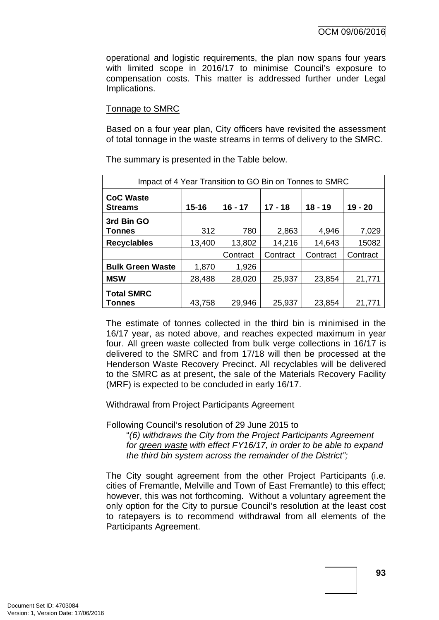operational and logistic requirements, the plan now spans four years with limited scope in 2016/17 to minimise Council's exposure to compensation costs. This matter is addressed further under Legal Implications.

## Tonnage to SMRC

Based on a four year plan, City officers have revisited the assessment of total tonnage in the waste streams in terms of delivery to the SMRC.

| Impact of 4 Year Transition to GO Bin on Tonnes to SMRC |           |           |           |           |           |
|---------------------------------------------------------|-----------|-----------|-----------|-----------|-----------|
| <b>CoC Waste</b><br><b>Streams</b>                      | $15 - 16$ | $16 - 17$ | $17 - 18$ | $18 - 19$ | $19 - 20$ |
| 3rd Bin GO<br><b>Tonnes</b>                             | 312       | 780       | 2,863     | 4,946     | 7,029     |
| <b>Recyclables</b>                                      | 13,400    | 13,802    | 14,216    | 14,643    | 15082     |
|                                                         |           | Contract  | Contract  | Contract  | Contract  |
| <b>Bulk Green Waste</b>                                 | 1,870     | 1,926     |           |           |           |
| <b>MSW</b>                                              | 28,488    | 28,020    | 25,937    | 23,854    | 21,771    |
| <b>Total SMRC</b><br>Tonnes                             | 43,758    | 29,946    | 25,937    | 23,854    | 21,771    |

The summary is presented in the Table below.

The estimate of tonnes collected in the third bin is minimised in the 16/17 year, as noted above, and reaches expected maximum in year four. All green waste collected from bulk verge collections in 16/17 is delivered to the SMRC and from 17/18 will then be processed at the Henderson Waste Recovery Precinct. All recyclables will be delivered to the SMRC as at present, the sale of the Materials Recovery Facility (MRF) is expected to be concluded in early 16/17.

#### Withdrawal from Project Participants Agreement

Following Council's resolution of 29 June 2015 to

"*(6) withdraws the City from the Project Participants Agreement for green waste with effect FY16/17, in order to be able to expand the third bin system across the remainder of the District";*

The City sought agreement from the other Project Participants (i.e. cities of Fremantle, Melville and Town of East Fremantle) to this effect; however, this was not forthcoming. Without a voluntary agreement the only option for the City to pursue Council's resolution at the least cost to ratepayers is to recommend withdrawal from all elements of the Participants Agreement.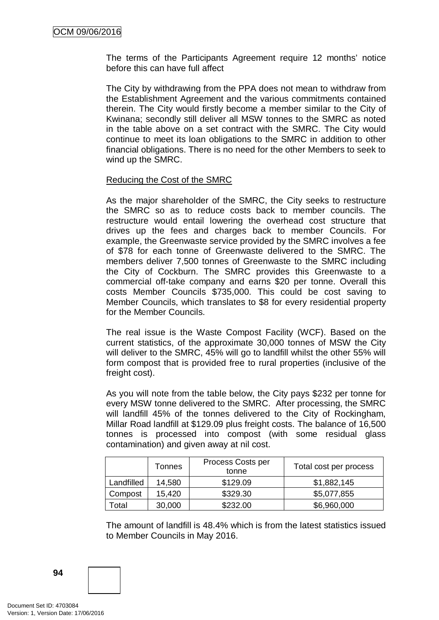The terms of the Participants Agreement require 12 months' notice before this can have full affect

The City by withdrawing from the PPA does not mean to withdraw from the Establishment Agreement and the various commitments contained therein. The City would firstly become a member similar to the City of Kwinana; secondly still deliver all MSW tonnes to the SMRC as noted in the table above on a set contract with the SMRC. The City would continue to meet its loan obligations to the SMRC in addition to other financial obligations. There is no need for the other Members to seek to wind up the SMRC.

#### Reducing the Cost of the SMRC

As the major shareholder of the SMRC, the City seeks to restructure the SMRC so as to reduce costs back to member councils. The restructure would entail lowering the overhead cost structure that drives up the fees and charges back to member Councils. For example, the Greenwaste service provided by the SMRC involves a fee of \$78 for each tonne of Greenwaste delivered to the SMRC. The members deliver 7,500 tonnes of Greenwaste to the SMRC including the City of Cockburn. The SMRC provides this Greenwaste to a commercial off-take company and earns \$20 per tonne. Overall this costs Member Councils \$735,000. This could be cost saving to Member Councils, which translates to \$8 for every residential property for the Member Councils.

The real issue is the Waste Compost Facility (WCF). Based on the current statistics, of the approximate 30,000 tonnes of MSW the City will deliver to the SMRC, 45% will go to landfill whilst the other 55% will form compost that is provided free to rural properties (inclusive of the freight cost).

As you will note from the table below, the City pays \$232 per tonne for every MSW tonne delivered to the SMRC. After processing, the SMRC will landfill 45% of the tonnes delivered to the City of Rockingham, Millar Road landfill at \$129.09 plus freight costs. The balance of 16,500 tonnes is processed into compost (with some residual glass contamination) and given away at nil cost.

|                   | Tonnes | Process Costs per<br>tonne | Total cost per process |
|-------------------|--------|----------------------------|------------------------|
| Landfilled        | 14,580 | \$129.09                   | \$1,882,145            |
| Compost           | 15,420 | \$329.30                   | \$5,077,855            |
| otal <sup>.</sup> | 30,000 | \$232.00                   | \$6,960,000            |

The amount of landfill is 48.4% which is from the latest statistics issued to Member Councils in May 2016.

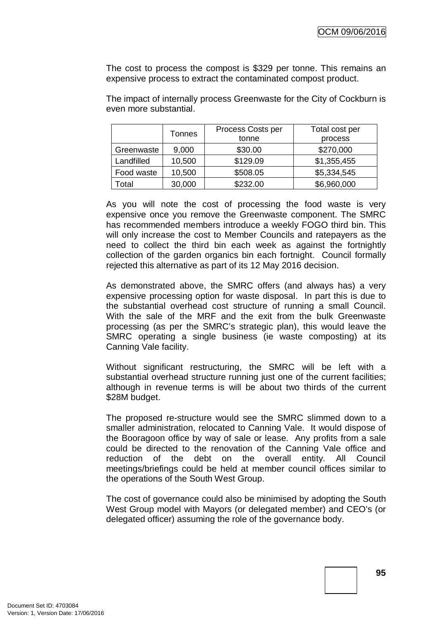The cost to process the compost is \$329 per tonne. This remains an expensive process to extract the contaminated compost product.

Tonnes **Process Costs per** tonne Total cost per process Greenwaste 9,000 \$30.00 \$270,000 Landfilled 10,500 \, \$129.09 \, \$1,355,455 Food waste | 10,500 | \$508.05 | \$5,334,545 Total | 30,000 | \$232.00 | \$6,960,000

The impact of internally process Greenwaste for the City of Cockburn is even more substantial.

As you will note the cost of processing the food waste is very expensive once you remove the Greenwaste component. The SMRC has recommended members introduce a weekly FOGO third bin. This will only increase the cost to Member Councils and ratepayers as the need to collect the third bin each week as against the fortnightly collection of the garden organics bin each fortnight. Council formally rejected this alternative as part of its 12 May 2016 decision.

As demonstrated above, the SMRC offers (and always has) a very expensive processing option for waste disposal. In part this is due to the substantial overhead cost structure of running a small Council. With the sale of the MRF and the exit from the bulk Greenwaste processing (as per the SMRC's strategic plan), this would leave the SMRC operating a single business (ie waste composting) at its Canning Vale facility.

Without significant restructuring, the SMRC will be left with a substantial overhead structure running just one of the current facilities; although in revenue terms is will be about two thirds of the current \$28M budget.

The proposed re-structure would see the SMRC slimmed down to a smaller administration, relocated to Canning Vale. It would dispose of the Booragoon office by way of sale or lease. Any profits from a sale could be directed to the renovation of the Canning Vale office and reduction of the debt on the overall entity. All Council meetings/briefings could be held at member council offices similar to the operations of the South West Group.

The cost of governance could also be minimised by adopting the South West Group model with Mayors (or delegated member) and CEO's (or delegated officer) assuming the role of the governance body.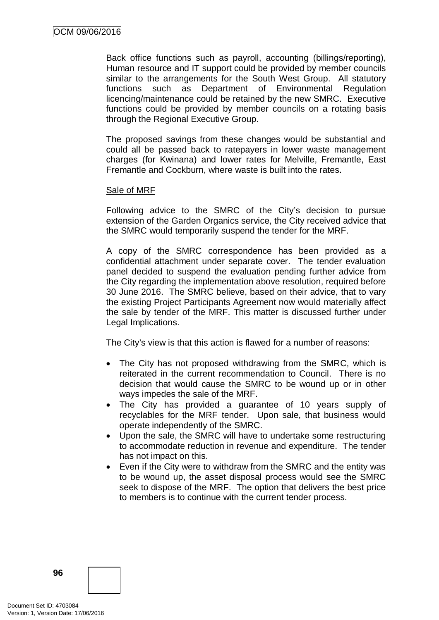Back office functions such as payroll, accounting (billings/reporting), Human resource and IT support could be provided by member councils similar to the arrangements for the South West Group. All statutory functions such as Department of Environmental Regulation licencing/maintenance could be retained by the new SMRC. Executive functions could be provided by member councils on a rotating basis through the Regional Executive Group.

The proposed savings from these changes would be substantial and could all be passed back to ratepayers in lower waste management charges (for Kwinana) and lower rates for Melville, Fremantle, East Fremantle and Cockburn, where waste is built into the rates.

#### Sale of MRF

Following advice to the SMRC of the City's decision to pursue extension of the Garden Organics service, the City received advice that the SMRC would temporarily suspend the tender for the MRF.

A copy of the SMRC correspondence has been provided as a confidential attachment under separate cover. The tender evaluation panel decided to suspend the evaluation pending further advice from the City regarding the implementation above resolution, required before 30 June 2016. The SMRC believe, based on their advice, that to vary the existing Project Participants Agreement now would materially affect the sale by tender of the MRF. This matter is discussed further under Legal Implications.

The City's view is that this action is flawed for a number of reasons:

- The City has not proposed withdrawing from the SMRC, which is reiterated in the current recommendation to Council. There is no decision that would cause the SMRC to be wound up or in other ways impedes the sale of the MRF.
- The City has provided a guarantee of 10 years supply of recyclables for the MRF tender. Upon sale, that business would operate independently of the SMRC.
- Upon the sale, the SMRC will have to undertake some restructuring to accommodate reduction in revenue and expenditure. The tender has not impact on this.
- Even if the City were to withdraw from the SMRC and the entity was to be wound up, the asset disposal process would see the SMRC seek to dispose of the MRF. The option that delivers the best price to members is to continue with the current tender process.

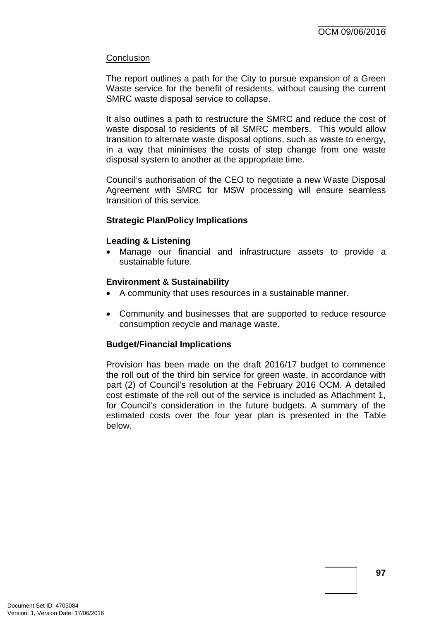### **Conclusion**

The report outlines a path for the City to pursue expansion of a Green Waste service for the benefit of residents, without causing the current SMRC waste disposal service to collapse.

It also outlines a path to restructure the SMRC and reduce the cost of waste disposal to residents of all SMRC members. This would allow transition to alternate waste disposal options, such as waste to energy, in a way that minimises the costs of step change from one waste disposal system to another at the appropriate time.

Council's authorisation of the CEO to negotiate a new Waste Disposal Agreement with SMRC for MSW processing will ensure seamless transition of this service.

#### **Strategic Plan/Policy Implications**

#### **Leading & Listening**

• Manage our financial and infrastructure assets to provide a sustainable future.

#### **Environment & Sustainability**

- A community that uses resources in a sustainable manner.
- Community and businesses that are supported to reduce resource consumption recycle and manage waste.

## **Budget/Financial Implications**

Provision has been made on the draft 2016/17 budget to commence the roll out of the third bin service for green waste, in accordance with part (2) of Council's resolution at the February 2016 OCM. A detailed cost estimate of the roll out of the service is included as Attachment 1, for Council's consideration in the future budgets. A summary of the estimated costs over the four year plan is presented in the Table below.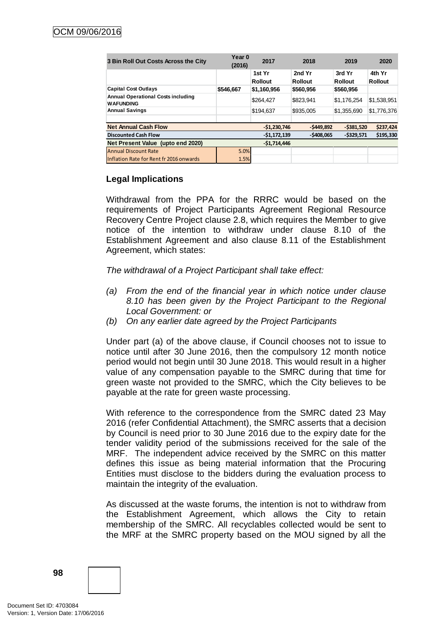| 3 Bin Roll Out Costs Across the City                          | Year 0<br>(2016) | 2017                     | 2018                     | 2019                     | 2020                     |
|---------------------------------------------------------------|------------------|--------------------------|--------------------------|--------------------------|--------------------------|
|                                                               |                  | 1st Yr<br><b>Rollout</b> | 2nd Yr<br><b>Rollout</b> | 3rd Yr<br><b>Rollout</b> | 4th Yr<br><b>Rollout</b> |
| <b>Capital Cost Outlays</b>                                   | \$546,667        | \$1,160,956              | \$560,956                | \$560,956                |                          |
| <b>Annual Operational Costs including</b><br><b>WAFUNDING</b> |                  | \$264.427                | \$823.941                | \$1,176,254              | \$1,538,951              |
| <b>Annual Savings</b>                                         |                  | \$194.637                | \$935,005                | \$1,355,690              | \$1,776,376              |
|                                                               |                  |                          |                          |                          |                          |
| <b>Net Annual Cash Flow</b>                                   |                  | $-51.230.746$            | $-5449,892$              | $-5381,520$              | \$237,424                |
| <b>Discounted Cash Flow</b>                                   |                  | $-51, 172, 139$          | $-5408.065$              | $-5329.571$              | \$195,330                |
| Net Present Value (upto end 2020)                             |                  | $-51,714,446$            |                          |                          |                          |
| <b>Annual Discount Rate</b>                                   | 5.0%             |                          |                          |                          |                          |
| Inflation Rate for Rent fr 2016 onwards                       | 1.5%             |                          |                          |                          |                          |

## **Legal Implications**

Withdrawal from the PPA for the RRRC would be based on the requirements of Project Participants Agreement Regional Resource Recovery Centre Project clause 2.8, which requires the Member to give notice of the intention to withdraw under clause 8.10 of the Establishment Agreement and also clause 8.11 of the Establishment Agreement, which states:

*The withdrawal of a Project Participant shall take effect:*

- *(a) From the end of the financial year in which notice under clause 8.10 has been given by the Project Participant to the Regional Local Government: or*
- *(b) On any earlier date agreed by the Project Participants*

Under part (a) of the above clause, if Council chooses not to issue to notice until after 30 June 2016, then the compulsory 12 month notice period would not begin until 30 June 2018. This would result in a higher value of any compensation payable to the SMRC during that time for green waste not provided to the SMRC, which the City believes to be payable at the rate for green waste processing.

With reference to the correspondence from the SMRC dated 23 May 2016 (refer Confidential Attachment), the SMRC asserts that a decision by Council is need prior to 30 June 2016 due to the expiry date for the tender validity period of the submissions received for the sale of the MRF. The independent advice received by the SMRC on this matter defines this issue as being material information that the Procuring Entities must disclose to the bidders during the evaluation process to maintain the integrity of the evaluation.

As discussed at the waste forums, the intention is not to withdraw from the Establishment Agreement, which allows the City to retain membership of the SMRC. All recyclables collected would be sent to the MRF at the SMRC property based on the MOU signed by all the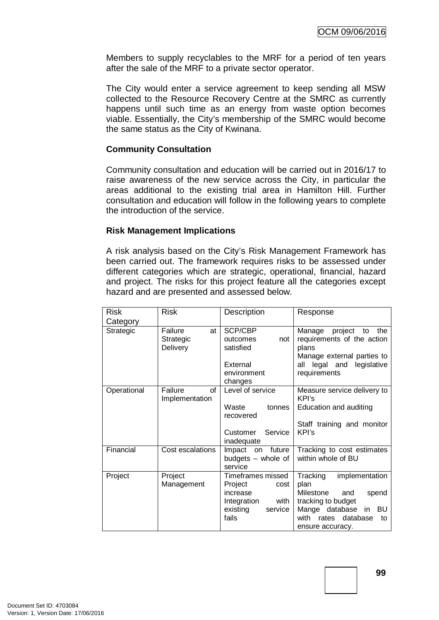Members to supply recyclables to the MRF for a period of ten years after the sale of the MRF to a private sector operator.

The City would enter a service agreement to keep sending all MSW collected to the Resource Recovery Centre at the SMRC as currently happens until such time as an energy from waste option becomes viable. Essentially, the City's membership of the SMRC would become the same status as the City of Kwinana.

## **Community Consultation**

Community consultation and education will be carried out in 2016/17 to raise awareness of the new service across the City, in particular the areas additional to the existing trial area in Hamilton Hill. Further consultation and education will follow in the following years to complete the introduction of the service.

#### **Risk Management Implications**

A risk analysis based on the City's Risk Management Framework has been carried out. The framework requires risks to be assessed under different categories which are strategic, operational, financial, hazard and project. The risks for this project feature all the categories except hazard and are presented and assessed below.

| <b>Risk</b> | <b>Risk</b>           | Description                          | Response                             |
|-------------|-----------------------|--------------------------------------|--------------------------------------|
| Category    |                       |                                      |                                      |
| Strategic   | Failure<br>at         | SCP/CBP                              | project<br>Manage<br>the<br>to       |
|             | Strategic             | not<br>outcomes                      | requirements of the action           |
|             | Delivery              | satisfied                            | plans                                |
|             |                       |                                      | Manage external parties to           |
|             |                       | External                             | all legal and legislative            |
|             |                       | environment                          | requirements                         |
|             | Failure<br>of         | changes<br>Level of service          |                                      |
| Operational | Implementation        |                                      | Measure service delivery to<br>KPI's |
|             |                       | Waste<br>tonnes                      | Education and auditing               |
|             |                       | recovered                            |                                      |
|             |                       |                                      | Staff training and monitor           |
|             |                       | Service<br>Customer                  | KPI's                                |
|             |                       | inadequate                           |                                      |
| Financial   | Cost escalations      | Impact on<br>future                  | Tracking to cost estimates           |
|             |                       | budgets – whole of                   | within whole of BU                   |
|             |                       | service                              |                                      |
| Project     | Project<br>Management | Timeframes missed<br>Project<br>cost | implementation<br>Tracking<br>plan   |
|             |                       | increase                             | Milestone<br>spend<br>and            |
|             |                       | Integration<br>with                  | tracking to budget                   |
|             |                       | existing<br>service                  | Mange database<br>BU<br>in           |
|             |                       | fails                                | with<br>database<br>rates<br>to      |
|             |                       |                                      | ensure accuracy.                     |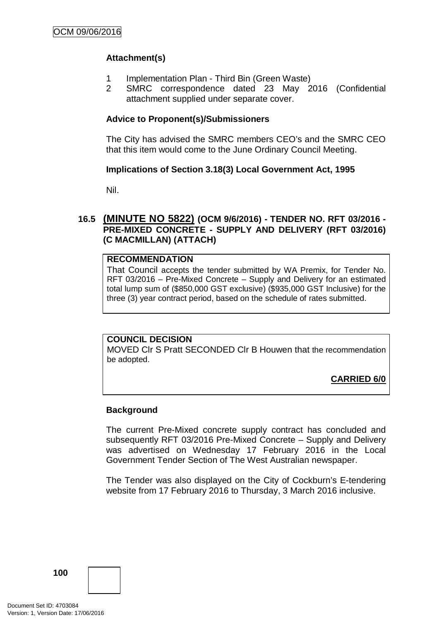## **Attachment(s)**

- 1 Implementation Plan Third Bin (Green Waste)
- 2 SMRC correspondence dated 23 May 2016 (Confidential attachment supplied under separate cover.

## **Advice to Proponent(s)/Submissioners**

The City has advised the SMRC members CEO's and the SMRC CEO that this item would come to the June Ordinary Council Meeting.

## **Implications of Section 3.18(3) Local Government Act, 1995**

Nil.

## **16.5 (MINUTE NO 5822) (OCM 9/6/2016) - TENDER NO. RFT 03/2016 - PRE-MIXED CONCRETE - SUPPLY AND DELIVERY (RFT 03/2016) (C MACMILLAN) (ATTACH)**

#### **RECOMMENDATION**

That Council accepts the tender submitted by WA Premix, for Tender No. RFT 03/2016 – Pre-Mixed Concrete – Supply and Delivery for an estimated total lump sum of (\$850,000 GST exclusive) (\$935,000 GST Inclusive) for the three (3) year contract period, based on the schedule of rates submitted.

#### **COUNCIL DECISION**

MOVED Clr S Pratt SECONDED Clr B Houwen that the recommendation be adopted.

**CARRIED 6/0**

## **Background**

The current Pre-Mixed concrete supply contract has concluded and subsequently RFT 03/2016 Pre-Mixed Concrete – Supply and Delivery was advertised on Wednesday 17 February 2016 in the Local Government Tender Section of The West Australian newspaper.

The Tender was also displayed on the City of Cockburn's E-tendering website from 17 February 2016 to Thursday, 3 March 2016 inclusive.

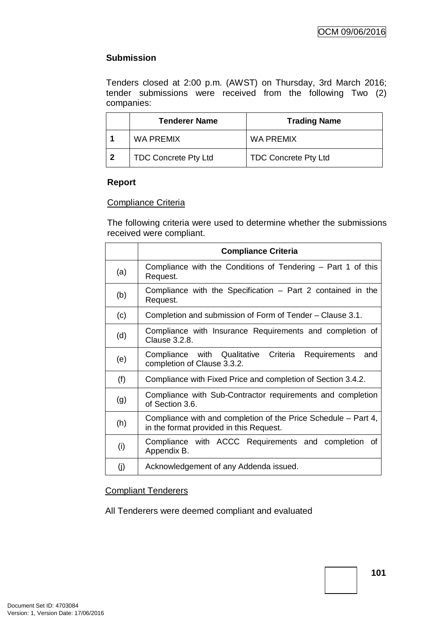## **Submission**

Tenders closed at 2:00 p.m. (AWST) on Thursday, 3rd March 2016; tender submissions were received from the following Two (2) companies:

|    | <b>Tenderer Name</b>        | <b>Trading Name</b>         |
|----|-----------------------------|-----------------------------|
|    | WA PREMIX                   | WA PREMIX                   |
| -2 | <b>TDC Concrete Pty Ltd</b> | <b>TDC Concrete Pty Ltd</b> |

## **Report**

## Compliance Criteria

The following criteria were used to determine whether the submissions received were compliant.

|     | <b>Compliance Criteria</b>                                                                                |  |  |
|-----|-----------------------------------------------------------------------------------------------------------|--|--|
| (a) | Compliance with the Conditions of Tendering – Part 1 of this<br>Request.                                  |  |  |
| (b) | Compliance with the Specification – Part 2 contained in the<br>Request.                                   |  |  |
| (c) | Completion and submission of Form of Tender – Clause 3.1.                                                 |  |  |
| (d) | Compliance with Insurance Requirements and completion of<br>Clause 3.2.8.                                 |  |  |
| (e) | Compliance with Qualitative Criteria<br>Requirements<br>and<br>completion of Clause 3.3.2.                |  |  |
| (f) | Compliance with Fixed Price and completion of Section 3.4.2.                                              |  |  |
| (g) | Compliance with Sub-Contractor requirements and completion<br>of Section 3.6.                             |  |  |
| (h) | Compliance with and completion of the Price Schedule – Part 4,<br>in the format provided in this Request. |  |  |
| (i) | Compliance with ACCC Requirements and completion<br>Οf<br>Appendix B.                                     |  |  |
| (i) | Acknowledgement of any Addenda issued.                                                                    |  |  |

## Compliant Tenderers

All Tenderers were deemed compliant and evaluated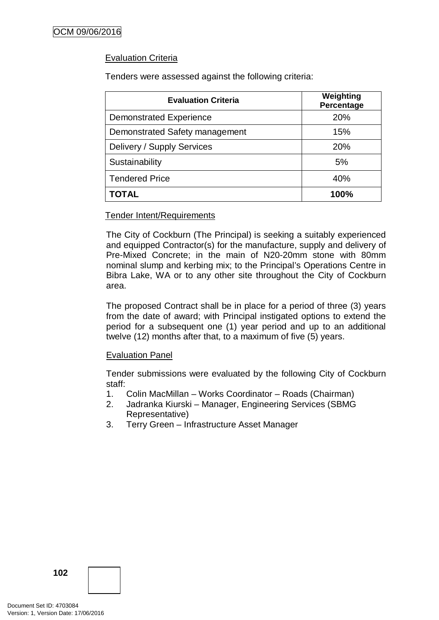## Evaluation Criteria

Tenders were assessed against the following criteria:

| <b>Evaluation Criteria</b>     | Weighting<br>Percentage |  |
|--------------------------------|-------------------------|--|
| <b>Demonstrated Experience</b> | 20%                     |  |
| Demonstrated Safety management | 15%                     |  |
| Delivery / Supply Services     | 20%                     |  |
| Sustainability                 | 5%                      |  |
| <b>Tendered Price</b>          | 40%                     |  |
| ΤΟΤΑL                          | 100%                    |  |

#### Tender Intent/Requirements

The City of Cockburn (The Principal) is seeking a suitably experienced and equipped Contractor(s) for the manufacture, supply and delivery of Pre-Mixed Concrete; in the main of N20-20mm stone with 80mm nominal slump and kerbing mix; to the Principal's Operations Centre in Bibra Lake, WA or to any other site throughout the City of Cockburn area.

The proposed Contract shall be in place for a period of three (3) years from the date of award; with Principal instigated options to extend the period for a subsequent one (1) year period and up to an additional twelve (12) months after that, to a maximum of five (5) years.

## Evaluation Panel

Tender submissions were evaluated by the following City of Cockburn staff:

- 1. Colin MacMillan Works Coordinator Roads (Chairman)
- 2. Jadranka Kiurski Manager, Engineering Services (SBMG Representative)
- 3. Terry Green Infrastructure Asset Manager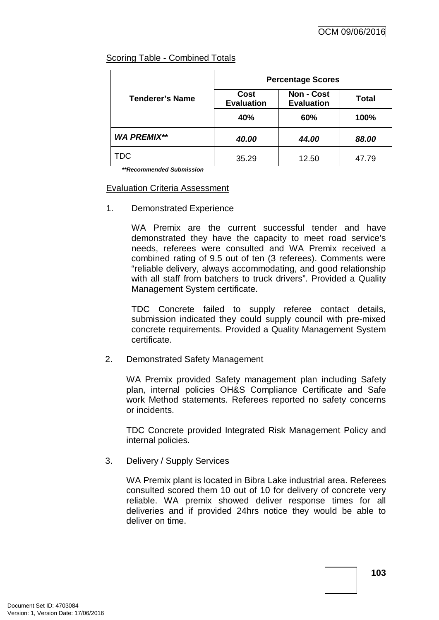## Scoring Table - Combined Totals

|                        | <b>Percentage Scores</b>  |                                        |              |  |
|------------------------|---------------------------|----------------------------------------|--------------|--|
| <b>Tenderer's Name</b> | Cost<br><b>Evaluation</b> | <b>Non - Cost</b><br><b>Evaluation</b> | <b>Total</b> |  |
|                        | 40%                       | 60%                                    | 100%         |  |
| <b>WA PREMIX**</b>     | 40.00                     | 44.00                                  | 88.00        |  |
| TDC                    | 35.29                     | 12.50                                  | 47.79        |  |

*\*\*Recommended Submission*

## Evaluation Criteria Assessment

1. Demonstrated Experience

WA Premix are the current successful tender and have demonstrated they have the capacity to meet road service's needs, referees were consulted and WA Premix received a combined rating of 9.5 out of ten (3 referees). Comments were "reliable delivery, always accommodating, and good relationship with all staff from batchers to truck drivers". Provided a Quality Management System certificate.

TDC Concrete failed to supply referee contact details, submission indicated they could supply council with pre-mixed concrete requirements. Provided a Quality Management System certificate.

2. Demonstrated Safety Management

WA Premix provided Safety management plan including Safety plan, internal policies OH&S Compliance Certificate and Safe work Method statements. Referees reported no safety concerns or incidents.

TDC Concrete provided Integrated Risk Management Policy and internal policies.

3. Delivery / Supply Services

WA Premix plant is located in Bibra Lake industrial area. Referees consulted scored them 10 out of 10 for delivery of concrete very reliable. WA premix showed deliver response times for all deliveries and if provided 24hrs notice they would be able to deliver on time.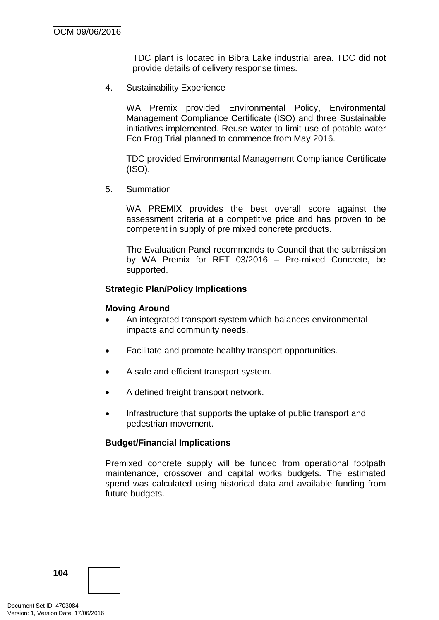TDC plant is located in Bibra Lake industrial area. TDC did not provide details of delivery response times.

4. Sustainability Experience

WA Premix provided Environmental Policy, Environmental Management Compliance Certificate (ISO) and three Sustainable initiatives implemented. Reuse water to limit use of potable water Eco Frog Trial planned to commence from May 2016.

TDC provided Environmental Management Compliance Certificate (ISO).

5. Summation

WA PREMIX provides the best overall score against the assessment criteria at a competitive price and has proven to be competent in supply of pre mixed concrete products.

The Evaluation Panel recommends to Council that the submission by WA Premix for RFT 03/2016 – Pre-mixed Concrete, be supported.

## **Strategic Plan/Policy Implications**

#### **Moving Around**

- An integrated transport system which balances environmental impacts and community needs.
- Facilitate and promote healthy transport opportunities.
- A safe and efficient transport system.
- A defined freight transport network.
- Infrastructure that supports the uptake of public transport and pedestrian movement.

#### **Budget/Financial Implications**

Premixed concrete supply will be funded from operational footpath maintenance, crossover and capital works budgets. The estimated spend was calculated using historical data and available funding from future budgets.

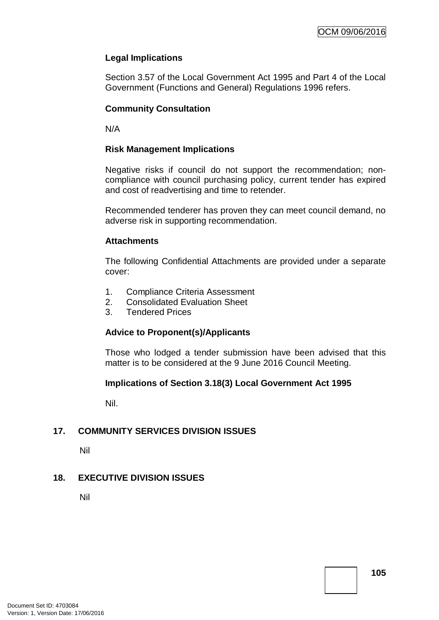## **Legal Implications**

Section 3.57 of the Local Government Act 1995 and Part 4 of the Local Government (Functions and General) Regulations 1996 refers.

## **Community Consultation**

N/A

### **Risk Management Implications**

Negative risks if council do not support the recommendation; noncompliance with council purchasing policy, current tender has expired and cost of readvertising and time to retender.

Recommended tenderer has proven they can meet council demand, no adverse risk in supporting recommendation.

#### **Attachments**

The following Confidential Attachments are provided under a separate cover:

- 1. Compliance Criteria Assessment
- 2. Consolidated Evaluation Sheet
- 3. Tendered Prices

### **Advice to Proponent(s)/Applicants**

Those who lodged a tender submission have been advised that this matter is to be considered at the 9 June 2016 Council Meeting.

### **Implications of Section 3.18(3) Local Government Act 1995**

Nil.

### **17. COMMUNITY SERVICES DIVISION ISSUES**

Nil

### **18. EXECUTIVE DIVISION ISSUES**

Nil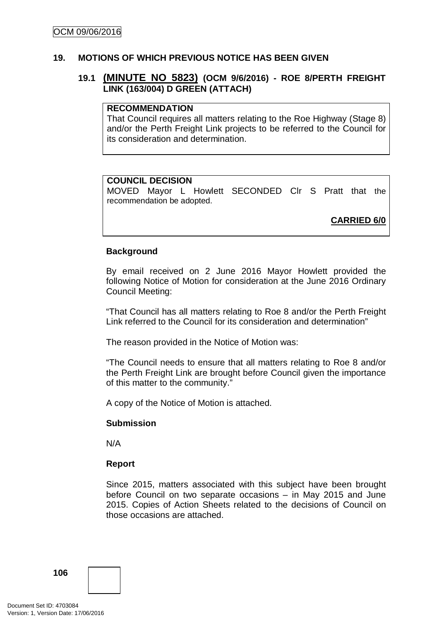#### **19. MOTIONS OF WHICH PREVIOUS NOTICE HAS BEEN GIVEN**

## **19.1 (MINUTE NO 5823) (OCM 9/6/2016) - ROE 8/PERTH FREIGHT LINK (163/004) D GREEN (ATTACH)**

#### **RECOMMENDATION**

That Council requires all matters relating to the Roe Highway (Stage 8) and/or the Perth Freight Link projects to be referred to the Council for its consideration and determination.

#### **COUNCIL DECISION**

MOVED Mayor L Howlett SECONDED Clr S Pratt that the recommendation be adopted.

**CARRIED 6/0**

#### **Background**

By email received on 2 June 2016 Mayor Howlett provided the following Notice of Motion for consideration at the June 2016 Ordinary Council Meeting:

"That Council has all matters relating to Roe 8 and/or the Perth Freight Link referred to the Council for its consideration and determination"

The reason provided in the Notice of Motion was:

"The Council needs to ensure that all matters relating to Roe 8 and/or the Perth Freight Link are brought before Council given the importance of this matter to the community."

A copy of the Notice of Motion is attached.

#### **Submission**

N/A

### **Report**

Since 2015, matters associated with this subject have been brought before Council on two separate occasions – in May 2015 and June 2015. Copies of Action Sheets related to the decisions of Council on those occasions are attached.

**106**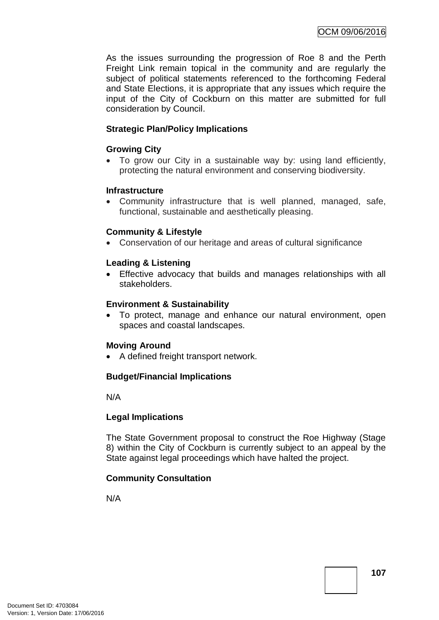As the issues surrounding the progression of Roe 8 and the Perth Freight Link remain topical in the community and are regularly the subject of political statements referenced to the forthcoming Federal and State Elections, it is appropriate that any issues which require the input of the City of Cockburn on this matter are submitted for full consideration by Council.

## **Strategic Plan/Policy Implications**

## **Growing City**

• To grow our City in a sustainable way by: using land efficiently, protecting the natural environment and conserving biodiversity.

### **Infrastructure**

• Community infrastructure that is well planned, managed, safe, functional, sustainable and aesthetically pleasing.

### **Community & Lifestyle**

• Conservation of our heritage and areas of cultural significance

### **Leading & Listening**

• Effective advocacy that builds and manages relationships with all stakeholders.

### **Environment & Sustainability**

• To protect, manage and enhance our natural environment, open spaces and coastal landscapes.

### **Moving Around**

• A defined freight transport network.

### **Budget/Financial Implications**

N/A

### **Legal Implications**

The State Government proposal to construct the Roe Highway (Stage 8) within the City of Cockburn is currently subject to an appeal by the State against legal proceedings which have halted the project.

### **Community Consultation**

N/A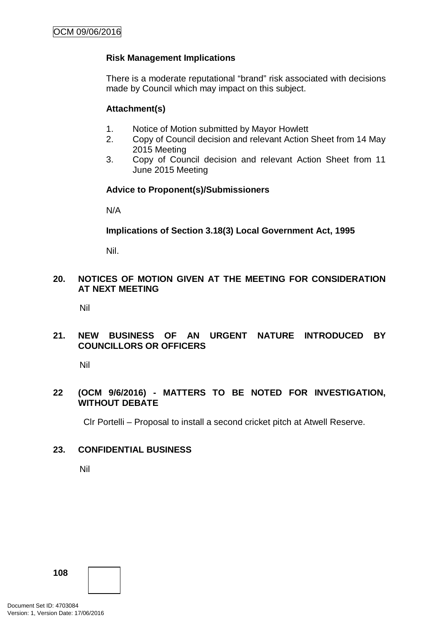## **Risk Management Implications**

There is a moderate reputational "brand" risk associated with decisions made by Council which may impact on this subject.

#### **Attachment(s)**

- 1. Notice of Motion submitted by Mayor Howlett
- 2. Copy of Council decision and relevant Action Sheet from 14 May 2015 Meeting
- 3. Copy of Council decision and relevant Action Sheet from 11 June 2015 Meeting

### **Advice to Proponent(s)/Submissioners**

N/A

### **Implications of Section 3.18(3) Local Government Act, 1995**

Nil.

## **20. NOTICES OF MOTION GIVEN AT THE MEETING FOR CONSIDERATION AT NEXT MEETING**

Nil

## **21. NEW BUSINESS OF AN URGENT NATURE INTRODUCED BY COUNCILLORS OR OFFICERS**

Nil

### **22 (OCM 9/6/2016) - MATTERS TO BE NOTED FOR INVESTIGATION, WITHOUT DEBATE**

Clr Portelli – Proposal to install a second cricket pitch at Atwell Reserve.

### **23. CONFIDENTIAL BUSINESS**

Nil

**108**